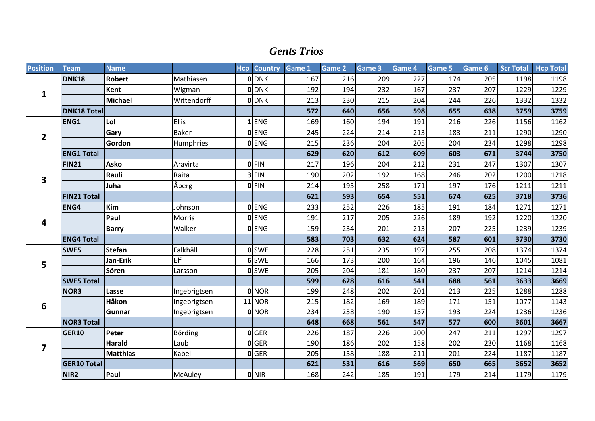|                         |                    |                 |               |            |                | <b>Gents Trios</b> |        |        |        |        |        |                  |                  |
|-------------------------|--------------------|-----------------|---------------|------------|----------------|--------------------|--------|--------|--------|--------|--------|------------------|------------------|
| <b>Position</b>         | Team               | <b>Name</b>     |               | <b>Hcp</b> | <b>Country</b> | Game 1             | Game 2 | Game 3 | Game 4 | Game 5 | Game 6 | <b>Scr Total</b> | <b>Hcp Total</b> |
|                         | <b>DNK18</b>       | <b>Robert</b>   | Mathiasen     |            | <b>O</b> DNK   | 167                | 216    | 209    | 227    | 174    | 205    | 1198             | 1198             |
| $\mathbf{1}$            |                    | <b>Kent</b>     | Wigman        |            | <b>O</b> DNK   | 192                | 194    | 232    | 167    | 237    | 207    | 1229             | 1229             |
|                         |                    | Michael         | Wittendorff   |            | <b>O</b> DNK   | 213                | 230    | 215    | 204    | 244    | 226    | 1332             | 1332             |
|                         | <b>DNK18 Total</b> |                 |               |            |                | 572                | 640    | 656    | 598    | 655    | 638    | 3759             | 3759             |
|                         | ENG1               | Lol             | Ellis         |            | $1$ ENG        | 169                | 160    | 194    | 191    | 216    | 226    | 1156             | 1162             |
| $\overline{2}$          |                    | Gary            | <b>Baker</b>  |            | <b>O</b> ENG   | 245                | 224    | 214    | 213    | 183    | 211    | 1290             | 1290             |
|                         |                    | Gordon          | Humphries     |            | 0 ENG          | 215                | 236    | 204    | 205    | 204    | 234    | 1298             | 1298             |
|                         | <b>ENG1 Total</b>  |                 |               |            |                | 629                | 620    | 612    | 609    | 603    | 671    | 3744             | 3750             |
|                         | <b>FIN21</b>       | <b>Asko</b>     | Aravirta      |            | OFIN           | 217                | 196    | 204    | 212    | 231    | 247    | 1307             | 1307             |
| 3                       |                    | Rauli           | Raita         |            | $3$ FIN        | 190                | 202    | 192    | 168    | 246    | 202    | 1200             | 1218             |
|                         |                    | Juha            | Åberg         |            | OFIN           | 214                | 195    | 258    | 171    | 197    | 176    | 1211             | 1211             |
|                         | <b>FIN21 Total</b> |                 |               |            |                | 621                | 593    | 654    | 551    | 674    | 625    | 3718             | 3736             |
|                         | ENG4               | Kim             | Johnson       |            | 0 ENG          | 233                | 252    | 226    | 185    | 191    | 184    | 1271             | 1271             |
| $\overline{4}$          |                    | Paul            | <b>Morris</b> |            | <b>O</b> ENG   | 191                | 217    | 205    | 226    | 189    | 192    | 1220             | 1220             |
|                         |                    | <b>Barry</b>    | Walker        |            | 0 ENG          | 159                | 234    | 201    | 213    | 207    | 225    | 1239             | 1239             |
|                         | <b>ENG4 Total</b>  |                 |               |            |                | 583                | 703    | 632    | 624    | 587    | 601    | 3730             | 3730             |
|                         | SWE5               | <b>Stefan</b>   | Falkhäll      |            | <b>O</b> SWE   | 228                | 251    | 235    | 197    | 255    | 208    | 1374             | 1374             |
| 5                       |                    | Jan-Erik        | Elf           |            | 6 SWE          | 166                | 173    | 200    | 164    | 196    | 146    | 1045             | 1081             |
|                         |                    | Sören           | Larsson       |            | <b>O</b> SWE   | 205                | 204    | 181    | 180    | 237    | 207    | 1214             | 1214             |
|                         | <b>SWE5 Total</b>  |                 |               |            |                | 599                | 628    | 616    | 541    | 688    | 561    | 3633             | 3669             |
|                         | NOR3               | Lasse           | Ingebrigtsen  |            | <b>O</b> NOR   | 199                | 248    | 202    | 201    | 213    | 225    | 1288             | 1288             |
| 6                       |                    | Håkon           | Ingebrigtsen  |            | <b>11 NOR</b>  | 215                | 182    | 169    | 189    | 171    | 151    | 1077             | 1143             |
|                         |                    | Gunnar          | Ingebrigtsen  |            | 0 NOR          | 234                | 238    | 190    | 157    | 193    | 224    | 1236             | 1236             |
|                         | <b>NOR3 Total</b>  |                 |               |            |                | 648                | 668    | 561    | 547    | 577    | 600    | 3601             | 3667             |
|                         | <b>GER10</b>       | <b>Peter</b>    | Börding       |            | <b>O</b> GER   | 226                | 187    | 226    | 200    | 247    | 211    | 1297             | 1297             |
| $\overline{\mathbf{z}}$ |                    | <b>Harald</b>   | Laub          |            | <b>O</b> GER   | 190                | 186    | 202    | 158    | 202    | 230    | 1168             | 1168             |
|                         |                    | <b>Matthias</b> | Kabel         |            | 0 GER          | 205                | 158    | 188    | 211    | 201    | 224    | 1187             | 1187             |
|                         | <b>GER10 Total</b> |                 |               |            |                | 621                | 531    | 616    | 569    | 650    | 665    | 3652             | 3652             |
|                         | NIR <sub>2</sub>   | Paul            | McAuley       |            | 0 NIR          | 168                | 242    | 185    | 191    | 179    | 214    | 1179             | 1179             |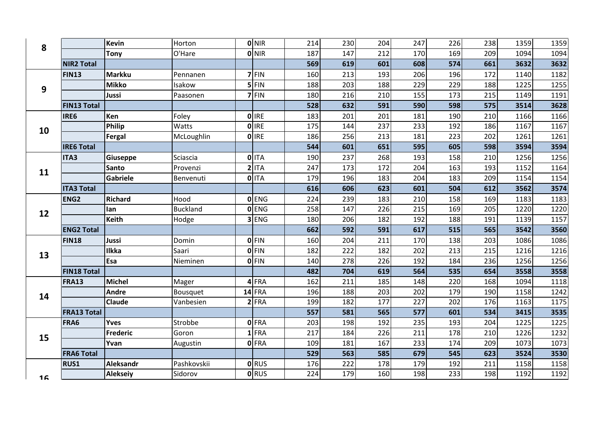| 8              |                    | <b>Kevin</b>     | Horton          | $0$ NIR      | 214 | 230 | 204 | 247 | 226 | 238 | 1359 | 1359 |
|----------------|--------------------|------------------|-----------------|--------------|-----|-----|-----|-----|-----|-----|------|------|
|                |                    | Tony             | O'Hare          | $0$ NIR      | 187 | 147 | 212 | 170 | 169 | 209 | 1094 | 1094 |
|                | <b>NIR2 Total</b>  |                  |                 |              | 569 | 619 | 601 | 608 | 574 | 661 | 3632 | 3632 |
|                | <b>FIN13</b>       | <b>Markku</b>    | Pennanen        | $7$ FIN      | 160 | 213 | 193 | 206 | 196 | 172 | 1140 | 1182 |
| 9              |                    | <b>Mikko</b>     | Isakow          | $5$ FIN      | 188 | 203 | 188 | 229 | 229 | 188 | 1225 | 1255 |
|                |                    | <b>Jussi</b>     | Paasonen        | $7$ FIN      | 180 | 216 | 210 | 155 | 173 | 215 | 1149 | 1191 |
|                | <b>FIN13 Total</b> |                  |                 |              | 528 | 632 | 591 | 590 | 598 | 575 | 3514 | 3628 |
|                | IRE6               | Ken              | Foley           | <b>O</b> IRE | 183 | 201 | 201 | 181 | 190 | 210 | 1166 | 1166 |
| 10             |                    | Philip           | Watts           | 0 IRE        | 175 | 144 | 237 | 233 | 192 | 186 | 1167 | 1167 |
|                |                    | Fergal           | McLoughlin      | <b>O</b> IRE | 186 | 256 | 213 | 181 | 223 | 202 | 1261 | 1261 |
|                | <b>IRE6 Total</b>  |                  |                 |              | 544 | 601 | 651 | 595 | 605 | 598 | 3594 | 3594 |
|                | ITA3               | Giuseppe         | Sciascia        | 0 ITA        | 190 | 237 | 268 | 193 | 158 | 210 | 1256 | 1256 |
| 11             |                    | Santo            | Provenzi        | $2$ ITA      | 247 | 173 | 172 | 204 | 163 | 193 | 1152 | 1164 |
|                |                    | Gabriele         | Benvenuti       | 0 ITA        | 179 | 196 | 183 | 204 | 183 | 209 | 1154 | 1154 |
|                | <b>ITA3 Total</b>  |                  |                 |              | 616 | 606 | 623 | 601 | 504 | 612 | 3562 | 3574 |
|                | ENG <sub>2</sub>   | Richard          | Hood            | <b>O</b> ENG | 224 | 239 | 183 | 210 | 158 | 169 | 1183 | 1183 |
| 12             |                    | lan              | <b>Buckland</b> | <b>OENG</b>  | 258 | 147 | 226 | 215 | 169 | 205 | 1220 | 1220 |
|                |                    | <b>Keith</b>     | Hodge           | 3 ENG        | 180 | 206 | 182 | 192 | 188 | 191 | 1139 | 1157 |
|                | <b>ENG2 Total</b>  |                  |                 |              | 662 | 592 | 591 | 617 | 515 | 565 | 3542 | 3560 |
|                | <b>FIN18</b>       | Jussi            | Domin           | $0$ FIN      | 160 | 204 | 211 | 170 | 138 | 203 | 1086 | 1086 |
| 13             |                    | <b>Ilkka</b>     | Saari           | <b>OFIN</b>  | 182 | 222 | 182 | 202 | 213 | 215 | 1216 | 1216 |
|                |                    | Esa              | Nieminen        | $0$ FIN      | 140 | 278 | 226 | 192 | 184 | 236 | 1256 | 1256 |
|                | <b>FIN18 Total</b> |                  |                 |              | 482 | 704 | 619 | 564 | 535 | 654 | 3558 | 3558 |
|                | <b>FRA13</b>       | <b>Michel</b>    | Mager           | $4$ FRA      | 162 | 211 | 185 | 148 | 220 | 168 | 1094 | 1118 |
| 14             |                    | Andre            | Bousquet        | $14$ FRA     | 196 | 188 | 203 | 202 | 179 | 190 | 1158 | 1242 |
|                |                    | Claude           | Vanbesien       | $2$ FRA      | 199 | 182 | 177 | 227 | 202 | 176 | 1163 | 1175 |
|                | <b>FRA13 Total</b> |                  |                 |              | 557 | 581 | 565 | 577 | 601 | 534 | 3415 | 3535 |
|                | FRA6               | <b>Yves</b>      | Strobbe         | 0 FRA        | 203 | 198 | 192 | 235 | 193 | 204 | 1225 | 1225 |
| 15             |                    | Frederic         | Goron           | $1$ FRA      | 217 | 184 | 226 | 211 | 178 | 210 | 1226 | 1232 |
|                |                    | Yvan             | Augustin        | 0 FRA        | 109 | 181 | 167 | 233 | 174 | 209 | 1073 | 1073 |
|                | <b>FRA6 Total</b>  |                  |                 |              | 529 | 563 | 585 | 679 | 545 | 623 | 3524 | 3530 |
|                | <b>RUS1</b>        | <b>Aleksandr</b> | Pashkovskii     | <b>O</b> RUS | 176 | 222 | 178 | 179 | 192 | 211 | 1158 | 1158 |
| 1 <sub>6</sub> |                    | Alekseiy         | Sidorov         | <b>O</b> RUS | 224 | 179 | 160 | 198 | 233 | 198 | 1192 | 1192 |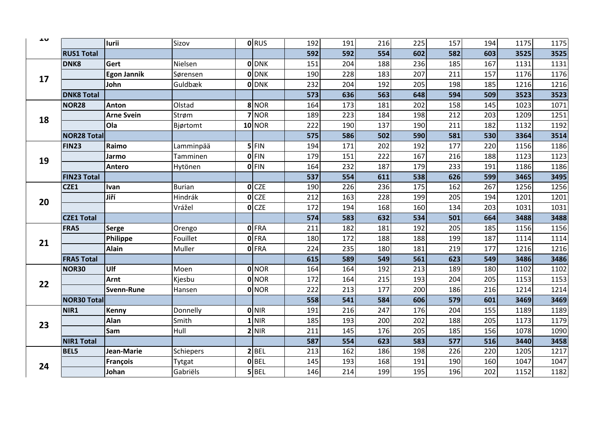| ᅩV |                    | <b>lurii</b>       | Sizov         | <b>ORUS</b>      | 192 | 191 | 216 | 225 | 157 | 194 | 1175 | 1175 |
|----|--------------------|--------------------|---------------|------------------|-----|-----|-----|-----|-----|-----|------|------|
|    | <b>RUS1 Total</b>  |                    |               |                  | 592 | 592 | 554 | 602 | 582 | 603 | 3525 | 3525 |
|    | DNK8               | Gert               | Nielsen       | <b>O</b> DNK     | 151 | 204 | 188 | 236 | 185 | 167 | 1131 | 1131 |
|    |                    | <b>Egon Jannik</b> | Sørensen      | <b>O</b> DNK     | 190 | 228 | 183 | 207 | 211 | 157 | 1176 | 1176 |
| 17 |                    | John               | Guldbæk       | <b>ODNK</b>      | 232 | 204 | 192 | 205 | 198 | 185 | 1216 | 1216 |
|    | <b>DNK8 Total</b>  |                    |               |                  | 573 | 636 | 563 | 648 | 594 | 509 | 3523 | 3523 |
|    | NOR <sub>28</sub>  | Anton              | Olstad        | 8 NOR            | 164 | 173 | 181 | 202 | 158 | 145 | 1023 | 1071 |
| 18 |                    | <b>Arne Svein</b>  | Strøm         | $7$ NOR          | 189 | 223 | 184 | 198 | 212 | 203 | 1209 | 1251 |
|    |                    | Ola                | Bjørtomt      | $10$ NOR         | 222 | 190 | 137 | 190 | 211 | 182 | 1132 | 1192 |
|    | <b>NOR28 Total</b> |                    |               |                  | 575 | 586 | 502 | 590 | 581 | 530 | 3364 | 3514 |
|    | <b>FIN23</b>       | Raimo              | Lamminpää     | $5$ FIN          | 194 | 171 | 202 | 192 | 177 | 220 | 1156 | 1186 |
| 19 |                    | Jarmo              | Tamminen      | <b>OFIN</b>      | 179 | 151 | 222 | 167 | 216 | 188 | 1123 | 1123 |
|    |                    | <b>Antero</b>      | Hytönen       | 0 FIN            | 164 | 232 | 187 | 179 | 233 | 191 | 1186 | 1186 |
|    | <b>FIN23 Total</b> |                    |               |                  | 537 | 554 | 611 | 538 | 626 | 599 | 3465 | 3495 |
|    | CZE1               | Ivan               | <b>Burian</b> | $O$ CZE          | 190 | 226 | 236 | 175 | 162 | 267 | 1256 | 1256 |
| 20 |                    | Jiří               | Hindrák       | O <sub>CZE</sub> | 212 | 163 | 228 | 199 | 205 | 194 | 1201 | 1201 |
|    |                    |                    | Vrážel        | $O$ CZE          | 172 | 194 | 168 | 160 | 134 | 203 | 1031 | 1031 |
|    | <b>CZE1 Total</b>  |                    |               |                  | 574 | 583 | 632 | 534 | 501 | 664 | 3488 | 3488 |
|    | FRA5               | Serge              | Orengo        | <b>O</b> FRA     | 211 | 182 | 181 | 192 | 205 | 185 | 1156 | 1156 |
| 21 |                    | Philippe           | Fouillet      | <b>O</b> FRA     | 180 | 172 | 188 | 188 | 199 | 187 | 1114 | 1114 |
|    |                    | <b>Alain</b>       | Muller        | <b>O</b> FRA     | 224 | 235 | 180 | 181 | 219 | 177 | 1216 | 1216 |
|    | <b>FRA5 Total</b>  |                    |               |                  | 615 | 589 | 549 | 561 | 623 | 549 | 3486 | 3486 |
|    | NOR30              | Ulf                | Moen          | 0 NOR            | 164 | 164 | 192 | 213 | 189 | 180 | 1102 | 1102 |
| 22 |                    | <b>Arnt</b>        | Kjesbu        | <b>O</b> NOR     | 172 | 164 | 215 | 193 | 204 | 205 | 1153 | 1153 |
|    |                    | <b>Svenn-Rune</b>  | Hansen        | 0 NOR            | 222 | 213 | 177 | 200 | 186 | 216 | 1214 | 1214 |
|    | <b>NOR30 Total</b> |                    |               |                  | 558 | 541 | 584 | 606 | 579 | 601 | 3469 | 3469 |
|    | NIR1               | Kenny              | Donnelly      | <b>O</b> NIR     | 191 | 216 | 247 | 176 | 204 | 155 | 1189 | 1189 |
| 23 |                    | Alan               | Smith         | $1$ NIR          | 185 | 193 | 200 | 202 | 188 | 205 | 1173 | 1179 |
|    |                    | Sam                | Hull          | $2$ NIR          | 211 | 145 | 176 | 205 | 185 | 156 | 1078 | 1090 |
|    | <b>NIR1 Total</b>  |                    |               |                  | 587 | 554 | 623 | 583 | 577 | 516 | 3440 | 3458 |
|    | <b>BEL5</b>        | Jean-Marie         | Schiepers     | $2$ BEL          | 213 | 162 | 186 | 198 | 226 | 220 | 1205 | 1217 |
| 24 |                    | <b>François</b>    | Tytgat        | $0$ BEL          | 145 | 193 | 168 | 191 | 190 | 160 | 1047 | 1047 |
|    |                    | Johan              | Gabriëls      | 5 BEL            | 146 | 214 | 199 | 195 | 196 | 202 | 1152 | 1182 |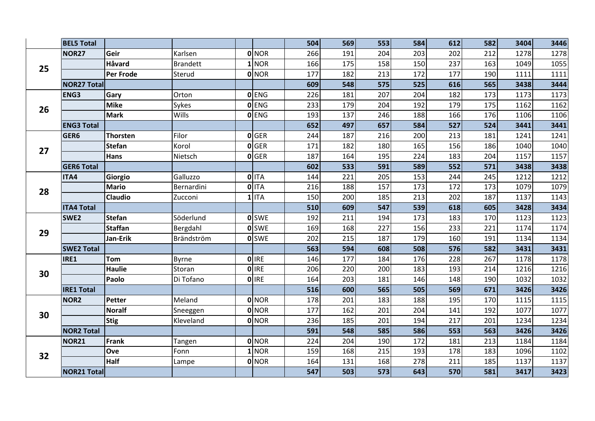|    | <b>BEL5 Total</b>  |                 |                 |              | 504 | 569 | 553 | 584 | 612 | 582 | 3404 | 3446 |
|----|--------------------|-----------------|-----------------|--------------|-----|-----|-----|-----|-----|-----|------|------|
|    |                    |                 |                 |              |     |     |     |     |     |     |      |      |
|    | NOR <sub>27</sub>  | Geir            | Karlsen         | 0 NOR        | 266 | 191 | 204 | 203 | 202 | 212 | 1278 | 1278 |
| 25 |                    | Håvard          | <b>Brandett</b> | $1$ NOR      | 166 | 175 | 158 | 150 | 237 | 163 | 1049 | 1055 |
|    |                    | Per Frode       | Sterud          | 0 NOR        | 177 | 182 | 213 | 172 | 177 | 190 | 1111 | 1111 |
|    | <b>NOR27 Total</b> |                 |                 |              | 609 | 548 | 575 | 525 | 616 | 565 | 3438 | 3444 |
|    | <b>ENG3</b>        | Gary            | Orton           | <b>O</b> ENG | 226 | 181 | 207 | 204 | 182 | 173 | 1173 | 1173 |
| 26 |                    | <b>Mike</b>     | Sykes           | 0 ENG        | 233 | 179 | 204 | 192 | 179 | 175 | 1162 | 1162 |
|    |                    | <b>Mark</b>     | <b>Wills</b>    | 0 ENG        | 193 | 137 | 246 | 188 | 166 | 176 | 1106 | 1106 |
|    | <b>ENG3 Total</b>  |                 |                 |              | 652 | 497 | 657 | 584 | 527 | 524 | 3441 | 3441 |
|    | GER6               | <b>Thorsten</b> | Filor           | 0 GER        | 244 | 187 | 216 | 200 | 213 | 181 | 1241 | 1241 |
| 27 |                    | <b>Stefan</b>   | Korol           | 0 GER        | 171 | 182 | 180 | 165 | 156 | 186 | 1040 | 1040 |
|    |                    | Hans            | Nietsch         | <b>O</b> GER | 187 | 164 | 195 | 224 | 183 | 204 | 1157 | 1157 |
|    | <b>GER6 Total</b>  |                 |                 |              | 602 | 533 | 591 | 589 | 552 | 571 | 3438 | 3438 |
|    | ITA4               | Giorgio         | Galluzzo        | 0 ITA        | 144 | 221 | 205 | 153 | 244 | 245 | 1212 | 1212 |
| 28 |                    | <b>Mario</b>    | Bernardini      | 0 ITA        | 216 | 188 | 157 | 173 | 172 | 173 | 1079 | 1079 |
|    |                    | Claudio         | Zucconi         | $1$ ITA      | 150 | 200 | 185 | 213 | 202 | 187 | 1137 | 1143 |
|    | <b>ITA4 Total</b>  |                 |                 |              | 510 | 609 | 547 | 539 | 618 | 605 | 3428 | 3434 |
|    | SWE <sub>2</sub>   | <b>Stefan</b>   | Söderlund       | <b>O</b> SWE | 192 | 211 | 194 | 173 | 183 | 170 | 1123 | 1123 |
| 29 |                    | <b>Staffan</b>  | Bergdahl        | <b>O</b> SWE | 169 | 168 | 227 | 156 | 233 | 221 | 1174 | 1174 |
|    |                    | Jan-Erik        | Brändström      | <b>O</b> SWE | 202 | 215 | 187 | 179 | 160 | 191 | 1134 | 1134 |
|    | <b>SWE2 Total</b>  |                 |                 |              | 563 | 594 | 608 | 508 | 576 | 582 | 3431 | 3431 |
|    | IRE1               | <b>Tom</b>      | <b>Byrne</b>    | 0 IRE        | 146 | 177 | 184 | 176 | 228 | 267 | 1178 | 1178 |
| 30 |                    | <b>Haulie</b>   | Storan          | <b>O</b> IRE | 206 | 220 | 200 | 183 | 193 | 214 | 1216 | 1216 |
|    |                    | Paolo           | Di Tofano       | 0 IRE        | 164 | 203 | 181 | 146 | 148 | 190 | 1032 | 1032 |
|    | <b>IRE1 Total</b>  |                 |                 |              | 516 | 600 | 565 | 505 | 569 | 671 | 3426 | 3426 |
|    | NOR <sub>2</sub>   | Petter          | Meland          | 0 NOR        | 178 | 201 | 183 | 188 | 195 | 170 | 1115 | 1115 |
|    |                    | <b>Noralf</b>   | Sneeggen        | 0 NOR        | 177 | 162 | 201 | 204 | 141 | 192 | 1077 | 1077 |
| 30 |                    | <b>Stig</b>     | Kleveland       | 0 NOR        | 236 | 185 | 201 | 194 | 217 | 201 | 1234 | 1234 |
|    | <b>NOR2 Total</b>  |                 |                 |              | 591 | 548 | 585 | 586 | 553 | 563 | 3426 | 3426 |
|    | NOR <sub>21</sub>  | <b>Frank</b>    | Tangen          | 0 NOR        | 224 | 204 | 190 | 172 | 181 | 213 | 1184 | 1184 |
|    |                    | Ove             | Fonn            | $1$ NOR      | 159 | 168 | 215 | 193 | 178 | 183 | 1096 | 1102 |
| 32 |                    | Half            | Lampe           | 0 NOR        | 164 | 131 | 168 | 278 | 211 | 185 | 1137 | 1137 |
|    | <b>NOR21 Total</b> |                 |                 |              | 547 | 503 | 573 | 643 | 570 | 581 | 3417 | 3423 |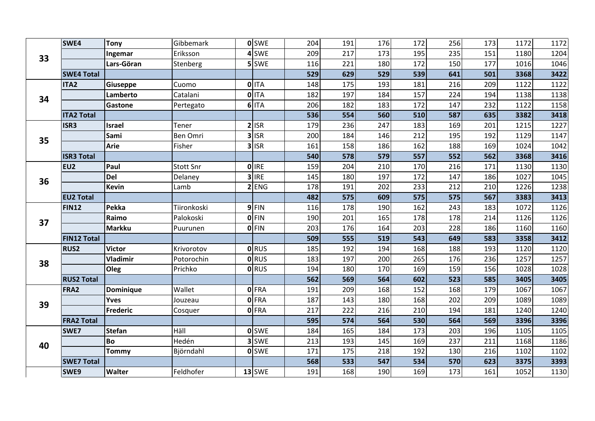|    | SWE4               | <b>Tony</b>      | Gibbemark   | olswe        | 204 | 191 | 176 | 172 | 256 | 173 | 1172 | 1172 |
|----|--------------------|------------------|-------------|--------------|-----|-----|-----|-----|-----|-----|------|------|
| 33 |                    | Ingemar          | Eriksson    | 4 SWE        | 209 | 217 | 173 | 195 | 235 | 151 | 1180 | 1204 |
|    |                    | Lars-Göran       | Stenberg    | 5 SWE        | 116 | 221 | 180 | 172 | 150 | 177 | 1016 | 1046 |
|    | <b>SWE4 Total</b>  |                  |             |              | 529 | 629 | 529 | 539 | 641 | 501 | 3368 | 3422 |
|    | <b>ITA2</b>        | Giuseppe         | Cuomo       | 0 ITA        | 148 | 175 | 193 | 181 | 216 | 209 | 1122 | 1122 |
| 34 |                    | Lamberto         | Catalani    | 0 ITA        | 182 | 197 | 184 | 157 | 224 | 194 | 1138 | 1138 |
|    |                    | <b>Gastone</b>   | Pertegato   | 6 ITA        | 206 | 182 | 183 | 172 | 147 | 232 | 1122 | 1158 |
|    | <b>ITA2 Total</b>  |                  |             |              | 536 | 554 | 560 | 510 | 587 | 635 | 3382 | 3418 |
|    | ISR3               | <b>Israel</b>    | Tener       | $2$ ISR      | 179 | 236 | 247 | 183 | 169 | 201 | 1215 | 1227 |
| 35 |                    | Sami             | Ben Omri    | $3$ ISR      | 200 | 184 | 146 | 212 | 195 | 192 | 1129 | 1147 |
|    |                    | <b>Arie</b>      | Fisher      | $3$ ISR      | 161 | 158 | 186 | 162 | 188 | 169 | 1024 | 1042 |
|    | <b>ISR3 Total</b>  |                  |             |              | 540 | 578 | 579 | 557 | 552 | 562 | 3368 | 3416 |
|    | EU <sub>2</sub>    | Paul             | Stott Snr   | <b>OlIRE</b> | 159 | 204 | 210 | 170 | 216 | 171 | 1130 | 1130 |
| 36 |                    | <b>Del</b>       | Delaney     | $3$ IRE      | 145 | 180 | 197 | 172 | 147 | 186 | 1027 | 1045 |
|    |                    | <b>Kevin</b>     | Lamb        | $2$ ENG      | 178 | 191 | 202 | 233 | 212 | 210 | 1226 | 1238 |
|    | <b>EU2 Total</b>   |                  |             |              | 482 | 575 | 609 | 575 | 575 | 567 | 3383 | 3413 |
|    | <b>FIN12</b>       | <b>Pekka</b>     | Tiironkoski | $9$ FIN      | 116 | 178 | 190 | 162 | 243 | 183 | 1072 | 1126 |
| 37 |                    | Raimo            | Palokoski   | $0$ FIN      | 190 | 201 | 165 | 178 | 178 | 214 | 1126 | 1126 |
|    |                    | <b>Markku</b>    | Puurunen    | $0$ FIN      | 203 | 176 | 164 | 203 | 228 | 186 | 1160 | 1160 |
|    | <b>FIN12 Total</b> |                  |             |              | 509 | 555 | 519 | 543 | 649 | 583 | 3358 | 3412 |
|    | <b>RUS2</b>        | <b>Victor</b>    | Krivorotov  | <b>o</b> RUS | 185 | 192 | 194 | 168 | 188 | 193 | 1120 | 1120 |
| 38 |                    | <b>Vladimir</b>  | Potorochin  | <b>O</b> RUS | 183 | 197 | 200 | 265 | 176 | 236 | 1257 | 1257 |
|    |                    | Oleg             | Prichko     | <b>ORUS</b>  | 194 | 180 | 170 | 169 | 159 | 156 | 1028 | 1028 |
|    | <b>RUS2 Total</b>  |                  |             |              | 562 | 569 | 564 | 602 | 523 | 585 | 3405 | 3405 |
|    | FRA2               | <b>Dominique</b> | Wallet      | 0 FRA        | 191 | 209 | 168 | 152 | 168 | 179 | 1067 | 1067 |
| 39 |                    | <b>Yves</b>      | Jouzeau     | 0 FRA        | 187 | 143 | 180 | 168 | 202 | 209 | 1089 | 1089 |
|    |                    | Frederic         | Cosquer     | 0 FRA        | 217 | 222 | 216 | 210 | 194 | 181 | 1240 | 1240 |
|    | <b>FRA2 Total</b>  |                  |             |              | 595 | 574 | 564 | 530 | 564 | 569 | 3396 | 3396 |
|    | SWE7               | <b>Stefan</b>    | Häll        | <b>o</b> SWE | 184 | 165 | 184 | 173 | 203 | 196 | 1105 | 1105 |
| 40 |                    | <b>Bo</b>        | Hedén       | 3 SWE        | 213 | 193 | 145 | 169 | 237 | 211 | 1168 | 1186 |
|    |                    | <b>Tommy</b>     | Björndahl   | <b>o</b> SWE | 171 | 175 | 218 | 192 | 130 | 216 | 1102 | 1102 |
|    | <b>SWE7 Total</b>  |                  |             |              | 568 | 533 | 547 | 534 | 570 | 623 | 3375 | 3393 |
|    | SWE9               | <b>Walter</b>    | Feldhofer   | $13$ SWE     | 191 | 168 | 190 | 169 | 173 | 161 | 1052 | 1130 |
|    |                    |                  |             |              |     |     |     |     |     |     |      |      |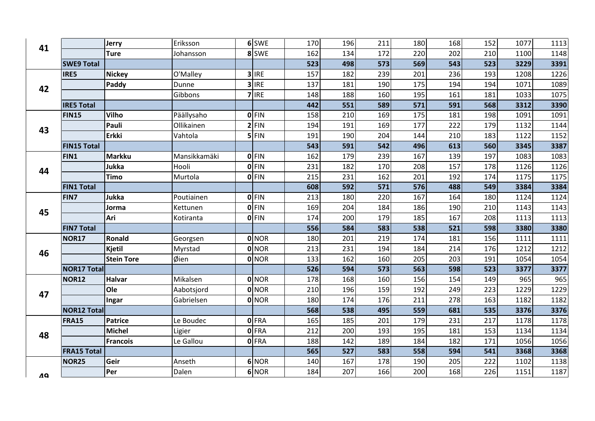| 41        |                    | Jerry             | Eriksson     | 6 SWE        | 170 | 196 | 211 | 180 | 168 | 152 | 1077 | 1113 |
|-----------|--------------------|-------------------|--------------|--------------|-----|-----|-----|-----|-----|-----|------|------|
|           |                    | <b>Ture</b>       | Johansson    | 8 SWE        | 162 | 134 | 172 | 220 | 202 | 210 | 1100 | 1148 |
|           | <b>SWE9 Total</b>  |                   |              |              | 523 | 498 | 573 | 569 | 543 | 523 | 3229 | 3391 |
|           | IRE5               | <b>Nickey</b>     | O'Malley     | $3$ IRE      | 157 | 182 | 239 | 201 | 236 | 193 | 1208 | 1226 |
| 42        |                    | Paddy             | Dunne        | $3$ IRE      | 137 | 181 | 190 | 175 | 194 | 194 | 1071 | 1089 |
|           |                    |                   | Gibbons      | $7$ IRE      | 148 | 188 | 160 | 195 | 161 | 181 | 1033 | 1075 |
|           | <b>IRE5 Total</b>  |                   |              |              | 442 | 551 | 589 | 571 | 591 | 568 | 3312 | 3390 |
|           | <b>FIN15</b>       | <b>Vilho</b>      | Päällysaho   | $0$ FIN      | 158 | 210 | 169 | 175 | 181 | 198 | 1091 | 1091 |
| 43        |                    | Pauli             | Ollikainen   | $2$ FIN      | 194 | 191 | 169 | 177 | 222 | 179 | 1132 | 1144 |
|           |                    | <b>Erkki</b>      | Vahtola      | $5$ FIN      | 191 | 190 | 204 | 144 | 210 | 183 | 1122 | 1152 |
|           | <b>FIN15 Total</b> |                   |              |              | 543 | 591 | 542 | 496 | 613 | 560 | 3345 | 3387 |
|           | FIN1               | <b>Markku</b>     | Mansikkamäki | $0$ FIN      | 162 | 179 | 239 | 167 | 139 | 197 | 1083 | 1083 |
| 44        |                    | Jukka             | Hooli        | $0$ FIN      | 231 | 182 | 170 | 208 | 157 | 178 | 1126 | 1126 |
|           |                    | Timo              | Murtola      | $0$ FIN      | 215 | 231 | 162 | 201 | 192 | 174 | 1175 | 1175 |
|           | <b>FIN1 Total</b>  |                   |              |              | 608 | 592 | 571 | 576 | 488 | 549 | 3384 | 3384 |
|           | FIN7               | Jukka             | Poutiainen   | $0$ FIN      | 213 | 180 | 220 | 167 | 164 | 180 | 1124 | 1124 |
| 45        |                    | Jorma             | Kettunen     | <b>OFIN</b>  | 169 | 204 | 184 | 186 | 190 | 210 | 1143 | 1143 |
|           |                    | Ari               | Kotiranta    | $0$ FIN      | 174 | 200 | 179 | 185 | 167 | 208 | 1113 | 1113 |
|           | <b>FIN7 Total</b>  |                   |              |              | 556 | 584 | 583 | 538 | 521 | 598 | 3380 | 3380 |
|           | <b>NOR17</b>       | Ronald            | Georgsen     | 0 NOR        | 180 | 201 | 219 | 174 | 181 | 156 | 1111 | 1111 |
| 46        |                    | Kjetil            | Myrstad      | <b>O</b> NOR | 213 | 231 | 194 | 184 | 214 | 176 | 1212 | 1212 |
|           |                    | <b>Stein Tore</b> | Øien         | 0 NOR        | 133 | 162 | 160 | 205 | 203 | 191 | 1054 | 1054 |
|           | <b>NOR17 Total</b> |                   |              |              | 526 | 594 | 573 | 563 | 598 | 523 | 3377 | 3377 |
|           | <b>NOR12</b>       | <b>Halvar</b>     | Mikalsen     | 0 NOR        | 178 | 168 | 160 | 156 | 154 | 149 | 965  | 965  |
| 47        |                    | Ole               | Aabotsjord   | 0 NOR        | 210 | 196 | 159 | 192 | 249 | 223 | 1229 | 1229 |
|           |                    | Ingar             | Gabrielsen   | 0 NOR        | 180 | 174 | 176 | 211 | 278 | 163 | 1182 | 1182 |
|           | <b>NOR12 Total</b> |                   |              |              | 568 | 538 | 495 | 559 | 681 | 535 | 3376 | 3376 |
|           | <b>FRA15</b>       | <b>Patrice</b>    | Le Boudec    | 0 FRA        | 165 | 185 | 201 | 179 | 231 | 217 | 1178 | 1178 |
| 48        |                    | <b>Michel</b>     | Ligier       | 0FRA         | 212 | 200 | 193 | 195 | 181 | 153 | 1134 | 1134 |
|           |                    | <b>Francois</b>   | Le Gallou    | 0FRA         | 188 | 142 | 189 | 184 | 182 | 171 | 1056 | 1056 |
|           | <b>FRA15 Total</b> |                   |              |              | 565 | 527 | 583 | 558 | 594 | 541 | 3368 | 3368 |
|           | <b>NOR25</b>       | Geir              | Anseth       | 6 NOR        | 140 | 167 | 178 | 190 | 205 | 222 | 1102 | 1138 |
| <b>10</b> |                    | Per               | Dalen        | 6 NOR        | 184 | 207 | 166 | 200 | 168 | 226 | 1151 | 1187 |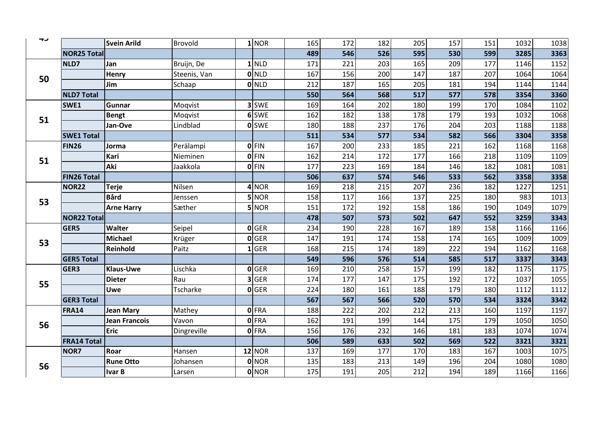| ーン |                    | <b>Svein Arild</b>   | Brovold      | $1$ NOR      | 165 | 172 | 182 | 205 | 157 | 151 | 1032 | 1038 |
|----|--------------------|----------------------|--------------|--------------|-----|-----|-----|-----|-----|-----|------|------|
|    | <b>NOR25 Total</b> |                      |              |              | 489 | 546 | 526 | 595 | 530 | 599 | 3285 | 3363 |
|    | NLD7               | Jan                  | Bruijn, De   | $1$ NLD      | 171 | 221 | 203 | 165 | 209 | 177 | 1146 | 1152 |
| 50 |                    | <b>Henry</b>         | Steenis, Van | $0$ NLD      | 167 | 156 | 200 | 147 | 187 | 207 | 1064 | 1064 |
|    |                    | Jim                  | Schaap       | 0 NLD        | 212 | 187 | 165 | 205 | 181 | 194 | 1144 | 1144 |
|    | <b>NLD7 Total</b>  |                      |              |              | 550 | 564 | 568 | 517 | 577 | 578 | 3354 | 3360 |
|    | SWE1               | Gunnar               | Moqvist      | 3 SWE        | 169 | 164 | 202 | 180 | 199 | 170 | 1084 | 1102 |
| 51 |                    | Bengt                | Moqvist      | 6 SWE        | 162 | 182 | 138 | 178 | 179 | 193 | 1032 | 1068 |
|    |                    | Jan-Ove              | Lindblad     | <b>O</b> SWE | 180 | 188 | 237 | 176 | 204 | 203 | 1188 | 1188 |
|    | <b>SWE1 Total</b>  |                      |              |              | 511 | 534 | 577 | 534 | 582 | 566 | 3304 | 3358 |
|    | FIN <sub>26</sub>  | Jorma                | Perälampi    | $0$ FIN      | 167 | 200 | 233 | 185 | 221 | 162 | 1168 | 1168 |
| 51 |                    | Kari                 | Nieminen     | $0$ FIN      | 162 | 214 | 172 | 177 | 166 | 218 | 1109 | 1109 |
|    |                    | Aki                  | Jaakkola     | <b>OFIN</b>  | 177 | 223 | 169 | 184 | 146 | 182 | 1081 | 1081 |
|    | <b>FIN26 Total</b> |                      |              |              | 506 | 637 | 574 | 546 | 533 | 562 | 3358 | 3358 |
|    | NOR <sub>22</sub>  | <b>Terje</b>         | Nilsen       | $4$ NOR      | 169 | 218 | 215 | 207 | 236 | 182 | 1227 | 1251 |
| 53 |                    | <b>Bård</b>          | Jenssen      | <b>5</b> NOR | 158 | 117 | 166 | 137 | 225 | 180 | 983  | 1013 |
|    |                    | <b>Arne Harry</b>    | Sæther       | 5 NOR        | 151 | 172 | 192 | 158 | 186 | 190 | 1049 | 1079 |
|    | <b>NOR22 Total</b> |                      |              |              | 478 | 507 | 573 | 502 | 647 | 552 | 3259 | 3343 |
|    | <b>GER5</b>        | Walter               | Seipel       | 0 GER        | 234 | 190 | 228 | 167 | 189 | 158 | 1166 | 1166 |
| 53 |                    | <b>Michael</b>       | Krüger       | 0 GER        | 147 | 191 | 174 | 158 | 174 | 165 | 1009 | 1009 |
|    |                    | Reinhold             | Paitz        | $1$ GER      | 168 | 215 | 174 | 189 | 222 | 194 | 1162 | 1168 |
|    | <b>GER5 Total</b>  |                      |              |              | 549 | 596 | 576 | 514 | 585 | 517 | 3337 | 3343 |
|    | GER3               | <b>Klaus-Uwe</b>     | Lischka      | 0 GER        | 169 | 210 | 258 | 157 | 199 | 182 | 1175 | 1175 |
| 55 |                    | <b>Dieter</b>        | Rau          | 3 GER        | 174 | 177 | 147 | 175 | 192 | 172 | 1037 | 1055 |
|    |                    | <b>Uwe</b>           | Tscharke     | $O$ GER      | 224 | 180 | 161 | 188 | 179 | 180 | 1112 | 1112 |
|    | <b>GER3 Total</b>  |                      |              |              | 567 | 567 | 566 | 520 | 570 | 534 | 3324 | 3342 |
|    | <b>FRA14</b>       | <b>Jean Mary</b>     | Mathey       | <b>OFRA</b>  | 188 | 222 | 202 | 212 | 213 | 160 | 1197 | 1197 |
| 56 |                    | <b>Jean Francois</b> | Vavon        | 0FRA         | 162 | 191 | 199 | 144 | 175 | 179 | 1050 | 1050 |
|    |                    | <b>Eric</b>          | Dingreville  | 0FRA         | 156 | 176 | 232 | 146 | 181 | 183 | 1074 | 1074 |
|    | <b>FRA14 Total</b> |                      |              |              | 506 | 589 | 633 | 502 | 569 | 522 | 3321 | 3321 |
|    | NOR7               | Roar                 | Hansen       | $12$ NOR     | 137 | 169 | 177 | 170 | 183 | 167 | 1003 | 1075 |
| 56 |                    | <b>Rune Otto</b>     | Johansen     | 0 NOR        | 135 | 183 | 213 | 149 | 196 | 204 | 1080 | 1080 |
|    |                    | <b>Ivar B</b>        | Larsen       | 0 NOR        | 175 | 191 | 205 | 212 | 194 | 189 | 1166 | 1166 |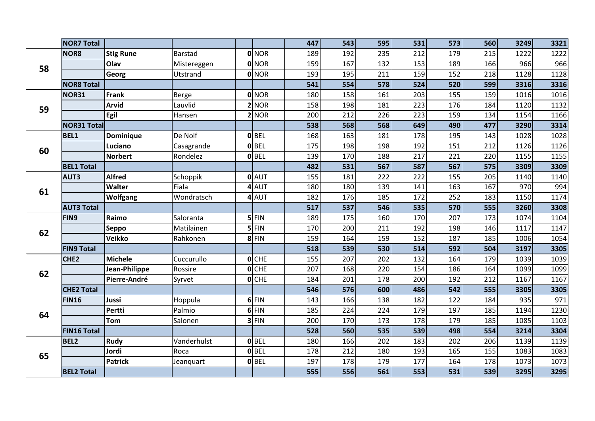|    | <b>NOR7 Total</b>  |                  |             |                |              | 447 | 543 | 595 | 531 | 573 | 560 | 3249 | 3321 |
|----|--------------------|------------------|-------------|----------------|--------------|-----|-----|-----|-----|-----|-----|------|------|
|    | NOR8               | <b>Stig Rune</b> | Barstad     |                | <b>O</b> NOR | 189 | 192 | 235 | 212 | 179 | 215 | 1222 | 1222 |
|    |                    | Olav             | Mistereggen |                | <b>O</b> NOR | 159 | 167 | 132 | 153 | 189 | 166 | 966  | 966  |
| 58 |                    | Georg            | Utstrand    |                | 0 NOR        | 193 | 195 | 211 | 159 | 152 | 218 | 1128 | 1128 |
|    | <b>NOR8 Total</b>  |                  |             |                |              | 541 | 554 | 578 | 524 | 520 | 599 | 3316 | 3316 |
|    | NOR31              | <b>Frank</b>     | Berge       |                | 0 NOR        | 180 | 158 | 161 | 203 | 155 | 159 | 1016 | 1016 |
| 59 |                    | <b>Arvid</b>     | Lauvlid     | $\overline{2}$ | <b>NOR</b>   | 158 | 198 | 181 | 223 | 176 | 184 | 1120 | 1132 |
|    |                    | Egil             | Hansen      |                | 2 NOR        | 200 | 212 | 226 | 223 | 159 | 134 | 1154 | 1166 |
|    | <b>NOR31 Total</b> |                  |             |                |              | 538 | 568 | 568 | 649 | 490 | 477 | 3290 | 3314 |
|    | <b>BEL1</b>        | <b>Dominique</b> | De Nolf     |                | <b>O</b> BEL | 168 | 163 | 181 | 178 | 195 | 143 | 1028 | 1028 |
| 60 |                    | Luciano          | Casagrande  |                | 0 BEL        | 175 | 198 | 198 | 192 | 151 | 212 | 1126 | 1126 |
|    |                    | <b>Norbert</b>   | Rondelez    |                | $0$ BEL      | 139 | 170 | 188 | 217 | 221 | 220 | 1155 | 1155 |
|    | <b>BEL1 Total</b>  |                  |             |                |              | 482 | 531 | 567 | 587 | 567 | 575 | 3309 | 3309 |
|    | AUT3               | <b>Alfred</b>    | Schoppik    |                | 0 AUT        | 155 | 181 | 222 | 222 | 155 | 205 | 1140 | 1140 |
| 61 |                    | Walter           | Fiala       |                | 4 AUT        | 180 | 180 | 139 | 141 | 163 | 167 | 970  | 994  |
|    |                    | <b>Wolfgang</b>  | Wondratsch  |                | 4 AUT        | 182 | 176 | 185 | 172 | 252 | 183 | 1150 | 1174 |
|    | <b>AUT3 Total</b>  |                  |             |                |              | 517 | 537 | 546 | 535 | 570 | 555 | 3260 | 3308 |
|    | FIN9               | Raimo            | Saloranta   |                | $5$ FIN      | 189 | 175 | 160 | 170 | 207 | 173 | 1074 | 1104 |
| 62 |                    | <b>Seppo</b>     | Matilainen  |                | $5$ FIN      | 170 | 200 | 211 | 192 | 198 | 146 | 1117 | 1147 |
|    |                    | <b>Veikko</b>    | Rahkonen    |                | $8$ FIN      | 159 | 164 | 159 | 152 | 187 | 185 | 1006 | 1054 |
|    | <b>FIN9 Total</b>  |                  |             |                |              | 518 | 539 | 530 | 514 | 592 | 504 | 3197 | 3305 |
|    | CHE <sub>2</sub>   | <b>Michele</b>   | Cuccurullo  |                | $O$ CHE      | 155 | 207 | 202 | 132 | 164 | 179 | 1039 | 1039 |
| 62 |                    | Jean-Philippe    | Rossire     |                | $O$ CHE      | 207 | 168 | 220 | 154 | 186 | 164 | 1099 | 1099 |
|    |                    | Pierre-André     | Syrvet      |                | $O$ CHE      | 184 | 201 | 178 | 200 | 192 | 212 | 1167 | 1167 |
|    | <b>CHE2 Total</b>  |                  |             |                |              | 546 | 576 | 600 | 486 | 542 | 555 | 3305 | 3305 |
|    | <b>FIN16</b>       | Jussi            | Hoppula     |                | $6$ FIN      | 143 | 166 | 138 | 182 | 122 | 184 | 935  | 971  |
| 64 |                    | <b>Pertti</b>    | Palmio      |                | $6$ FIN      | 185 | 224 | 224 | 179 | 197 | 185 | 1194 | 1230 |
|    |                    | Tom              | Salonen     |                | $3$ FIN      | 200 | 170 | 173 | 178 | 179 | 185 | 1085 | 1103 |
|    | <b>FIN16 Total</b> |                  |             |                |              | 528 | 560 | 535 | 539 | 498 | 554 | 3214 | 3304 |
|    | BEL2               | Rudy             | Vanderhulst |                | $0$ BEL      | 180 | 166 | 202 | 183 | 202 | 206 | 1139 | 1139 |
| 65 |                    | Jordi            | Roca        |                | 0 <b>BEL</b> | 178 | 212 | 180 | 193 | 165 | 155 | 1083 | 1083 |
|    |                    | <b>Patrick</b>   | Jeanquart   |                | 0 <b>BEL</b> | 197 | 178 | 179 | 177 | 164 | 178 | 1073 | 1073 |
|    | <b>BEL2 Total</b>  |                  |             |                |              | 555 | 556 | 561 | 553 | 531 | 539 | 3295 | 3295 |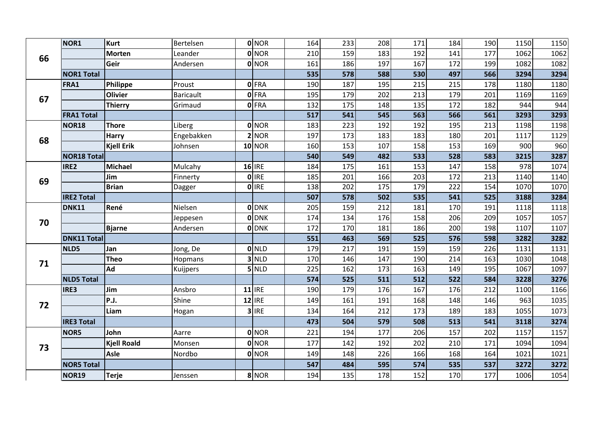|    | NOR1               | <b>Kurt</b>        | Bertelsen        | 0 NOR         | 164 | 233 | 208 | 171 | 184 | 190 | 1150 | 1150 |
|----|--------------------|--------------------|------------------|---------------|-----|-----|-----|-----|-----|-----|------|------|
| 66 |                    | <b>Morten</b>      | Leander          | 0 NOR         | 210 | 159 | 183 | 192 | 141 | 177 | 1062 | 1062 |
|    |                    | Geir               | Andersen         | <b>O</b> NOR  | 161 | 186 | 197 | 167 | 172 | 199 | 1082 | 1082 |
|    | <b>NOR1 Total</b>  |                    |                  |               | 535 | 578 | 588 | 530 | 497 | 566 | 3294 | 3294 |
|    | FRA1               | Philippe           | Proust           | 0 FRA         | 190 | 187 | 195 | 215 | 215 | 178 | 1180 | 1180 |
| 67 |                    | <b>Olivier</b>     | <b>Baricault</b> | 0 FRA         | 195 | 179 | 202 | 213 | 179 | 201 | 1169 | 1169 |
|    |                    | <b>Thierry</b>     | Grimaud          | 0 FRA         | 132 | 175 | 148 | 135 | 172 | 182 | 944  | 944  |
|    | <b>FRA1 Total</b>  |                    |                  |               | 517 | 541 | 545 | 563 | 566 | 561 | 3293 | 3293 |
|    | <b>NOR18</b>       | <b>Thore</b>       | Liberg           | 0 NOR         | 183 | 223 | 192 | 192 | 195 | 213 | 1198 | 1198 |
| 68 |                    | <b>Harry</b>       | Engebakken       | 2 NOR         | 197 | 173 | 183 | 183 | 180 | 201 | 1117 | 1129 |
|    |                    | <b>Kjell Erik</b>  | Johnsen          | <b>10 NOR</b> | 160 | 153 | 107 | 158 | 153 | 169 | 900  | 960  |
|    | <b>NOR18 Total</b> |                    |                  |               | 540 | 549 | 482 | 533 | 528 | 583 | 3215 | 3287 |
|    | IRE2               | <b>Michael</b>     | Mulcahy          | $16$ IRE      | 184 | 175 | 161 | 153 | 147 | 158 | 978  | 1074 |
| 69 |                    | Jim                | Finnerty         | <b>O</b> IRE  | 185 | 201 | 166 | 203 | 172 | 213 | 1140 | 1140 |
|    |                    | <b>Brian</b>       | Dagger           | 0 IRE         | 138 | 202 | 175 | 179 | 222 | 154 | 1070 | 1070 |
|    | <b>IRE2 Total</b>  |                    |                  |               | 507 | 578 | 502 | 535 | 541 | 525 | 3188 | 3284 |
|    | <b>DNK11</b>       | René               | Nielsen          | 0 DNK         | 205 | 159 | 212 | 181 | 170 | 191 | 1118 | 1118 |
| 70 |                    |                    | Jeppesen         | <b>O</b> DNK  | 174 | 134 | 176 | 158 | 206 | 209 | 1057 | 1057 |
|    |                    | <b>Bjarne</b>      | Andersen         | <b>O</b> DNK  | 172 | 170 | 181 | 186 | 200 | 198 | 1107 | 1107 |
|    | <b>DNK11 Total</b> |                    |                  |               | 551 | 463 | 569 | 525 | 576 | 598 | 3282 | 3282 |
|    | NLD5               | Jan                | Jong, De         | <b>O</b> NLD  | 179 | 217 | 191 | 159 | 159 | 226 | 1131 | 1131 |
| 71 |                    | <b>Theo</b>        | Hopmans          | $3$ NLD       | 170 | 146 | 147 | 190 | 214 | 163 | 1030 | 1048 |
|    |                    | Ad                 | Kuijpers         | $5$ NLD       | 225 | 162 | 173 | 163 | 149 | 195 | 1067 | 1097 |
|    | <b>NLD5 Total</b>  |                    |                  |               | 574 | 525 | 511 | 512 | 522 | 584 | 3228 | 3276 |
|    | IRE3               | Jim                | Ansbro           | $11$ IRE      | 190 | 179 | 176 | 167 | 176 | 212 | 1100 | 1166 |
| 72 |                    | P.J.               | Shine            | $12$ IRE      | 149 | 161 | 191 | 168 | 148 | 146 | 963  | 1035 |
|    |                    | Liam               | Hogan            | $3$ IRE       | 134 | 164 | 212 | 173 | 189 | 183 | 1055 | 1073 |
|    | <b>IRE3 Total</b>  |                    |                  |               | 473 | 504 | 579 | 508 | 513 | 541 | 3118 | 3274 |
|    | NOR5               | John               | Aarre            | 0 NOR         | 221 | 194 | 177 | 206 | 157 | 202 | 1157 | 1157 |
| 73 |                    | <b>Kjell Roald</b> | Monsen           | 0 NOR         | 177 | 142 | 192 | 202 | 210 | 171 | 1094 | 1094 |
|    |                    | <b>Asle</b>        | Nordbo           | 0 NOR         | 149 | 148 | 226 | 166 | 168 | 164 | 1021 | 1021 |
|    | <b>NOR5 Total</b>  |                    |                  |               | 547 | 484 | 595 | 574 | 535 | 537 | 3272 | 3272 |
|    | NOR19              | <b>Terje</b>       | Jenssen          | 8 NOR         | 194 | 135 | 178 | 152 | 170 | 177 | 1006 | 1054 |
|    |                    |                    |                  |               |     |     |     |     |     |     |      |      |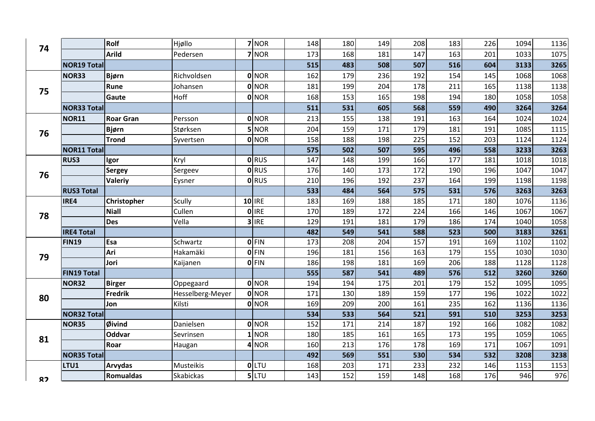|              |                    | Rolf             | Hjøllo           | 7 NOR        | 148 | 180 | 149 | 208 | 183 | 226 | 1094 | 1136 |
|--------------|--------------------|------------------|------------------|--------------|-----|-----|-----|-----|-----|-----|------|------|
| 74           |                    | <b>Arild</b>     | Pedersen         | 7 NOR        | 173 | 168 | 181 | 147 | 163 | 201 | 1033 | 1075 |
|              | <b>NOR19 Total</b> |                  |                  |              | 515 | 483 | 508 | 507 | 516 | 604 | 3133 | 3265 |
|              | <b>NOR33</b>       | <b>Bjørn</b>     | Richvoldsen      | <b>O</b> NOR | 162 | 179 | 236 | 192 | 154 | 145 | 1068 | 1068 |
|              |                    | Rune             | Johansen         | <b>O</b> NOR | 181 | 199 | 204 | 178 | 211 | 165 | 1138 | 1138 |
| 75           |                    | Gaute            | Hoff             | 0 NOR        | 168 | 153 | 165 | 198 | 194 | 180 | 1058 | 1058 |
|              | <b>NOR33 Total</b> |                  |                  |              | 511 | 531 | 605 | 568 | 559 | 490 | 3264 | 3264 |
|              | <b>NOR11</b>       | <b>Roar Gran</b> | Persson          | <b>O</b> NOR | 213 | 155 | 138 | 191 | 163 | 164 | 1024 | 1024 |
|              |                    | <b>Bjørn</b>     | Størksen         | 5 NOR        | 204 | 159 | 171 | 179 | 181 | 191 | 1085 | 1115 |
| 76           |                    | Trond            | Syvertsen        | <b>O</b> NOR | 158 | 188 | 198 | 225 | 152 | 203 | 1124 | 1124 |
|              | <b>NOR11 Total</b> |                  |                  |              | 575 | 502 | 507 | 595 | 496 | 558 | 3233 | 3263 |
|              | <b>RUS3</b>        | Igor             | Kryl             | <b>O</b> RUS | 147 | 148 | 199 | 166 | 177 | 181 | 1018 | 1018 |
| 76           |                    | Sergey           | Sergeev          | <b>O</b> RUS | 176 | 140 | 173 | 172 | 190 | 196 | 1047 | 1047 |
|              |                    | <b>Valeriy</b>   | Eysner           | <b>O</b> RUS | 210 | 196 | 192 | 237 | 164 | 199 | 1198 | 1198 |
|              | <b>RUS3 Total</b>  |                  |                  |              | 533 | 484 | 564 | 575 | 531 | 576 | 3263 | 3263 |
|              | IRE4               | Christopher      | Scully           | $10$ IRE     | 183 | 169 | 188 | 185 | 171 | 180 | 1076 | 1136 |
| 78           |                    | <b>Niall</b>     | Cullen           | 0 IRE        | 170 | 189 | 172 | 224 | 166 | 146 | 1067 | 1067 |
|              |                    | <b>Des</b>       | Vella            | 3 IRE        | 129 | 191 | 181 | 179 | 186 | 174 | 1040 | 1058 |
|              | <b>IRE4 Total</b>  |                  |                  |              | 482 | 549 | 541 | 588 | 523 | 500 | 3183 | 3261 |
|              | <b>FIN19</b>       | Esa              | Schwartz         | <b>O</b> FIN | 173 | 208 | 204 | 157 | 191 | 169 | 1102 | 1102 |
| 79           |                    | Ari              | Hakamäki         | <b>OFIN</b>  | 196 | 181 | 156 | 163 | 179 | 155 | 1030 | 1030 |
|              |                    | Jori             | Kaijanen         | <b>OFIN</b>  | 186 | 198 | 181 | 169 | 206 | 188 | 1128 | 1128 |
|              | <b>FIN19 Total</b> |                  |                  |              | 555 | 587 | 541 | 489 | 576 | 512 | 3260 | 3260 |
|              | <b>NOR32</b>       | <b>Birger</b>    | Oppegaard        | <b>O</b> NOR | 194 | 194 | 175 | 201 | 179 | 152 | 1095 | 1095 |
| 80           |                    | <b>Fredrik</b>   | Hesselberg-Meyer | <b>O</b> NOR | 171 | 130 | 189 | 159 | 177 | 196 | 1022 | 1022 |
|              |                    | Jon              | Kilsti           | <b>O</b> NOR | 169 | 209 | 200 | 161 | 235 | 162 | 1136 | 1136 |
|              | <b>NOR32 Total</b> |                  |                  |              | 534 | 533 | 564 | 521 | 591 | 510 | 3253 | 3253 |
|              | <b>NOR35</b>       | Øivind           | Danielsen        | <b>O</b> NOR | 152 | 171 | 214 | 187 | 192 | 166 | 1082 | 1082 |
| 81           |                    | <b>Oddvar</b>    | Sevrinsen        | $1$ NOR      | 180 | 185 | 161 | 165 | 173 | 195 | 1059 | 1065 |
|              |                    | Roar             | Haugan           | $4$ NOR      | 160 | 213 | 176 | 178 | 169 | 171 | 1067 | 1091 |
|              | <b>NOR35 Total</b> |                  |                  |              | 492 | 569 | 551 | 530 | 534 | 532 | 3208 | 3238 |
|              | LTU1               | Arvydas          | Musteikis        | OLTU         | 168 | 203 | 171 | 233 | 232 | 146 | 1153 | 1153 |
| $\mathbf{Q}$ |                    | <b>Romualdas</b> | Skabickas        | $5$ LTU      | 143 | 152 | 159 | 148 | 168 | 176 | 946  | 976  |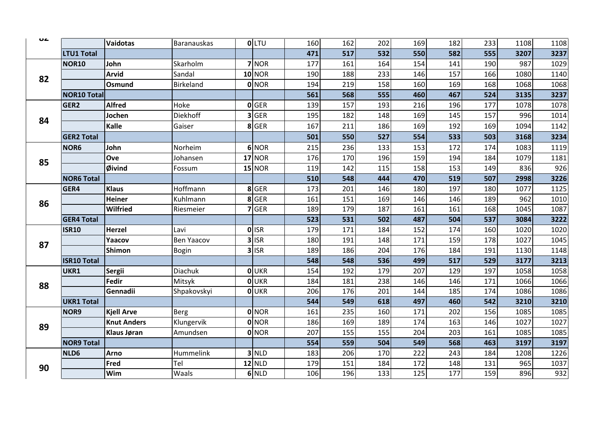| UŁ |                    | Vaidotas           | Baranauskas       | <b>O</b> LTU  | 160 | 162 | 202 | 169 | 182 | 233 | 1108 | 1108 |
|----|--------------------|--------------------|-------------------|---------------|-----|-----|-----|-----|-----|-----|------|------|
|    | LTU1 Total         |                    |                   |               | 471 | 517 | 532 | 550 | 582 | 555 | 3207 | 3237 |
|    | <b>NOR10</b>       | John               | Skarholm          | $7$ NOR       | 177 | 161 | 164 | 154 | 141 | 190 | 987  | 1029 |
|    |                    | <b>Arvid</b>       | Sandal            | <b>10 NOR</b> | 190 | 188 | 233 | 146 | 157 | 166 | 1080 | 1140 |
| 82 |                    | Osmund             | Birkeland         | 0 NOR         | 194 | 219 | 158 | 160 | 169 | 168 | 1068 | 1068 |
|    | <b>NOR10 Total</b> |                    |                   |               | 561 | 568 | 555 | 460 | 467 | 524 | 3135 | 3237 |
|    | GER <sub>2</sub>   | <b>Alfred</b>      | Hoke              | <b>O</b> GER  | 139 | 157 | 193 | 216 | 196 | 177 | 1078 | 1078 |
| 84 |                    | Jochen             | <b>Diekhoff</b>   | 3 GER         | 195 | 182 | 148 | 169 | 145 | 157 | 996  | 1014 |
|    |                    | Kalle              | Gaiser            | 8 GER         | 167 | 211 | 186 | 169 | 192 | 169 | 1094 | 1142 |
|    | <b>GER2 Total</b>  |                    |                   |               | 501 | 550 | 527 | 554 | 533 | 503 | 3168 | 3234 |
|    | NOR6               | John               | Norheim           | 6 NOR         | 215 | 236 | 133 | 153 | 172 | 174 | 1083 | 1119 |
| 85 |                    | Ove                | Johansen          | <b>17 NOR</b> | 176 | 170 | 196 | 159 | 194 | 184 | 1079 | 1181 |
|    |                    | <b>Øivind</b>      | Fossum            | <b>15 NOR</b> | 119 | 142 | 115 | 158 | 153 | 149 | 836  | 926  |
|    | <b>NOR6 Total</b>  |                    |                   |               | 510 | 548 | 444 | 470 | 519 | 507 | 2998 | 3226 |
|    | GER4               | <b>Klaus</b>       | Hoffmann          | 8 GER         | 173 | 201 | 146 | 180 | 197 | 180 | 1077 | 1125 |
| 86 |                    | <b>Heiner</b>      | Kuhlmann          | 8 GER         | 161 | 151 | 169 | 146 | 146 | 189 | 962  | 1010 |
|    |                    | <b>Wilfried</b>    | Riesmeier         | $7$ GER       | 189 | 179 | 187 | 161 | 161 | 168 | 1045 | 1087 |
|    | <b>GER4 Total</b>  |                    |                   |               | 523 | 531 | 502 | 487 | 504 | 537 | 3084 | 3222 |
|    | <b>ISR10</b>       | Herzel             | Lavi              | 0 ISR         | 179 | 171 | 184 | 152 | 174 | 160 | 1020 | 1020 |
| 87 |                    | Yaacov             | <b>Ben Yaacov</b> | $3$ ISR       | 180 | 191 | 148 | 171 | 159 | 178 | 1027 | 1045 |
|    |                    | Shimon             | Bogin             | $3$ ISR       | 189 | 186 | 204 | 176 | 184 | 191 | 1130 | 1148 |
|    | <b>ISR10 Total</b> |                    |                   |               | 548 | 548 | 536 | 499 | 517 | 529 | 3177 | 3213 |
|    | UKR1               | Sergii             | <b>Diachuk</b>    | OUKR          | 154 | 192 | 179 | 207 | 129 | 197 | 1058 | 1058 |
| 88 |                    | Fedir              | Mitsyk            | OUKR          | 184 | 181 | 238 | 146 | 146 | 171 | 1066 | 1066 |
|    |                    | Gennadii           | Shpakovskyi       | <b>O</b> UKR  | 206 | 176 | 201 | 144 | 185 | 174 | 1086 | 1086 |
|    | <b>UKR1 Total</b>  |                    |                   |               | 544 | 549 | 618 | 497 | 460 | 542 | 3210 | 3210 |
|    | NOR9               | <b>Kjell Arve</b>  | Berg              | 0 NOR         | 161 | 235 | 160 | 171 | 202 | 156 | 1085 | 1085 |
| 89 |                    | <b>Knut Anders</b> | Klungervik        | 0 NOR         | 186 | 169 | 189 | 174 | 163 | 146 | 1027 | 1027 |
|    |                    | <b>Klaus Jøran</b> | Amundsen          | 0 NOR         | 207 | 155 | 155 | 204 | 203 | 161 | 1085 | 1085 |
|    | <b>NOR9 Total</b>  |                    |                   |               | 554 | 559 | 504 | 549 | 568 | 463 | 3197 | 3197 |
|    | NLD6               | <b>Arno</b>        | Hummelink         | $3$ NLD       | 183 | 206 | 170 | 222 | 243 | 184 | 1208 | 1226 |
| 90 |                    | Fred               | Tel               | $12$ NLD      | 179 | 151 | 184 | 172 | 148 | 131 | 965  | 1037 |
|    |                    | Wim                | Waals             | $6$ NLD       | 106 | 196 | 133 | 125 | 177 | 159 | 896  | 932  |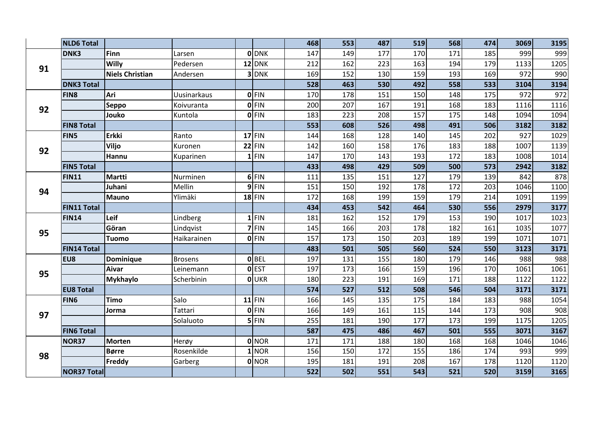|    | <b>NLD6 Total</b>  |                        |                    |              | 468 | 553 | 487 | 519 | 568 | 474 | 3069 | 3195 |
|----|--------------------|------------------------|--------------------|--------------|-----|-----|-----|-----|-----|-----|------|------|
|    | DNK3               | <b>Finn</b>            | Larsen             | <b>O</b> DNK | 147 | 149 | 177 | 170 | 171 | 185 | 999  | 999  |
| 91 |                    | <b>Willy</b>           | Pedersen           | $12$ DNK     | 212 | 162 | 223 | 163 | 194 | 179 | 1133 | 1205 |
|    |                    | <b>Niels Christian</b> | Andersen           | 3DNK         | 169 | 152 | 130 | 159 | 193 | 169 | 972  | 990  |
|    | <b>DNK3 Total</b>  |                        |                    |              | 528 | 463 | 530 | 492 | 558 | 533 | 3104 | 3194 |
|    | FIN8               | Ari                    | <b>Uusinarkaus</b> | <b>OFIN</b>  | 170 | 178 | 151 | 150 | 148 | 175 | 972  | 972  |
| 92 |                    | Seppo                  | Koivuranta         | $0$ FIN      | 200 | 207 | 167 | 191 | 168 | 183 | 1116 | 1116 |
|    |                    | Jouko                  | Kuntola            | $0$ FIN      | 183 | 223 | 208 | 157 | 175 | 148 | 1094 | 1094 |
|    | <b>FIN8 Total</b>  |                        |                    |              | 553 | 608 | 526 | 498 | 491 | 506 | 3182 | 3182 |
|    | FIN5               | <b>Erkki</b>           | Ranto              | $17$ FIN     | 144 | 168 | 128 | 140 | 145 | 202 | 927  | 1029 |
| 92 |                    | Viljo                  | Kuronen            | $22$ FIN     | 142 | 160 | 158 | 176 | 183 | 188 | 1007 | 1139 |
|    |                    | Hannu                  | Kuparinen          | $1$ FIN      | 147 | 170 | 143 | 193 | 172 | 183 | 1008 | 1014 |
|    | <b>FIN5 Total</b>  |                        |                    |              | 433 | 498 | 429 | 509 | 500 | 573 | 2942 | 3182 |
|    | <b>FIN11</b>       | <b>Martti</b>          | Nurminen           | $6$ FIN      | 111 | 135 | 151 | 127 | 179 | 139 | 842  | 878  |
| 94 |                    | Juhani                 | Mellin             | $9$ FIN      | 151 | 150 | 192 | 178 | 172 | 203 | 1046 | 1100 |
|    |                    | <b>Mauno</b>           | Ylimäki            | $18$ FIN     | 172 | 168 | 199 | 159 | 179 | 214 | 1091 | 1199 |
|    | <b>FIN11 Total</b> |                        |                    |              | 434 | 453 | 542 | 464 | 530 | 556 | 2979 | 3177 |
|    | <b>FIN14</b>       | Leif                   | Lindberg           | $1$ FIN      | 181 | 162 | 152 | 179 | 153 | 190 | 1017 | 1023 |
| 95 |                    | Göran                  | Lindqvist          | $7$ FIN      | 145 | 166 | 203 | 178 | 182 | 161 | 1035 | 1077 |
|    |                    | <b>Tuomo</b>           | Haikarainen        | 0 FIN        | 157 | 173 | 150 | 203 | 189 | 199 | 1071 | 1071 |
|    | <b>FIN14 Total</b> |                        |                    |              | 483 | 501 | 505 | 560 | 524 | 550 | 3123 | 3171 |
|    | EU8                | Dominique              | <b>Brosens</b>     | 0 BEL        | 197 | 131 | 155 | 180 | 179 | 146 | 988  | 988  |
| 95 |                    | Aivar                  | Leinemann          | <b>O</b> EST | 197 | 173 | 166 | 159 | 196 | 170 | 1061 | 1061 |
|    |                    | <b>Mykhaylo</b>        | Scherbinin         | <b>OUKR</b>  | 180 | 223 | 191 | 169 | 171 | 188 | 1122 | 1122 |
|    | <b>EU8 Total</b>   |                        |                    |              | 574 | 527 | 512 | 508 | 546 | 504 | 3171 | 3171 |
|    | FIN <sub>6</sub>   | <b>Timo</b>            | Salo               | $11$ FIN     | 166 | 145 | 135 | 175 | 184 | 183 | 988  | 1054 |
| 97 |                    | Jorma                  | Tattari            | $0$ FIN      | 166 | 149 | 161 | 115 | 144 | 173 | 908  | 908  |
|    |                    |                        | Solaluoto          | $5$ FIN      | 255 | 181 | 190 | 177 | 173 | 199 | 1175 | 1205 |
|    | <b>FIN6 Total</b>  |                        |                    |              | 587 | 475 | 486 | 467 | 501 | 555 | 3071 | 3167 |
|    | NOR37              | <b>Morten</b>          | Herøy              | 0 NOR        | 171 | 171 | 188 | 180 | 168 | 168 | 1046 | 1046 |
| 98 |                    | <b>Børre</b>           | Rosenkilde         | $1$ NOR      | 156 | 150 | 172 | 155 | 186 | 174 | 993  | 999  |
|    |                    | Freddy                 | Garberg            | <b>O</b> NOR | 195 | 181 | 191 | 208 | 167 | 178 | 1120 | 1120 |
|    | <b>NOR37 Total</b> |                        |                    |              | 522 | 502 | 551 | 543 | 521 | 520 | 3159 | 3165 |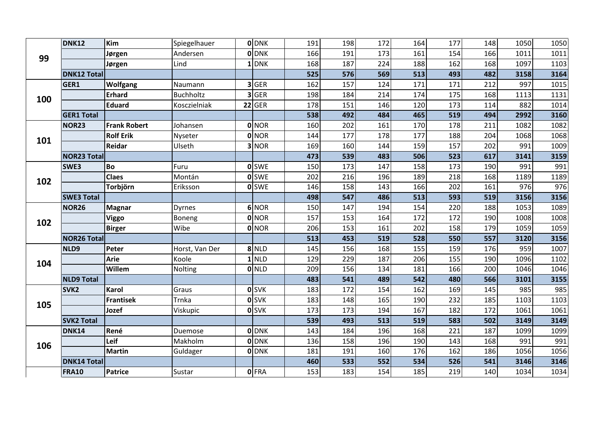|     | <b>DNK12</b>       | Kim                 | Spiegelhauer     | <b>ODNK</b>  | 191 | 198 | 172 | 164 | 177 | 148 | 1050 | 1050 |
|-----|--------------------|---------------------|------------------|--------------|-----|-----|-----|-----|-----|-----|------|------|
| 99  |                    | Jørgen              | Andersen         | 0 DNK        | 166 | 191 | 173 | 161 | 154 | 166 | 1011 | 1011 |
|     |                    | Jørgen              | Lind             | $1$ DNK      | 168 | 187 | 224 | 188 | 162 | 168 | 1097 | 1103 |
|     | <b>DNK12 Total</b> |                     |                  |              | 525 | 576 | 569 | 513 | 493 | 482 | 3158 | 3164 |
|     | GER1               | <b>Wolfgang</b>     | Naumann          | 3 GER        | 162 | 157 | 124 | 171 | 171 | 212 | 997  | 1015 |
| 100 |                    | <b>Erhard</b>       | <b>Buchholtz</b> | $3$ GER      | 198 | 184 | 214 | 174 | 175 | 168 | 1113 | 1131 |
|     |                    | <b>Eduard</b>       | Kosczielniak     | $22$ GER     | 178 | 151 | 146 | 120 | 173 | 114 | 882  | 1014 |
|     | <b>GER1 Total</b>  |                     |                  |              | 538 | 492 | 484 | 465 | 519 | 494 | 2992 | 3160 |
|     | NOR23              | <b>Frank Robert</b> | Johansen         | <b>O</b> NOR | 160 | 202 | 161 | 170 | 178 | 211 | 1082 | 1082 |
| 101 |                    | <b>Rolf Erik</b>    | Nyseter          | 0 NOR        | 144 | 177 | 178 | 177 | 188 | 204 | 1068 | 1068 |
|     |                    | Reidar              | Ulseth           | 3 NOR        | 169 | 160 | 144 | 159 | 157 | 202 | 991  | 1009 |
|     | <b>NOR23 Total</b> |                     |                  |              | 473 | 539 | 483 | 506 | 523 | 617 | 3141 | 3159 |
|     | SWE3               | <b>Bo</b>           | Furu             | <b>O</b> SWE | 150 | 173 | 147 | 158 | 173 | 190 | 991  | 991  |
| 102 |                    | <b>Claes</b>        | Montán           | <b>o</b> SWE | 202 | 216 | 196 | 189 | 218 | 168 | 1189 | 1189 |
|     |                    | Torbjörn            | Eriksson         | <b>O</b> SWE | 146 | 158 | 143 | 166 | 202 | 161 | 976  | 976  |
|     | <b>SWE3 Total</b>  |                     |                  |              | 498 | 547 | 486 | 513 | 593 | 519 | 3156 | 3156 |
|     | <b>NOR26</b>       | <b>Magnar</b>       | <b>Dyrnes</b>    | 6 NOR        | 150 | 147 | 194 | 154 | 220 | 188 | 1053 | 1089 |
| 102 |                    | <b>Viggo</b>        | Boneng           | 0 NOR        | 157 | 153 | 164 | 172 | 172 | 190 | 1008 | 1008 |
|     |                    | <b>Birger</b>       | Wibe             | 0 NOR        | 206 | 153 | 161 | 202 | 158 | 179 | 1059 | 1059 |
|     | <b>NOR26 Total</b> |                     |                  |              | 513 | 453 | 519 | 528 | 550 | 557 | 3120 | 3156 |
|     | NLD9               | Peter               | Horst, Van Der   | 8 NLD        | 145 | 156 | 168 | 155 | 159 | 176 | 959  | 1007 |
| 104 |                    | <b>Arie</b>         | Koole            | $1$ NLD      | 129 | 229 | 187 | 206 | 155 | 190 | 1096 | 1102 |
|     |                    | Willem              | Nolting          | 0 NLD        | 209 | 156 | 134 | 181 | 166 | 200 | 1046 | 1046 |
|     | <b>NLD9 Total</b>  |                     |                  |              | 483 | 541 | 489 | 542 | 480 | 566 | 3101 | 3155 |
|     | SVK <sub>2</sub>   | <b>Karol</b>        | Graus            | <b>O</b> SVK | 183 | 172 | 154 | 162 | 169 | 145 | 985  | 985  |
| 105 |                    | <b>Frantisek</b>    | Trnka            | <b>O</b> SVK | 183 | 148 | 165 | 190 | 232 | 185 | 1103 | 1103 |
|     |                    | Jozef               | Viskupic         | <b>O</b> SVK | 173 | 173 | 194 | 167 | 182 | 172 | 1061 | 1061 |
|     | <b>SVK2 Total</b>  |                     |                  |              | 539 | 493 | 513 | 519 | 583 | 502 | 3149 | 3149 |
|     | <b>DNK14</b>       | René                | Duemose          | <b>O</b> DNK | 143 | 184 | 196 | 168 | 221 | 187 | 1099 | 1099 |
| 106 |                    | Leif                | Makholm          | 0 DNK        | 136 | 158 | 196 | 190 | 143 | 168 | 991  | 991  |
|     |                    | <b>Martin</b>       | Guldager         | 0 DNK        | 181 | 191 | 160 | 176 | 162 | 186 | 1056 | 1056 |
|     | <b>DNK14 Total</b> |                     |                  |              | 460 | 533 | 552 | 534 | 526 | 541 | 3146 | 3146 |
|     | <b>FRA10</b>       | Patrice             | Sustar           | 0 FRA        | 153 | 183 | 154 | 185 | 219 | 140 | 1034 | 1034 |
|     |                    |                     |                  |              |     |     |     |     |     |     |      |      |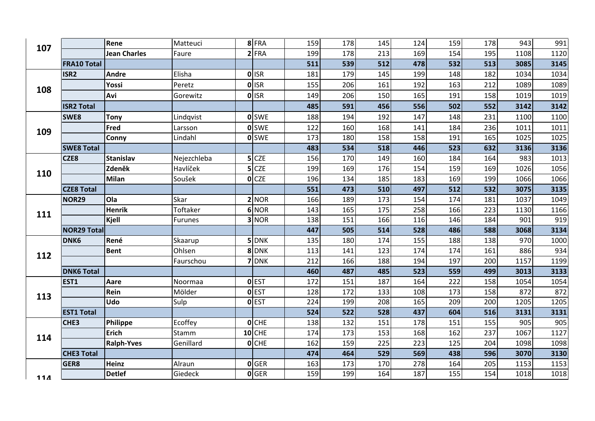| 107   |                    | Rene                | Matteuci       | 8FRA          | 159 | 178 | 145 | 124 | 159 | 178 | 943  | 991  |
|-------|--------------------|---------------------|----------------|---------------|-----|-----|-----|-----|-----|-----|------|------|
|       |                    | <b>Jean Charles</b> | Faure          | $2$ FRA       | 199 | 178 | 213 | 169 | 154 | 195 | 1108 | 1120 |
|       | <b>FRA10 Total</b> |                     |                |               | 511 | 539 | 512 | 478 | 532 | 513 | 3085 | 3145 |
|       | ISR <sub>2</sub>   | <b>Andre</b>        | Elisha         | 0 ISR         | 181 | 179 | 145 | 199 | 148 | 182 | 1034 | 1034 |
| 108   |                    | Yossi               | Peretz         | <b>OI</b> ISR | 155 | 206 | 161 | 192 | 163 | 212 | 1089 | 1089 |
|       |                    | Avi                 | Gorewitz       | 0 ISR         | 149 | 206 | 150 | 165 | 191 | 158 | 1019 | 1019 |
|       | <b>ISR2 Total</b>  |                     |                |               | 485 | 591 | 456 | 556 | 502 | 552 | 3142 | 3142 |
|       | SWE8               | Tony                | Lindqvist      | <b>O</b> SWE  | 188 | 194 | 192 | 147 | 148 | 231 | 1100 | 1100 |
| 109   |                    | Fred                | Larsson        | <b>o</b> SWE  | 122 | 160 | 168 | 141 | 184 | 236 | 1011 | 1011 |
|       |                    | <b>Conny</b>        | Lindahl        | <b>O</b> SWE  | 173 | 180 | 158 | 158 | 191 | 165 | 1025 | 1025 |
|       | <b>SWE8 Total</b>  |                     |                |               | 483 | 534 | 518 | 446 | 523 | 632 | 3136 | 3136 |
|       | CZE8               | <b>Stanislav</b>    | Nejezchleba    | $5$ CZE       | 156 | 170 | 149 | 160 | 184 | 164 | 983  | 1013 |
| 110   |                    | Zdeněk              | Havlíček       | $5$ CZE       | 199 | 169 | 176 | 154 | 159 | 169 | 1026 | 1056 |
|       |                    | <b>Milan</b>        | Soušek         | $O$ CZE       | 196 | 134 | 185 | 183 | 169 | 199 | 1066 | 1066 |
|       | <b>CZE8 Total</b>  |                     |                |               | 551 | 473 | 510 | 497 | 512 | 532 | 3075 | 3135 |
|       | <b>NOR29</b>       | <b>Ola</b>          | Skar           | 2 NOR         | 166 | 189 | 173 | 154 | 174 | 181 | 1037 | 1049 |
| 111   |                    | <b>Henrik</b>       | Toftaker       | 6 NOR         | 143 | 165 | 175 | 258 | 166 | 223 | 1130 | 1166 |
|       |                    | <b>Kjell</b>        | <b>Furunes</b> | 3 NOR         | 138 | 151 | 166 | 116 | 146 | 184 | 901  | 919  |
|       | <b>NOR29 Total</b> |                     |                |               | 447 | 505 | 514 | 528 | 486 | 588 | 3068 | 3134 |
|       | DNK6               | René                | Skaarup        | $5$ DNK       | 135 | 180 | 174 | 155 | 188 | 138 | 970  | 1000 |
| 112   |                    | <b>Bent</b>         | Ohlsen         | 8 DNK         | 113 | 141 | 123 | 174 | 174 | 161 | 886  | 934  |
|       |                    |                     | Faurschou      | 7 DNK         | 212 | 166 | 188 | 194 | 197 | 200 | 1157 | 1199 |
|       | <b>DNK6 Total</b>  |                     |                |               | 460 | 487 | 485 | 523 | 559 | 499 | 3013 | 3133 |
|       | EST1               | Aare                | Noormaa        | 0 EST         | 172 | 151 | 187 | 164 | 222 | 158 | 1054 | 1054 |
| 113   |                    | Rein                | Mölder         | <b>o</b> EST  | 128 | 172 | 133 | 108 | 173 | 158 | 872  | 872  |
|       |                    | <b>Udo</b>          | Sulp           | 0 EST         | 224 | 199 | 208 | 165 | 209 | 200 | 1205 | 1205 |
|       | <b>EST1 Total</b>  |                     |                |               | 524 | 522 | 528 | 437 | 604 | 516 | 3131 | 3131 |
|       | CHE3               | Philippe            | Ecoffey        | $O$ CHE       | 138 | 132 | 151 | 178 | 151 | 155 | 905  | 905  |
| 114   |                    | <b>Erich</b>        | Stamm          | $10$ CHE      | 174 | 173 | 153 | 168 | 162 | 237 | 1067 | 1127 |
|       |                    | <b>Ralph-Yves</b>   | Genillard      | $O$ CHE       | 162 | 159 | 225 | 223 | 125 | 204 | 1098 | 1098 |
|       | <b>CHE3 Total</b>  |                     |                |               | 474 | 464 | 529 | 569 | 438 | 596 | 3070 | 3130 |
|       | GER8               | Heinz               | Alraun         | 0 GER         | 163 | 173 | 170 | 278 | 164 | 205 | 1153 | 1153 |
| $11A$ |                    | <b>Detlef</b>       | Giedeck        | 0 GER         | 159 | 199 | 164 | 187 | 155 | 154 | 1018 | 1018 |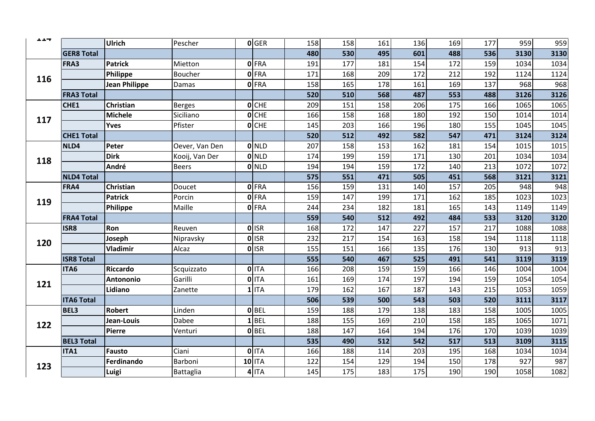| ᆂᆂᆓ |                   | Ulrich               | Pescher        | 0 GER              | 158 | 158 | 161 | 136 | 169 | 177 | 959  | 959  |
|-----|-------------------|----------------------|----------------|--------------------|-----|-----|-----|-----|-----|-----|------|------|
|     | <b>GER8 Total</b> |                      |                |                    | 480 | 530 | 495 | 601 | 488 | 536 | 3130 | 3130 |
|     | FRA3              | <b>Patrick</b>       | Mietton        | 0FRA               | 191 | 177 | 181 | 154 | 172 | 159 | 1034 | 1034 |
| 116 |                   | Philippe             | Boucher        | 0 FRA              | 171 | 168 | 209 | 172 | 212 | 192 | 1124 | 1124 |
|     |                   | <b>Jean Philippe</b> | Damas          | 0 FRA              | 158 | 165 | 178 | 161 | 169 | 137 | 968  | 968  |
|     | <b>FRA3 Total</b> |                      |                |                    | 520 | 510 | 568 | 487 | 553 | 488 | 3126 | 3126 |
|     | CHE1              | Christian            | Berges         | $O$ <sub>CHE</sub> | 209 | 151 | 158 | 206 | 175 | 166 | 1065 | 1065 |
| 117 |                   | <b>Michele</b>       | Siciliano      | $O$ CHE            | 166 | 158 | 168 | 180 | 192 | 150 | 1014 | 1014 |
|     |                   | <b>Yves</b>          | Pfister        | $O$ CHE            | 145 | 203 | 166 | 196 | 180 | 155 | 1045 | 1045 |
|     | <b>CHE1 Total</b> |                      |                |                    | 520 | 512 | 492 | 582 | 547 | 471 | 3124 | 3124 |
|     | NLD4              | Peter                | Oever, Van Den | <b>O</b> NLD       | 207 | 158 | 153 | 162 | 181 | 154 | 1015 | 1015 |
| 118 |                   | <b>Dirk</b>          | Kooij, Van Der | 0 NLD              | 174 | 199 | 159 | 171 | 130 | 201 | 1034 | 1034 |
|     |                   | André                | <b>Beers</b>   | <b>O</b> NLD       | 194 | 194 | 159 | 172 | 140 | 213 | 1072 | 1072 |
|     | <b>NLD4 Total</b> |                      |                |                    | 575 | 551 | 471 | 505 | 451 | 568 | 3121 | 3121 |
|     | FRA4              | <b>Christian</b>     | Doucet         | <b>O</b> FRA       | 156 | 159 | 131 | 140 | 157 | 205 | 948  | 948  |
| 119 |                   | <b>Patrick</b>       | Porcin         | <b>O</b> FRA       | 159 | 147 | 199 | 171 | 162 | 185 | 1023 | 1023 |
|     |                   | Philippe             | Maille         | 0 FRA              | 244 | 234 | 182 | 181 | 165 | 143 | 1149 | 1149 |
|     | <b>FRA4 Total</b> |                      |                |                    | 559 | 540 | 512 | 492 | 484 | 533 | 3120 | 3120 |
|     | ISR8              | Ron                  | Reuven         | $0$ <sub>ISR</sub> | 168 | 172 | 147 | 227 | 157 | 217 | 1088 | 1088 |
| 120 |                   | Joseph               | Nipravsky      | 0 ISR              | 232 | 217 | 154 | 163 | 158 | 194 | 1118 | 1118 |
|     |                   | Vladimir             | Alcaz          | 0 ISR              | 155 | 151 | 166 | 135 | 176 | 130 | 913  | 913  |
|     | <b>ISR8 Total</b> |                      |                |                    | 555 | 540 | 467 | 525 | 491 | 541 | 3119 | 3119 |
|     | ITA6              | Riccardo             | Scquizzato     | 0 ITA              | 166 | 208 | 159 | 159 | 166 | 146 | 1004 | 1004 |
| 121 |                   | <b>Antononio</b>     | Garilli        | 0 ITA              | 161 | 169 | 174 | 197 | 194 | 159 | 1054 | 1054 |
|     |                   | Lidiano              | Zanette        | $1$ ITA            | 179 | 162 | 167 | 187 | 143 | 215 | 1053 | 1059 |
|     | <b>ITA6 Total</b> |                      |                |                    | 506 | 539 | 500 | 543 | 503 | 520 | 3111 | 3117 |
|     | <b>BEL3</b>       | <b>Robert</b>        | Linden         | $0$ BEL            | 159 | 188 | 179 | 138 | 183 | 158 | 1005 | 1005 |
| 122 |                   | Jean-Louis           | Dabee          | LBEL               | 188 | 155 | 169 | 210 | 158 | 185 | 1065 | 1071 |
|     |                   | Pierre               | Venturi        | $0$ BEL            | 188 | 147 | 164 | 194 | 176 | 170 | 1039 | 1039 |
|     | <b>BEL3 Total</b> |                      |                |                    | 535 | 490 | 512 | 542 | 517 | 513 | 3109 | 3115 |
|     | ITA1              | <b>Fausto</b>        | Ciani          | $0$ ITA            | 166 | 188 | 114 | 203 | 195 | 168 | 1034 | 1034 |
| 123 |                   | Ferdinando           | Barboni        | $10$ ITA           | 122 | 154 | 129 | 194 | 150 | 178 | 927  | 987  |
|     |                   | Luigi                | Battaglia      | 4 ITA              | 145 | 175 | 183 | 175 | 190 | 190 | 1058 | 1082 |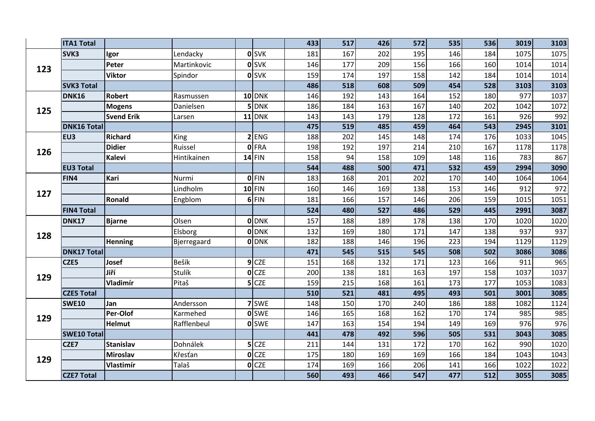|     | <b>ITA1 Total</b>  |                   |             |              |                    | 433 | 517 | 426 | 572 | 535 | 536 | 3019 | 3103 |
|-----|--------------------|-------------------|-------------|--------------|--------------------|-----|-----|-----|-----|-----|-----|------|------|
|     | SVK3               | Igor              | Lendacky    |              | <b>O</b> SVK       | 181 | 167 | 202 | 195 | 146 | 184 | 1075 | 1075 |
| 123 |                    | Peter             | Martinkovic |              | <b>O</b> SVK       | 146 | 177 | 209 | 156 | 166 | 160 | 1014 | 1014 |
|     |                    | <b>Viktor</b>     | Spindor     |              | <b>O</b> SVK       | 159 | 174 | 197 | 158 | 142 | 184 | 1014 | 1014 |
|     | <b>SVK3 Total</b>  |                   |             |              |                    | 486 | 518 | 608 | 509 | 454 | 528 | 3103 | 3103 |
|     | DNK16              | <b>Robert</b>     | Rasmussen   |              | <b>10 DNK</b>      | 146 | 192 | 143 | 164 | 152 | 180 | 977  | 1037 |
| 125 |                    | <b>Mogens</b>     | Danielsen   |              | 5 DNK              | 186 | 184 | 163 | 167 | 140 | 202 | 1042 | 1072 |
|     |                    | <b>Svend Erik</b> | Larsen      |              | $11$ DNK           | 143 | 143 | 179 | 128 | 172 | 161 | 926  | 992  |
|     | <b>DNK16 Total</b> |                   |             |              |                    | 475 | 519 | 485 | 459 | 464 | 543 | 2945 | 3101 |
|     | EU3                | <b>Richard</b>    | <b>King</b> |              | $2$ ENG            | 188 | 202 | 145 | 148 | 174 | 176 | 1033 | 1045 |
| 126 |                    | <b>Didier</b>     | Ruissel     |              | 0 FRA              | 198 | 192 | 197 | 214 | 210 | 167 | 1178 | 1178 |
|     |                    | <b>Kalevi</b>     | Hintikainen |              | $14$ FIN           | 158 | 94  | 158 | 109 | 148 | 116 | 783  | 867  |
|     | <b>EU3 Total</b>   |                   |             |              |                    | 544 | 488 | 500 | 471 | 532 | 459 | 2994 | 3090 |
|     | FIN4               | Kari              | Nurmi       |              | $0$ FIN            | 183 | 168 | 201 | 202 | 170 | 140 | 1064 | 1064 |
| 127 |                    |                   | Lindholm    |              | $10$ FIN           | 160 | 146 | 169 | 138 | 153 | 146 | 912  | 972  |
|     |                    | Ronald            | Engblom     |              | 6 FIN              | 181 | 166 | 157 | 146 | 206 | 159 | 1015 | 1051 |
|     | <b>FIN4 Total</b>  |                   |             |              |                    | 524 | 480 | 527 | 486 | 529 | 445 | 2991 | 3087 |
|     | DNK17              | <b>Bjarne</b>     | Olsen       |              | <b>O</b> DNK       | 157 | 188 | 189 | 178 | 138 | 170 | 1020 | 1020 |
| 128 |                    |                   | Elsborg     |              | <b>O</b> DNK       | 132 | 169 | 180 | 171 | 147 | 138 | 937  | 937  |
|     |                    | Henning           | Bjerregaard |              | <b>O</b> DNK       | 182 | 188 | 146 | 196 | 223 | 194 | 1129 | 1129 |
|     | <b>DNK17 Total</b> |                   |             |              |                    | 471 | 545 | 515 | 545 | 508 | 502 | 3086 | 3086 |
|     | CZE5               | Josef             | Bešík       |              | $9$ CZE            | 151 | 168 | 132 | 171 | 123 | 166 | 911  | 965  |
| 129 |                    | Jiří              | Stulík      |              | $O$ CZE            | 200 | 138 | 181 | 163 | 197 | 158 | 1037 | 1037 |
|     |                    | Vladimír          | Pitaš       |              | $5$ CZE            | 159 | 215 | 168 | 161 | 173 | 177 | 1053 | 1083 |
|     | <b>CZE5 Total</b>  |                   |             |              |                    | 510 | 521 | 481 | 495 | 493 | 501 | 3001 | 3085 |
|     | <b>SWE10</b>       | Jan               | Andersson   |              | 7 SWE              | 148 | 150 | 170 | 240 | 186 | 188 | 1082 | 1124 |
| 129 |                    | Per-Olof          | Karmehed    |              | <b>o</b> SWE       | 146 | 165 | 168 | 162 | 170 | 174 | 985  | 985  |
|     |                    | <b>Helmut</b>     | Rafflenbeul |              | <b>o</b> SWE       | 147 | 163 | 154 | 194 | 149 | 169 | 976  | 976  |
|     | <b>SWE10 Total</b> |                   |             |              |                    | 441 | 478 | 492 | 596 | 505 | 531 | 3043 | 3085 |
|     | CZE7               | <b>Stanislav</b>  | Dohnálek    |              | $5$ CZE            | 211 | 144 | 131 | 172 | 170 | 162 | 990  | 1020 |
| 129 |                    | <b>Miroslav</b>   | Křesťan     | $\mathbf{0}$ | <b>CZE</b>         | 175 | 180 | 169 | 169 | 166 | 184 | 1043 | 1043 |
|     |                    | <b>Vlastimír</b>  | Talaš       |              | $O$ <sub>CZE</sub> | 174 | 169 | 166 | 206 | 141 | 166 | 1022 | 1022 |
|     | <b>CZE7 Total</b>  |                   |             |              |                    | 560 | 493 | 466 | 547 | 477 | 512 | 3055 | 3085 |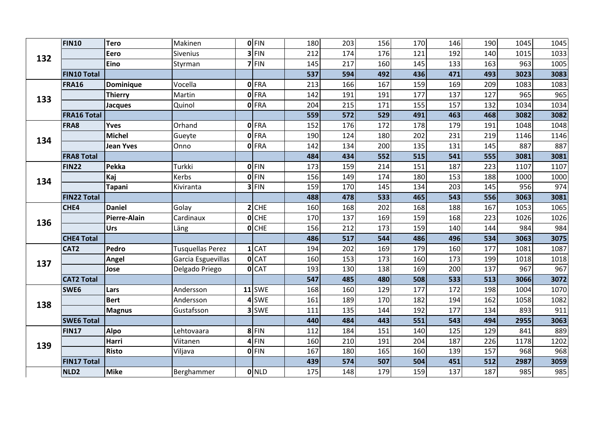|     | <b>FIN10</b>       | <b>Tero</b>      | Makinen            | $0$ FIN      | 180 | 203 | 156 | 170 | 146 | 190 | 1045 | 1045 |
|-----|--------------------|------------------|--------------------|--------------|-----|-----|-----|-----|-----|-----|------|------|
| 132 |                    | Eero             | <b>Sivenius</b>    | $3$ FIN      | 212 | 174 | 176 | 121 | 192 | 140 | 1015 | 1033 |
|     |                    | Eino             | Styrman            | $7$ FIN      | 145 | 217 | 160 | 145 | 133 | 163 | 963  | 1005 |
|     | <b>FIN10 Total</b> |                  |                    |              | 537 | 594 | 492 | 436 | 471 | 493 | 3023 | 3083 |
|     | <b>FRA16</b>       | <b>Dominique</b> | Vocella            | <b>O</b> FRA | 213 | 166 | 167 | 159 | 169 | 209 | 1083 | 1083 |
| 133 |                    | <b>Thierry</b>   | Martin             | <b>O</b> FRA | 142 | 191 | 191 | 177 | 137 | 127 | 965  | 965  |
|     |                    | <b>Jacques</b>   | Quinol             | <b>O</b> FRA | 204 | 215 | 171 | 155 | 157 | 132 | 1034 | 1034 |
|     | <b>FRA16 Total</b> |                  |                    |              | 559 | 572 | 529 | 491 | 463 | 468 | 3082 | 3082 |
|     | <b>FRA8</b>        | <b>Yves</b>      | Orhand             | <b>O</b> FRA | 152 | 176 | 172 | 178 | 179 | 191 | 1048 | 1048 |
| 134 |                    | <b>Michel</b>    | Gueyte             | <b>O</b> FRA | 190 | 124 | 180 | 202 | 231 | 219 | 1146 | 1146 |
|     |                    | <b>Jean Yves</b> | Onno               | 0 FRA        | 142 | 134 | 200 | 135 | 131 | 145 | 887  | 887  |
|     | <b>FRA8 Total</b>  |                  |                    |              | 484 | 434 | 552 | 515 | 541 | 555 | 3081 | 3081 |
|     | <b>FIN22</b>       | Pekka            | Turkki             | <b>O</b> FIN | 173 | 159 | 214 | 151 | 187 | 223 | 1107 | 1107 |
| 134 |                    | Kaj              | Kerbs              | 0 FIN        | 156 | 149 | 174 | 180 | 153 | 188 | 1000 | 1000 |
|     |                    | <b>Tapani</b>    | Kiviranta          | $3$ FIN      | 159 | 170 | 145 | 134 | 203 | 145 | 956  | 974  |
|     | <b>FIN22 Total</b> |                  |                    |              | 488 | 478 | 533 | 465 | 543 | 556 | 3063 | 3081 |
|     | CHE4               | <b>Daniel</b>    | Golay              | $2$ CHE      | 160 | 168 | 202 | 168 | 188 | 167 | 1053 | 1065 |
| 136 |                    | Pierre-Alain     | Cardinaux          | $O$ CHE      | 170 | 137 | 169 | 159 | 168 | 223 | 1026 | 1026 |
|     |                    | Urs              | Läng               | $O$ CHE      | 156 | 212 | 173 | 159 | 140 | 144 | 984  | 984  |
|     | <b>CHE4 Total</b>  |                  |                    |              | 486 | 517 | 544 | 486 | 496 | 534 | 3063 | 3075 |
|     | CAT <sub>2</sub>   | Pedro            | Tusquellas Perez   | $1$ CAT      | 194 | 202 | 169 | 179 | 160 | 177 | 1081 | 1087 |
| 137 |                    | Angel            | Garcia Esguevillas | 0 CAT        | 160 | 153 | 173 | 160 | 173 | 199 | 1018 | 1018 |
|     |                    | Jose             | Delgado Priego     | 0 CAT        | 193 | 130 | 138 | 169 | 200 | 137 | 967  | 967  |
|     | <b>CAT2 Total</b>  |                  |                    |              | 547 | 485 | 480 | 508 | 533 | 513 | 3066 | 3072 |
|     | SWE <sub>6</sub>   | Lars             | Andersson          | $11$ SWE     | 168 | 160 | 129 | 177 | 172 | 198 | 1004 | 1070 |
| 138 |                    | <b>Bert</b>      | Andersson          | 4 SWE        | 161 | 189 | 170 | 182 | 194 | 162 | 1058 | 1082 |
|     |                    | <b>Magnus</b>    | Gustafsson         | 3 SWE        | 111 | 135 | 144 | 192 | 177 | 134 | 893  | 911  |
|     | <b>SWE6 Total</b>  |                  |                    |              | 440 | 484 | 443 | 551 | 543 | 494 | 2955 | 3063 |
|     | <b>FIN17</b>       | <b>Alpo</b>      | Lehtovaara         | 8FIN         | 112 | 184 | 151 | 140 | 125 | 129 | 841  | 889  |
| 139 |                    | <b>Harri</b>     | Viitanen           | $4$ FIN      | 160 | 210 | 191 | 204 | 187 | 226 | 1178 | 1202 |
|     |                    | <b>Risto</b>     | Viljava            | 0 FIN        | 167 | 180 | 165 | 160 | 139 | 157 | 968  | 968  |
|     | <b>FIN17 Total</b> |                  |                    |              | 439 | 574 | 507 | 504 | 451 | 512 | 2987 | 3059 |
|     | NLD <sub>2</sub>   | <b>Mike</b>      | Berghammer         | 0 NLD        | 175 | 148 | 179 | 159 | 137 | 187 | 985  | 985  |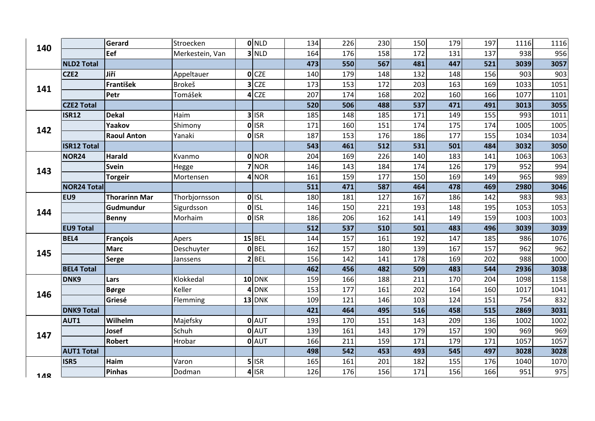| 140 |                    | Gerard               | Stroecken       | ONLD               | 134 | 226 | 230 | 150 | 179 | 197 | 1116 | 1116 |
|-----|--------------------|----------------------|-----------------|--------------------|-----|-----|-----|-----|-----|-----|------|------|
|     |                    | Eef                  | Merkestein, Van | $3$ NLD            | 164 | 176 | 158 | 172 | 131 | 137 | 938  | 956  |
|     | <b>NLD2 Total</b>  |                      |                 |                    | 473 | 550 | 567 | 481 | 447 | 521 | 3039 | 3057 |
|     | CZE2               | Jiří                 | Appeltauer      | O <sub>CCE</sub>   | 140 | 179 | 148 | 132 | 148 | 156 | 903  | 903  |
| 141 |                    | František            | <b>Brokeš</b>   | $3$ CZE            | 173 | 153 | 172 | 203 | 163 | 169 | 1033 | 1051 |
|     |                    | Petr                 | Tomášek         | $4$ CZE            | 207 | 174 | 168 | 202 | 160 | 166 | 1077 | 1101 |
|     | <b>CZE2 Total</b>  |                      |                 |                    | 520 | 506 | 488 | 537 | 471 | 491 | 3013 | 3055 |
|     | <b>ISR12</b>       | <b>Dekal</b>         | Haim            | $3$ ISR            | 185 | 148 | 185 | 171 | 149 | 155 | 993  | 1011 |
| 142 |                    | Yaakov               | Shimony         | 0 ISR              | 171 | 160 | 151 | 174 | 175 | 174 | 1005 | 1005 |
|     |                    | <b>Raoul Anton</b>   | Yanaki          | <b>O</b> ISR       | 187 | 153 | 176 | 186 | 177 | 155 | 1034 | 1034 |
|     | <b>ISR12 Total</b> |                      |                 |                    | 543 | 461 | 512 | 531 | 501 | 484 | 3032 | 3050 |
|     | <b>NOR24</b>       | <b>Harald</b>        | Kvanmo          | 0 NOR              | 204 | 169 | 226 | 140 | 183 | 141 | 1063 | 1063 |
| 143 |                    | <b>Svein</b>         | Hegge           | 7 NOR              | 146 | 143 | 184 | 174 | 126 | 179 | 952  | 994  |
|     |                    | <b>Torgeir</b>       | Mortensen       | 4 NOR              | 161 | 159 | 177 | 150 | 169 | 149 | 965  | 989  |
|     | <b>NOR24 Total</b> |                      |                 |                    | 511 | 471 | 587 | 464 | 478 | 469 | 2980 | 3046 |
|     | EU9                | <b>Thorarinn Mar</b> | Thorbjornsson   | $0$ <sub>ISL</sub> | 180 | 181 | 127 | 167 | 186 | 142 | 983  | 983  |
| 144 |                    | <b>Gudmundur</b>     | Sigurdsson      | <b>OISL</b>        | 146 | 150 | 221 | 193 | 148 | 195 | 1053 | 1053 |
|     |                    | <b>Benny</b>         | Morhaim         | <b>O</b> ISR       | 186 | 206 | 162 | 141 | 149 | 159 | 1003 | 1003 |
|     | <b>EU9 Total</b>   |                      |                 |                    | 512 | 537 | 510 | 501 | 483 | 496 | 3039 | 3039 |
|     | BEL4               | François             | Apers           | $15$ BEL           | 144 | 157 | 161 | 192 | 147 | 185 | 986  | 1076 |
| 145 |                    | <b>Marc</b>          | Deschuyter      | $0$ BEL            | 162 | 157 | 180 | 139 | 167 | 157 | 962  | 962  |
|     |                    | Serge                | Janssens        | 2 BEL              | 156 | 142 | 141 | 178 | 169 | 202 | 988  | 1000 |
|     | <b>BEL4 Total</b>  |                      |                 |                    | 462 | 456 | 482 | 509 | 483 | 544 | 2936 | 3038 |
|     | DNK9               | Lars                 | Klokkedal       | $10$ DNK           | 159 | 166 | 188 | 211 | 170 | 204 | 1098 | 1158 |
| 146 |                    | <b>Børge</b>         | Keller          | 4 DNK              | 153 | 177 | 161 | 202 | 164 | 160 | 1017 | 1041 |
|     |                    | Griesé               | Flemming        | $13$ DNK           | 109 | 121 | 146 | 103 | 124 | 151 | 754  | 832  |
|     | <b>DNK9 Total</b>  |                      |                 |                    | 421 | 464 | 495 | 516 | 458 | 515 | 2869 | 3031 |
|     | AUT1               | Wilhelm              | Majefsky        | 0 AUT              | 193 | 170 | 151 | 143 | 209 | 136 | 1002 | 1002 |
| 147 |                    | Josef                | Schuh           | 0 AUT              | 139 | 161 | 143 | 179 | 157 | 190 | 969  | 969  |
|     |                    | Robert               | Hrobar          | 0 AUT              | 166 | 211 | 159 | 171 | 179 | 171 | 1057 | 1057 |
|     | <b>AUT1 Total</b>  |                      |                 |                    | 498 | 542 | 453 | 493 | 545 | 497 | 3028 | 3028 |
|     | ISR5               | Haim                 | Varon           | $5$ ISR            | 165 | 161 | 201 | 182 | 155 | 176 | 1040 | 1070 |
| 148 |                    | Pinhas               | Dodman          | $4$ ISR            | 126 | 176 | 156 | 171 | 156 | 166 | 951  | 975  |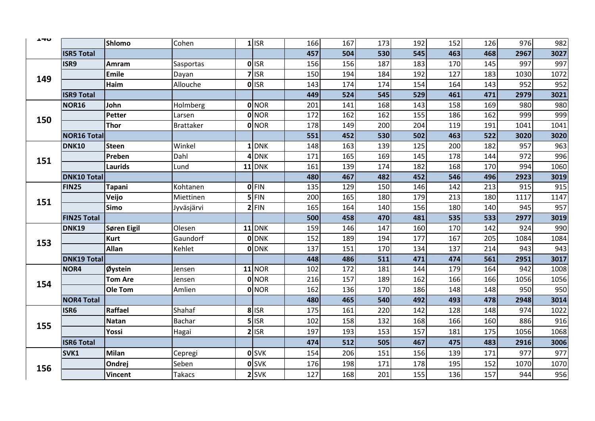| ᆠᅮ  |                    | <b>Shlomo</b>  | Cohen            | $1$ ISR      | 166 | 167 | 173 | 192 | 152 | 126 | 976  | 982  |
|-----|--------------------|----------------|------------------|--------------|-----|-----|-----|-----|-----|-----|------|------|
|     | <b>ISR5 Total</b>  |                |                  |              | 457 | 504 | 530 | 545 | 463 | 468 | 2967 | 3027 |
|     | ISR9               | Amram          | Sasportas        | 0 ISR        | 156 | 156 | 187 | 183 | 170 | 145 | 997  | 997  |
| 149 |                    | <b>Emile</b>   | Dayan            | $7$ ISR      | 150 | 194 | 184 | 192 | 127 | 183 | 1030 | 1072 |
|     |                    | Haim           | Allouche         | 0 ISR        | 143 | 174 | 174 | 154 | 164 | 143 | 952  | 952  |
|     | <b>ISR9 Total</b>  |                |                  |              | 449 | 524 | 545 | 529 | 461 | 471 | 2979 | 3021 |
|     | NOR16              | John           | <b>Holmberg</b>  | <b>O</b> NOR | 201 | 141 | 168 | 143 | 158 | 169 | 980  | 980  |
| 150 |                    | Petter         | Larsen           | <b>O</b> NOR | 172 | 162 | 162 | 155 | 186 | 162 | 999  | 999  |
|     |                    | Thor           | <b>Brattaker</b> | 0 NOR        | 178 | 149 | 200 | 204 | 119 | 191 | 1041 | 1041 |
|     | <b>NOR16 Total</b> |                |                  |              | 551 | 452 | 530 | 502 | 463 | 522 | 3020 | 3020 |
|     | <b>DNK10</b>       | <b>Steen</b>   | Winkel           | $1$ DNK      | 148 | 163 | 139 | 125 | 200 | 182 | 957  | 963  |
| 151 |                    | Preben         | Dahl             | 4 DNK        | 171 | 165 | 169 | 145 | 178 | 144 | 972  | 996  |
|     |                    | Laurids        | Lund             | $11$ DNK     | 161 | 139 | 174 | 182 | 168 | 170 | 994  | 1060 |
|     | <b>DNK10 Total</b> |                |                  |              | 480 | 467 | 482 | 452 | 546 | 496 | 2923 | 3019 |
|     | <b>FIN25</b>       | <b>Tapani</b>  | Kohtanen         | 0 FIN        | 135 | 129 | 150 | 146 | 142 | 213 | 915  | 915  |
| 151 |                    | Veijo          | Miettinen        | $5$ FIN      | 200 | 165 | 180 | 179 | 213 | 180 | 1117 | 1147 |
|     |                    | <b>Simo</b>    | Jyväsjärvi       | $2$ FIN      | 165 | 164 | 140 | 156 | 180 | 140 | 945  | 957  |
|     | <b>FIN25 Total</b> |                |                  |              | 500 | 458 | 470 | 481 | 535 | 533 | 2977 | 3019 |
|     | DNK19              | Søren Eigil    | Olesen           | $11$ DNK     | 159 | 146 | 147 | 160 | 170 | 142 | 924  | 990  |
| 153 |                    | <b>Kurt</b>    | Gaundorf         | <b>O</b> DNK | 152 | 189 | 194 | 177 | 167 | 205 | 1084 | 1084 |
|     |                    | <b>Allan</b>   | Kehlet           | <b>O</b> DNK | 137 | 151 | 170 | 134 | 137 | 214 | 943  | 943  |
|     | <b>DNK19 Total</b> |                |                  |              | 448 | 486 | 511 | 471 | 474 | 561 | 2951 | 3017 |
|     | NOR4               | Øystein        | Jensen           | $11$ NOR     | 102 | 172 | 181 | 144 | 179 | 164 | 942  | 1008 |
| 154 |                    | <b>Tom Are</b> | Jensen           | <b>O</b> NOR | 216 | 157 | 189 | 162 | 166 | 166 | 1056 | 1056 |
|     |                    | Ole Tom        | Amlien           | <b>O</b> NOR | 162 | 136 | 170 | 186 | 148 | 148 | 950  | 950  |
|     | <b>NOR4 Total</b>  |                |                  |              | 480 | 465 | 540 | 492 | 493 | 478 | 2948 | 3014 |
|     | ISR6               | Raffael        | Shahaf           | 8 ISR        | 175 | 161 | 220 | 142 | 128 | 148 | 974  | 1022 |
| 155 |                    | <b>Natan</b>   | <b>Bachar</b>    | $5$ ISR      | 102 | 158 | 132 | 168 | 166 | 160 | 886  | 916  |
|     |                    | Yossi          | Hagai            | $2$ ISR      | 197 | 193 | 153 | 157 | 181 | 175 | 1056 | 1068 |
|     | <b>ISR6 Total</b>  |                |                  |              | 474 | 512 | 505 | 467 | 475 | 483 | 2916 | 3006 |
|     | SVK1               | <b>Milan</b>   | Cepregi          | <b>O</b> SVK | 154 | 206 | 151 | 156 | 139 | 171 | 977  | 977  |
| 156 |                    | Ondrej         | Seben            | <b>O</b> SVK | 176 | 198 | 171 | 178 | 195 | 152 | 1070 | 1070 |
|     |                    | <b>Vincent</b> | Takacs           | $2$ SVK      | 127 | 168 | 201 | 155 | 136 | 157 | 944  | 956  |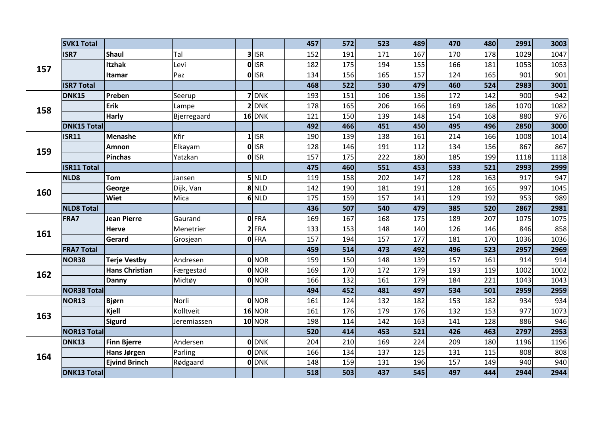|     | <b>SVK1 Total</b>  |                       |             |                    | 457 | 572 | 523 | 489 | 470 | 480 | 2991 | 3003 |
|-----|--------------------|-----------------------|-------------|--------------------|-----|-----|-----|-----|-----|-----|------|------|
|     | ISR7               | <b>Shaul</b>          | Tal         | $3$ ISR            | 152 | 191 | 171 | 167 | 170 | 178 | 1029 | 1047 |
| 157 |                    | <b>Itzhak</b>         | Levi        | 0 ISR              | 182 | 175 | 194 | 155 | 166 | 181 | 1053 | 1053 |
|     |                    | Itamar                | Paz         | 0 ISR              | 134 | 156 | 165 | 157 | 124 | 165 | 901  | 901  |
|     | <b>ISR7 Total</b>  |                       |             |                    | 468 | 522 | 530 | 479 | 460 | 524 | 2983 | 3001 |
|     | DNK15              | Preben                | Seerup      | 7 DNK              | 193 | 151 | 106 | 136 | 172 | 142 | 900  | 942  |
| 158 |                    | Erik                  | Lampe       | $2$ DNK            | 178 | 165 | 206 | 166 | 169 | 186 | 1070 | 1082 |
|     |                    | <b>Harly</b>          | Bjerregaard | $16$ DNK           | 121 | 150 | 139 | 148 | 154 | 168 | 880  | 976  |
|     | <b>DNK15 Total</b> |                       |             |                    | 492 | 466 | 451 | 450 | 495 | 496 | 2850 | 3000 |
|     | <b>ISR11</b>       | <b>Menashe</b>        | Kfir        | $1$ <sub>ISR</sub> | 190 | 139 | 138 | 161 | 214 | 166 | 1008 | 1014 |
| 159 |                    | Amnon                 | Elkayam     | 0 ISR              | 128 | 146 | 191 | 112 | 134 | 156 | 867  | 867  |
|     |                    | <b>Pinchas</b>        | Yatzkan     | <b>O</b> ISR       | 157 | 175 | 222 | 180 | 185 | 199 | 1118 | 1118 |
|     | <b>ISR11 Total</b> |                       |             |                    | 475 | 460 | 551 | 453 | 533 | 521 | 2993 | 2999 |
|     | NLD8               | Tom                   | Jansen      | $5$ NLD            | 119 | 158 | 202 | 147 | 128 | 163 | 917  | 947  |
| 160 |                    | George                | Dijk, Van   | 8 NLD              | 142 | 190 | 181 | 191 | 128 | 165 | 997  | 1045 |
|     |                    | <b>Wiet</b>           | Mica        | 6 NLD              | 175 | 159 | 157 | 141 | 129 | 192 | 953  | 989  |
|     | <b>NLD8 Total</b>  |                       |             |                    | 436 | 507 | 540 | 479 | 385 | 520 | 2867 | 2981 |
|     | FRA7               | <b>Jean Pierre</b>    | Gaurand     | 0 FRA              | 169 | 167 | 168 | 175 | 189 | 207 | 1075 | 1075 |
| 161 |                    | Herve                 | Menetrier   | $2$ FRA            | 133 | 153 | 148 | 140 | 126 | 146 | 846  | 858  |
|     |                    | Gerard                | Grosjean    | 0 FRA              | 157 | 194 | 157 | 177 | 181 | 170 | 1036 | 1036 |
|     | <b>FRA7 Total</b>  |                       |             |                    | 459 | 514 | 473 | 492 | 496 | 523 | 2957 | 2969 |
|     | NOR38              | <b>Terje Vestby</b>   | Andresen    | 0 NOR              | 159 | 150 | 148 | 139 | 157 | 161 | 914  | 914  |
| 162 |                    | <b>Hans Christian</b> | Færgestad   | <b>O</b> NOR       | 169 | 170 | 172 | 179 | 193 | 119 | 1002 | 1002 |
|     |                    | Danny                 | Midtøy      | 0 NOR              | 166 | 132 | 161 | 179 | 184 | 221 | 1043 | 1043 |
|     | <b>NOR38 Total</b> |                       |             |                    | 494 | 452 | 481 | 497 | 534 | 501 | 2959 | 2959 |
|     | NOR13              | <b>Bjørn</b>          | Norli       | 0 NOR              | 161 | 124 | 132 | 182 | 153 | 182 | 934  | 934  |
| 163 |                    | Kjell                 | Kolltveit   | $16$ NOR           | 161 | 176 | 179 | 176 | 132 | 153 | 977  | 1073 |
|     |                    | <b>Sigurd</b>         | Jeremiassen | $10$ NOR           | 198 | 114 | 142 | 163 | 141 | 128 | 886  | 946  |
|     | <b>NOR13 Total</b> |                       |             |                    | 520 | 414 | 453 | 521 | 426 | 463 | 2797 | 2953 |
|     | DNK13              | <b>Finn Bjerre</b>    | Andersen    | 0 DNK              | 204 | 210 | 169 | 224 | 209 | 180 | 1196 | 1196 |
| 164 |                    | Hans Jørgen           | Parling     | 0 DNK              | 166 | 134 | 137 | 125 | 131 | 115 | 808  | 808  |
|     |                    | <b>Ejvind Brinch</b>  | Rødgaard    | <b>O</b> DNK       | 148 | 159 | 131 | 196 | 157 | 149 | 940  | 940  |
|     | <b>DNK13 Total</b> |                       |             |                    | 518 | 503 | 437 | 545 | 497 | 444 | 2944 | 2944 |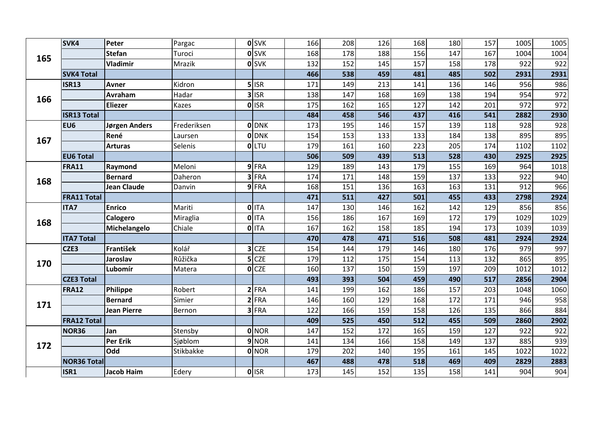|     | SVK4               | Peter              | Pargac      | <b>O</b> SVK | 166 | 208 | 126 | 168 | 180 | 157 | 1005 | 1005 |
|-----|--------------------|--------------------|-------------|--------------|-----|-----|-----|-----|-----|-----|------|------|
| 165 |                    | <b>Stefan</b>      | Turoci      | <b>O</b> SVK | 168 | 178 | 188 | 156 | 147 | 167 | 1004 | 1004 |
|     |                    | <b>Vladimir</b>    | Mrazik      | <b>O</b> SVK | 132 | 152 | 145 | 157 | 158 | 178 | 922  | 922  |
|     | <b>SVK4 Total</b>  |                    |             |              | 466 | 538 | 459 | 481 | 485 | 502 | 2931 | 2931 |
|     | <b>ISR13</b>       | Avner              | Kidron      | $5$ ISR      | 171 | 149 | 213 | 141 | 136 | 146 | 956  | 986  |
| 166 |                    | Avraham            | Hadar       | $3$ ISR      | 138 | 147 | 168 | 169 | 138 | 194 | 954  | 972  |
|     |                    | <b>Eliezer</b>     | Kazes       | 0 ISR        | 175 | 162 | 165 | 127 | 142 | 201 | 972  | 972  |
|     | <b>ISR13 Total</b> |                    |             |              | 484 | 458 | 546 | 437 | 416 | 541 | 2882 | 2930 |
|     | EU <sub>6</sub>    | Jørgen Anders      | Frederiksen | <b>O</b> DNK | 173 | 195 | 146 | 157 | 139 | 118 | 928  | 928  |
| 167 |                    | René               | Laursen     | 0 DNK        | 154 | 153 | 133 | 133 | 184 | 138 | 895  | 895  |
|     |                    | <b>Arturas</b>     | Selenis     | <b>OLTU</b>  | 179 | 161 | 160 | 223 | 205 | 174 | 1102 | 1102 |
|     | <b>EU6 Total</b>   |                    |             |              | 506 | 509 | 439 | 513 | 528 | 430 | 2925 | 2925 |
|     | <b>FRA11</b>       | Raymond            | Meloni      | 9FRA         | 129 | 189 | 143 | 179 | 155 | 169 | 964  | 1018 |
| 168 |                    | <b>Bernard</b>     | Daheron     | $3$ FRA      | 174 | 171 | 148 | 159 | 137 | 133 | 922  | 940  |
|     |                    | <b>Jean Claude</b> | Danvin      | 9FRA         | 168 | 151 | 136 | 163 | 163 | 131 | 912  | 966  |
|     | <b>FRA11 Total</b> |                    |             |              | 471 | 511 | 427 | 501 | 455 | 433 | 2798 | 2924 |
|     | <b>ITA7</b>        | <b>Enrico</b>      | Mariti      | <b>O</b> ITA | 147 | 130 | 146 | 162 | 142 | 129 | 856  | 856  |
| 168 |                    | Calogero           | Miraglia    | <b>O</b> ITA | 156 | 186 | 167 | 169 | 172 | 179 | 1029 | 1029 |
|     |                    | Michelangelo       | Chiale      | $0$ ITA      | 167 | 162 | 158 | 185 | 194 | 173 | 1039 | 1039 |
|     | <b>ITA7 Total</b>  |                    |             |              | 470 | 478 | 471 | 516 | 508 | 481 | 2924 | 2924 |
|     | CZE3               | <b>František</b>   | Kolář       | $3$ CZE      | 154 | 144 | 179 | 146 | 180 | 176 | 979  | 997  |
| 170 |                    | Jaroslav           | Růžička     | $5$ CZE      | 179 | 112 | 175 | 154 | 113 | 132 | 865  | 895  |
|     |                    | Lubomír            | Matera      | $O$ CZE      | 160 | 137 | 150 | 159 | 197 | 209 | 1012 | 1012 |
|     | <b>CZE3 Total</b>  |                    |             |              | 493 | 393 | 504 | 459 | 490 | 517 | 2856 | 2904 |
|     | <b>FRA12</b>       | Philippe           | Robert      | $2$ FRA      | 141 | 199 | 162 | 186 | 157 | 203 | 1048 | 1060 |
| 171 |                    | <b>Bernard</b>     | Simier      | $2$ FRA      | 146 | 160 | 129 | 168 | 172 | 171 | 946  | 958  |
|     |                    | <b>Jean Pierre</b> | Bernon      | 3 FRA        | 122 | 166 | 159 | 158 | 126 | 135 | 866  | 884  |
|     | <b>FRA12 Total</b> |                    |             |              | 409 | 525 | 450 | 512 | 455 | 509 | 2860 | 2902 |
|     | NOR36              | Jan                | Stensby     | 0 NOR        | 147 | 152 | 172 | 165 | 159 | 127 | 922  | 922  |
| 172 |                    | Per Erik           | Sjøblom     | 9 NOR        | 141 | 134 | 166 | 158 | 149 | 137 | 885  | 939  |
|     |                    | Odd                | Stikbakke   | <b>O</b> NOR | 179 | 202 | 140 | 195 | 161 | 145 | 1022 | 1022 |
|     | <b>NOR36 Total</b> |                    |             |              | 467 | 488 | 478 | 518 | 469 | 409 | 2829 | 2883 |
|     | ISR1               | <b>Jacob Haim</b>  | Edery       | 0 ISR        | 173 | 145 | 152 | 135 | 158 | 141 | 904  | 904  |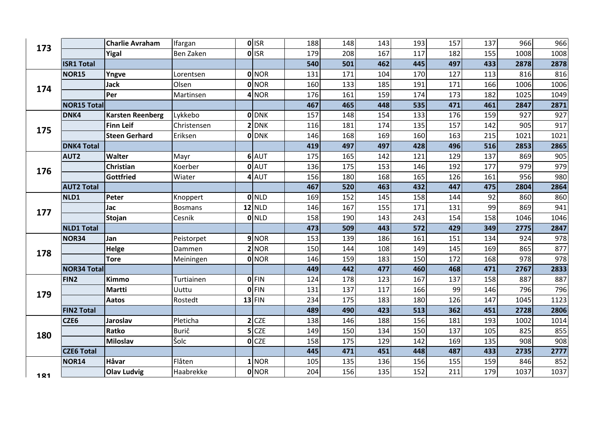| 173 |                    | <b>Charlie Avraham</b>  | Ifargan     | 0 ISR         | 188 | 148 | 143 | 193 | 157 | 137 | 966  | 966  |
|-----|--------------------|-------------------------|-------------|---------------|-----|-----|-----|-----|-----|-----|------|------|
|     |                    | Yigal                   | Ben Zaken   | 0 ISR         | 179 | 208 | 167 | 117 | 182 | 155 | 1008 | 1008 |
|     | <b>ISR1 Total</b>  |                         |             |               | 540 | 501 | 462 | 445 | 497 | 433 | 2878 | 2878 |
|     | <b>NOR15</b>       | Yngve                   | Lorentsen   | <b>O</b> NOR  | 131 | 171 | 104 | 170 | 127 | 113 | 816  | 816  |
| 174 |                    | <b>Jack</b>             | Olsen       | <b>O</b> NOR  | 160 | 133 | 185 | 191 | 171 | 166 | 1006 | 1006 |
|     |                    | Per                     | Martinsen   | $4$ NOR       | 176 | 161 | 159 | 174 | 173 | 182 | 1025 | 1049 |
|     | <b>NOR15 Total</b> |                         |             |               | 467 | 465 | 448 | 535 | 471 | 461 | 2847 | 2871 |
|     | DNK4               | <b>Karsten Reenberg</b> | Lykkebo     | <b>ODNK</b>   | 157 | 148 | 154 | 133 | 176 | 159 | 927  | 927  |
| 175 |                    | <b>Finn Leif</b>        | Christensen | $2$ DNK       | 116 | 181 | 174 | 135 | 157 | 142 | 905  | 917  |
|     |                    | <b>Steen Gerhard</b>    | Eriksen     | <b>O</b> DNK  | 146 | 168 | 169 | 160 | 163 | 215 | 1021 | 1021 |
|     | <b>DNK4 Total</b>  |                         |             |               | 419 | 497 | 497 | 428 | 496 | 516 | 2853 | 2865 |
|     | AUT2               | Walter                  | Mayr        | 6 AUT         | 175 | 165 | 142 | 121 | 129 | 137 | 869  | 905  |
| 176 |                    | Christian               | Koerber     | 0 AUT         | 136 | 175 | 153 | 146 | 192 | 177 | 979  | 979  |
|     |                    | Gottfried               | Wiater      | 4 AUT         | 156 | 180 | 168 | 165 | 126 | 161 | 956  | 980  |
|     | <b>AUT2 Total</b>  |                         |             |               | 467 | 520 | 463 | 432 | 447 | 475 | 2804 | 2864 |
|     | NLD1               | Peter                   | Knoppert    | 0 NLD         | 169 | 152 | 145 | 158 | 144 | 92  | 860  | 860  |
| 177 |                    | Jac                     | Bosmans     | <b>12 NLD</b> | 146 | 167 | 155 | 171 | 131 | 99  | 869  | 941  |
|     |                    | Stojan                  | Cesnik      | 0 NLD         | 158 | 190 | 143 | 243 | 154 | 158 | 1046 | 1046 |
|     | <b>NLD1 Total</b>  |                         |             |               | 473 | 509 | 443 | 572 | 429 | 349 | 2775 | 2847 |
|     | <b>NOR34</b>       | Jan                     | Peistorpet  | 9 NOR         | 153 | 139 | 186 | 161 | 151 | 134 | 924  | 978  |
| 178 |                    | Helge                   | Dammen      | $2$ NOR       | 150 | 144 | 108 | 149 | 145 | 169 | 865  | 877  |
|     |                    | <b>Tore</b>             | Meiningen   | 0 NOR         | 146 | 159 | 183 | 150 | 172 | 168 | 978  | 978  |
|     | <b>NOR34 Total</b> |                         |             |               | 449 | 442 | 477 | 460 | 468 | 471 | 2767 | 2833 |
|     | FIN <sub>2</sub>   | <b>Kimmo</b>            | Turtiainen  | <b>OFIN</b>   | 124 | 178 | 123 | 167 | 137 | 158 | 887  | 887  |
| 179 |                    | <b>Martti</b>           | Uuttu       | <b>OFIN</b>   | 131 | 137 | 117 | 166 | 99  | 146 | 796  | 796  |
|     |                    | Aatos                   | Rostedt     | $13$ FIN      | 234 | 175 | 183 | 180 | 126 | 147 | 1045 | 1123 |
|     | <b>FIN2 Total</b>  |                         |             |               | 489 | 490 | 423 | 513 | 362 | 451 | 2728 | 2806 |
|     | CZE6               | <b>Jaroslav</b>         | Pleticha    | $2$ CZE       | 138 | 146 | 188 | 156 | 181 | 193 | 1002 | 1014 |
| 180 |                    | Ratko                   | Burič       | $5$ CZE       | 149 | 150 | 134 | 150 | 137 | 105 | 825  | 855  |
|     |                    | <b>Miloslav</b>         | Šolc        | $O$ CZE       | 158 | 175 | 129 | 142 | 169 | 135 | 908  | 908  |
|     | <b>CZE6 Total</b>  |                         |             |               | 445 | 471 | 451 | 448 | 487 | 433 | 2735 | 2777 |
|     | <b>NOR14</b>       | Håvar                   | Flåten      | 1 NOR         | 105 | 135 | 136 | 156 | 155 | 159 | 846  | 852  |
| 181 |                    | <b>Olav Ludvig</b>      | Haabrekke   | 0 NOR         | 204 | 156 | 135 | 152 | 211 | 179 | 1037 | 1037 |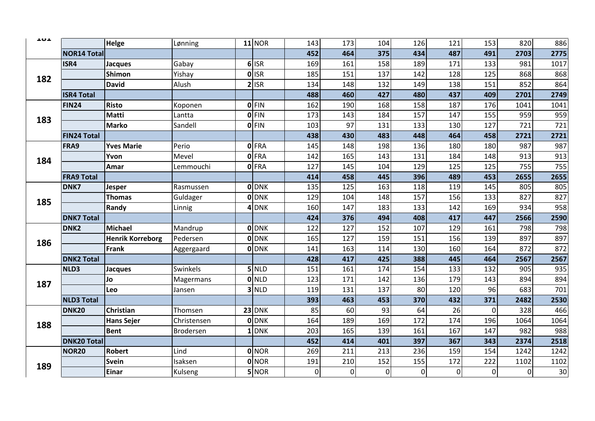| ᅩហᅩ |                    | Helge                   | Lønning     | <b>11 NOR</b> | 143            | 173            | 104       | 126            | 121         | 153            | 820            | 886  |
|-----|--------------------|-------------------------|-------------|---------------|----------------|----------------|-----------|----------------|-------------|----------------|----------------|------|
|     | <b>NOR14 Total</b> |                         |             |               | 452            | 464            | 375       | 434            | 487         | 491            | 2703           | 2775 |
|     | ISR4               | <b>Jacques</b>          | Gabay       | $6$ ISR       | 169            | 161            | 158       | 189            | 171         | 133            | 981            | 1017 |
| 182 |                    | <b>Shimon</b>           | Yishay      | 0 ISR         | 185            | 151            | 137       | 142            | 128         | 125            | 868            | 868  |
|     |                    | <b>David</b>            | Alush       | $2$ ISR       | 134            | 148            | 132       | 149            | 138         | 151            | 852            | 864  |
|     | <b>ISR4 Total</b>  |                         |             |               | 488            | 460            | 427       | 480            | 437         | 409            | 2701           | 2749 |
|     | <b>FIN24</b>       | <b>Risto</b>            | Koponen     | $0$ FIN       | 162            | 190            | 168       | 158            | 187         | 176            | 1041           | 1041 |
| 183 |                    | Matti                   | Lantta      | $0$ FIN       | 173            | 143            | 184       | 157            | 147         | 155            | 959            | 959  |
|     |                    | <b>Marko</b>            | Sandell     | 0 FIN         | 103            | 97             | 131       | 133            | 130         | 127            | 721            | 721  |
|     | <b>FIN24 Total</b> |                         |             |               | 438            | 430            | 483       | 448            | 464         | 458            | 2721           | 2721 |
|     | FRA9               | <b>Yves Marie</b>       | Perio       | 0 FRA         | 145            | 148            | 198       | 136            | 180         | 180            | 987            | 987  |
| 184 |                    | Yvon                    | Mevel       | <b>O</b> FRA  | 142            | 165            | 143       | 131            | 184         | 148            | 913            | 913  |
|     |                    | Amar                    | Lemmouchi   | <b>O</b> FRA  | 127            | 145            | 104       | 129            | 125         | 125            | 755            | 755  |
|     | <b>FRA9 Total</b>  |                         |             |               | 414            | 458            | 445       | 396            | 489         | 453            | 2655           | 2655 |
|     | DNK7               | Jesper                  | Rasmussen   | <b>O</b> IDNK | 135            | 125            | 163       | 118            | 119         | 145            | 805            | 805  |
| 185 |                    | <b>Thomas</b>           | Guldager    | <b>O</b> DNK  | 129            | 104            | 148       | 157            | 156         | 133            | 827            | 827  |
|     |                    | Randy                   | Linnig      | 4 DNK         | 160            | 147            | 183       | 133            | 142         | 169            | 934            | 958  |
|     | <b>DNK7 Total</b>  |                         |             |               | 424            | 376            | 494       | 408            | 417         | 447            | 2566           | 2590 |
|     | DNK <sub>2</sub>   | Michael                 | Mandrup     | <b>O</b> IDNK | 122            | 127            | 152       | 107            | 129         | 161            | 798            | 798  |
| 186 |                    | <b>Henrik Korreborg</b> | Pedersen    | <b>O</b> DNK  | 165            | 127            | 159       | 151            | 156         | 139            | 897            | 897  |
|     |                    | <b>Frank</b>            | Aggergaard  | <b>O</b> DNK  | 141            | 163            | 114       | 130            | 160         | 164            | 872            | 872  |
|     | <b>DNK2 Total</b>  |                         |             |               | 428            | 417            | 425       | 388            | 445         | 464            | 2567           | 2567 |
|     | NLD3               | Jacques                 | Swinkels    | $5$ NLD       | 151            | 161            | 174       | 154            | 133         | 132            | 905            | 935  |
| 187 |                    | Jo                      | Magermans   | <b>O</b> NLD  | 123            | 171            | 142       | 136            | 179         | 143            | 894            | 894  |
|     |                    | Leo                     | Jansen      | $3$ NLD       | 119            | 131            | 137       | 80             | 120         | 96             | 683            | 701  |
|     | <b>NLD3 Total</b>  |                         |             |               | 393            | 463            | 453       | 370            | 432         | 371            | 2482           | 2530 |
|     | <b>DNK20</b>       | Christian               | Thomsen     | <b>23 DNK</b> | 85             | 60             | 93        | 64             | 26          | 0              | 328            | 466  |
| 188 |                    | <b>Hans Sejer</b>       | Christensen | <b>O</b> DNK  | 164            | 189            | 169       | 172            | 174         | 196            | 1064           | 1064 |
|     |                    | <b>Bent</b>             | Brodersen   | LONK          | 203            | 165            | 139       | 161            | 167         | 147            | 982            | 988  |
|     | <b>DNK20 Total</b> |                         |             |               | 452            | 414            | 401       | 397            | 367         | 343            | 2374           | 2518 |
|     | <b>NOR20</b>       | <b>Robert</b>           | Lind        | 0 NOR         | 269            | 211            | 213       | 236            | 159         | 154            | 1242           | 1242 |
| 189 |                    | Svein                   | Isaksen     | 0 NOR         | 191            | 210            | 152       | 155            | 172         | 222            | 1102           | 1102 |
|     |                    | <b>Einar</b>            | Kulseng     | 5 NOR         | $\overline{0}$ | $\overline{0}$ | $\pmb{0}$ | $\overline{0}$ | $\mathbf 0$ | $\overline{0}$ | $\overline{0}$ | 30   |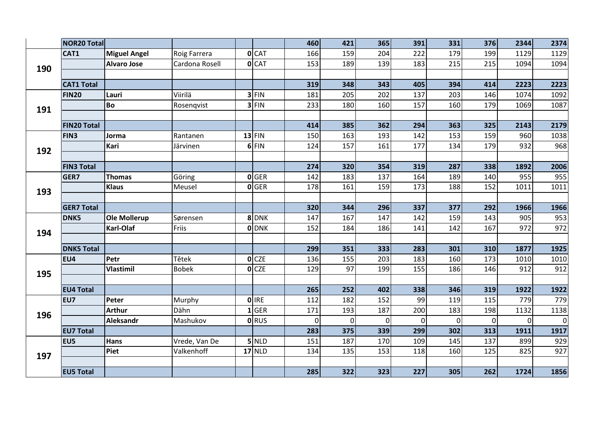|     | <b>NOR20 Total</b> |                     |                |                  | 460            | 421         | 365            | 391            | 331            | 376         | 2344        | 2374     |
|-----|--------------------|---------------------|----------------|------------------|----------------|-------------|----------------|----------------|----------------|-------------|-------------|----------|
|     | CAT1               | <b>Miguel Angel</b> | Roig Farrera   | $0$ $CAT$        | 166            | 159         | 204            | 222            | 179            | 199         | 1129        | 1129     |
| 190 |                    | <b>Alvaro Jose</b>  | Cardona Rosell | O <sub>CAT</sub> | 153            | 189         | 139            | 183            | 215            | 215         | 1094        | 1094     |
|     |                    |                     |                |                  |                |             |                |                |                |             |             |          |
|     | <b>CAT1 Total</b>  |                     |                |                  | 319            | 348         | 343            | 405            | 394            | 414         | 2223        | 2223     |
|     | <b>FIN20</b>       | Lauri               | Viirilä        | $3$ FIN          | 181            | 205         | 202            | 137            | 203            | 146         | 1074        | 1092     |
| 191 |                    | <b>Bo</b>           | Rosenqvist     | $3$ FIN          | 233            | 180         | 160            | 157            | 160            | 179         | 1069        | 1087     |
|     |                    |                     |                |                  |                |             |                |                |                |             |             |          |
|     | <b>FIN20 Total</b> |                     |                |                  | 414            | 385         | 362            | 294            | 363            | 325         | 2143        | 2179     |
|     | FIN3               | Jorma               | Rantanen       | $13$ FIN         | 150            | 163         | 193            | 142            | 153            | 159         | 960         | 1038     |
| 192 |                    | Kari                | Järvinen       | $6$ FIN          | 124            | 157         | 161            | 177            | 134            | 179         | 932         | 968      |
|     |                    |                     |                |                  |                |             |                |                |                |             |             |          |
|     | <b>FIN3 Total</b>  |                     |                |                  | 274            | 320         | 354            | 319            | 287            | 338         | 1892        | 2006     |
|     | GER7               | Thomas              | Göring         | 0 GER            | 142            | 183         | 137            | 164            | 189            | 140         | 955         | 955      |
| 193 |                    | <b>Klaus</b>        | Meusel         | $O$ GER          | 178            | 161         | 159            | 173            | 188            | 152         | 1011        | 1011     |
|     |                    |                     |                |                  |                |             |                |                |                |             |             |          |
|     | <b>GER7 Total</b>  |                     |                |                  | 320            | 344         | 296            | 337            | 377            | 292         | 1966        | 1966     |
|     | DNK5               | Ole Mollerup        | Sørensen       | 8 DNK            | 147            | 167         | 147            | 142            | 159            | 143         | 905         | 953      |
| 194 |                    | Karl-Olaf           | Friis          | <b>O</b> DNK     | 152            | 184         | 186            | 141            | 142            | 167         | 972         | 972      |
|     |                    |                     |                |                  |                |             |                |                |                |             |             |          |
|     | <b>DNK5 Total</b>  |                     |                |                  | 299            | 351         | 333            | 283            | 301            | 310         | 1877        | 1925     |
|     | EU4                | Petr                | Tětek          | O <sub>CCE</sub> | 136            | 155         | 203            | 183            | 160            | 173         | 1010        | 1010     |
| 195 |                    | <b>Vlastimil</b>    | <b>Bobek</b>   | O <sub>CCE</sub> | 129            | 97          | 199            | 155            | 186            | 146         | 912         | 912      |
|     |                    |                     |                |                  |                |             |                |                |                |             |             |          |
|     | <b>EU4 Total</b>   |                     |                |                  | 265            | 252         | 402            | 338            | 346            | 319         | 1922        | 1922     |
|     | EU7                | Peter               | Murphy         | 0 IRE            | 112            | 182         | 152            | 99             | 119            | 115         | 779         | 779      |
| 196 |                    | <b>Arthur</b>       | Dähn           | $1$ GER          | 171            | 193         | 187            | 200            | 183            | 198         | 1132        | 1138     |
|     |                    | <b>Aleksandr</b>    | Mashukov       | <b>O</b> RUS     | $\overline{0}$ | $\mathbf 0$ | $\overline{0}$ | $\overline{0}$ | $\overline{0}$ | $\mathbf 0$ | $\mathbf 0$ | $\Omega$ |
|     | <b>EU7 Total</b>   |                     |                |                  | 283            | 375         | 339            | 299            | 302            | 313         | 1911        | 1917     |
|     | EU5                | <b>Hans</b>         | Vrede, Van De  | $5$ NLD          | 151            | 187         | 170            | 109            | 145            | 137         | 899         | 929      |
| 197 |                    | Piet                | Valkenhoff     | <b>17 NLD</b>    | 134            | 135         | 153            | 118            | 160            | 125         | 825         | 927      |
|     |                    |                     |                |                  |                |             |                |                |                |             |             |          |
|     | <b>EU5 Total</b>   |                     |                |                  | 285            | 322         | 323            | 227            | 305            | 262         | 1724        | 1856     |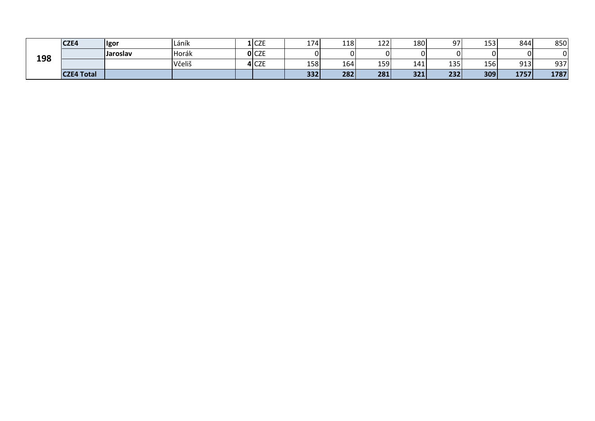|     | CZE4              | Igor     | l Láník | $1$ CZE | 174 | 118 | $122$      | 180   | 07  | 153 | 844  | 850  |
|-----|-------------------|----------|---------|---------|-----|-----|------------|-------|-----|-----|------|------|
| 198 |                   | Jaroslav | Horák   | $O$ CZE | ΩI  |     | C          |       |     | ΩI  |      |      |
|     |                   |          | Včeliš  | 4 CZE   | 158 | 164 | <b>159</b> | 141   | 135 | 156 | 913  | 937  |
|     | <b>CZE4 Total</b> |          |         |         | 332 | 282 | 281        | $321$ | 232 | 309 | 1757 | 1787 |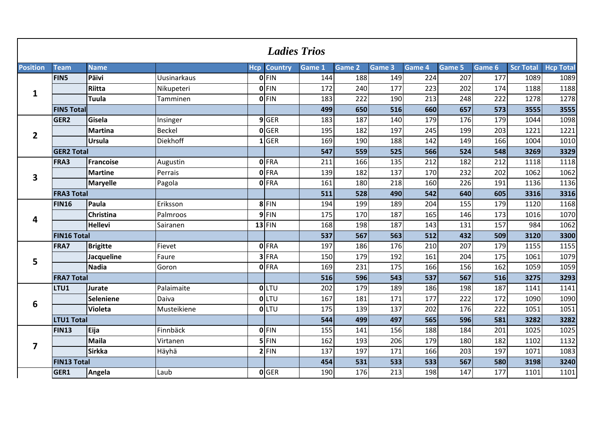|                         |                    |                  |                 |            | <b>Ladies Trios</b> |                   |        |               |        |        |        |                  |                  |
|-------------------------|--------------------|------------------|-----------------|------------|---------------------|-------------------|--------|---------------|--------|--------|--------|------------------|------------------|
| <b>Position</b>         | <b>Team</b>        | <b>Name</b>      |                 | <b>Hcp</b> | <b>Country</b>      | Game <sub>1</sub> | Game 2 | <b>Game 3</b> | Game 4 | Game 5 | Game 6 | <b>Scr Total</b> | <b>Hcp Total</b> |
|                         | FIN5               | Päivi            | Uusinarkaus     |            | $0$ FIN             | 144               | 188    | 149           | 224    | 207    | 177    | 1089             | 1089             |
|                         |                    | Riitta           | Nikupeteri      |            | $0$ FIN             | 172               | 240    | 177           | 223    | 202    | 174    | 1188             | 1188             |
| 1                       |                    | <b>Tuula</b>     | Tamminen        |            | <b>O</b> FIN        | 183               | 222    | 190           | 213    | 248    | 222    | 1278             | 1278             |
|                         | <b>FIN5 Total</b>  |                  |                 |            |                     | 499               | 650    | 516           | 660    | 657    | 573    | 3555             | 3555             |
|                         | GER <sub>2</sub>   | Gisela           | Insinger        |            | $9$ GER             | 183               | 187    | 140           | 179    | 176    | 179    | 1044             | 1098             |
| $\overline{2}$          |                    | <b>Martina</b>   | <b>Beckel</b>   |            | 0 GER               | 195               | 182    | 197           | 245    | 199    | 203    | 1221             | 1221             |
|                         |                    | Ursula           | <b>Diekhoff</b> |            | $1$ GER             | 169               | 190    | 188           | 142    | 149    | 166    | 1004             | 1010             |
|                         | <b>GER2 Total</b>  |                  |                 |            |                     | 547               | 559    | 525           | 566    | 524    | 548    | 3269             | 3329             |
|                         | FRA3               | <b>Francoise</b> | Augustin        |            | <b>O</b> FRA        | 211               | 166    | 135           | 212    | 182    | 212    | 1118             | 1118             |
| 3                       |                    | <b>Martine</b>   | Perrais         |            | 0 FRA               | 139               | 182    | 137           | 170    | 232    | 202    | 1062             | 1062             |
|                         |                    | <b>Maryelle</b>  | Pagola          |            | 0 FRA               | 161               | 180    | 218           | 160    | 226    | 191    | 1136             | 1136             |
|                         | <b>FRA3 Total</b>  |                  |                 |            |                     | 511               | 528    | 490           | 542    | 640    | 605    | 3316             | 3316             |
| 4                       | <b>FIN16</b>       | Paula            | Eriksson        |            | 8 FIN               | 194               | 199    | 189           | 204    | 155    | 179    | 1120             | 1168             |
|                         |                    | <b>Christina</b> | Palmroos        |            | $9$ FIN             | 175               | 170    | 187           | 165    | 146    | 173    | 1016             | 1070             |
|                         |                    | <b>Hellevi</b>   | Sairanen        |            | $13$ FIN            | 168               | 198    | 187           | 143    | 131    | 157    | 984              | 1062             |
|                         | <b>FIN16 Total</b> |                  |                 |            |                     | 537               | 567    | 563           | 512    | 432    | 509    | 3120             | 3300             |
|                         | FRA7               | <b>Brigitte</b>  | Fievet          |            | <b>O</b> FRA        | 197               | 186    | 176           | 210    | 207    | 179    | 1155             | 1155             |
| 5                       |                    | Jacqueline       | Faure           |            | $3$ FRA             | 150               | 179    | 192           | 161    | 204    | 175    | 1061             | 1079             |
|                         |                    | <b>Nadia</b>     | Goron           |            | 0 FRA               | 169               | 231    | 175           | 166    | 156    | 162    | 1059             | 1059             |
|                         | <b>FRA7 Total</b>  |                  |                 |            |                     | 516               | 596    | 543           | 537    | 567    | 516    | 3275             | 3293             |
|                         | LTU1               | Jurate           | Palaimaite      |            | OLTU                | 202               | 179    | 189           | 186    | 198    | 187    | 1141             | 1141             |
| 6                       |                    | <b>Seleniene</b> | Daiva           |            | <b>OLTU</b>         | 167               | 181    | 171           | 177    | 222    | 172    | 1090             | 1090             |
|                         |                    | Violeta          | Musteikiene     |            | <b>OLTU</b>         | 175               | 139    | 137           | 202    | 176    | 222    | 1051             | 1051             |
|                         | LTU1 Total         |                  |                 |            |                     | 544               | 499    | 497           | 565    | 596    | 581    | 3282             | 3282             |
|                         | <b>FIN13</b>       | Eija             | Finnbäck        |            | $0$ FIN             | 155               | 141    | 156           | 188    | 184    | 201    | 1025             | 1025             |
|                         |                    | <b>Maila</b>     | Virtanen        |            | $5$ FIN             | 162               | 193    | 206           | 179    | 180    | 182    | 1102             | 1132             |
| $\overline{\mathbf{z}}$ |                    | <b>Sirkka</b>    | Häyhä           |            | $2$ FIN             | 137               | 197    | 171           | 166    | 203    | 197    | 1071             | 1083             |
|                         | <b>FIN13 Total</b> |                  |                 |            |                     | 454               | 531    | 533           | 533    | 567    | 580    | 3198             | 3240             |
|                         | GER1               | Angela           | Laub            |            | 0 GER               | 190               | 176    | 213           | 198    | 147    | 177    | 1101             | 1101             |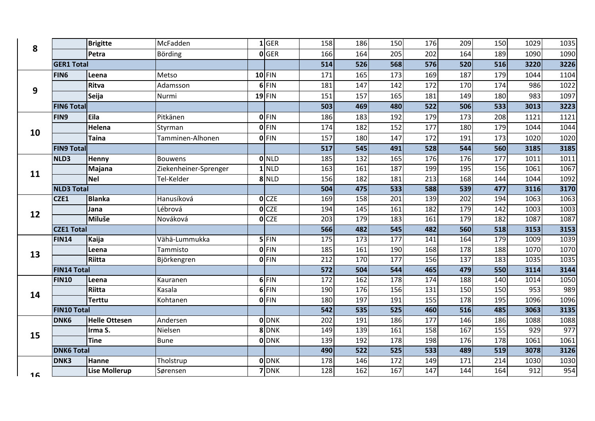| 8  |                    | <b>Brigitte</b>      | McFadden              | $1$ GER            | 158 | 186              | 150 | 176              | 209              | 150             | 1029 | 1035 |
|----|--------------------|----------------------|-----------------------|--------------------|-----|------------------|-----|------------------|------------------|-----------------|------|------|
|    |                    | Petra                | Börding               | 0 GER              | 166 | 164              | 205 | 202              | 164              | 189             | 1090 | 1090 |
|    | <b>GER1 Total</b>  |                      |                       |                    | 514 | 526              | 568 | 576              | 520              | 516             | 3220 | 3226 |
|    | <b>FIN6</b>        | Leena                | Metso                 | $10$ FIN           | 171 | 165              | 173 | 169              | 187              | 179             | 1044 | 1104 |
| 9  |                    | Ritva                | Adamsson              | $6$ FIN            | 181 | 147              | 142 | 172              | 170              | 174             | 986  | 1022 |
|    |                    | Seija                | Nurmi                 | $19$ FIN           | 151 | 157              | 165 | 181              | 149              | 180             | 983  | 1097 |
|    | <b>FING Total</b>  |                      |                       |                    | 503 | 469              | 480 | 522              | 506              | 533             | 3013 | 3223 |
|    | <b>FIN9</b>        | Eila                 | Pitkänen              | <b>O</b> FIN       | 186 | 183              | 192 | 179              | 173              | 208             | 1121 | 1121 |
|    |                    | Helena               | Styrman               | $0$ FIN            | 174 | 182              | 152 | 177              | 180              | 179             | 1044 | 1044 |
| 10 |                    | <b>Taina</b>         | Tamminen-Alhonen      | $0$ FIN            | 157 | 180              | 147 | 172              | 191              | 173             | 1020 | 1020 |
|    | <b>FIN9 Total</b>  |                      |                       |                    | 517 | 545              | 491 | 528              | 544              | 560             | 3185 | 3185 |
|    | NLD3               | Henny                | <b>Bouwens</b>        | $\overline{O}$ NLD | 185 | 132              | 165 | 176              | 176              | 177             | 1011 | 1011 |
| 11 |                    | Majana               | Ziekenheiner-Sprenger | $1$ NLD            | 163 | 161              | 187 | 199              | 195              | 156             | 1061 | 1067 |
|    |                    | <b>Nel</b>           | Tel-Kelder            | 8 NLD              | 156 | 182              | 181 | $\overline{213}$ | 168              | 144             | 1044 | 1092 |
|    | <b>NLD3 Total</b>  |                      |                       |                    | 504 | 475              | 533 | 588              | 539              | 477             | 3116 | 3170 |
| 12 | CZE1               | <b>Blanka</b>        | Hanusíková            | $O$ <sub>CZE</sub> | 169 | 158              | 201 | 139              | 202              | 194             | 1063 | 1063 |
|    |                    | Jana                 | Lébrová               | O <sub>CZE</sub>   | 194 | 145              | 161 | 182              | 179              | $\frac{142}{2}$ | 1003 | 1003 |
|    |                    | <b>Miluše</b>        | Nováková              | $0$ CZE            | 203 | 179              | 183 | 161              | 179              | 182             | 1087 | 1087 |
|    | <b>CZE1 Total</b>  |                      |                       |                    | 566 | 482              | 545 | 482              | 560              | 518             | 3153 | 3153 |
|    | <b>FIN14</b>       | Kaija                | Vähä-Lummukka         | $5$ FIN            | 175 | 173              | 177 | 141              | 164              | 179             | 1009 | 1039 |
| 13 |                    | Leena                | Tammisto              | $0$ FIN            | 185 | 161              | 190 | 168              | 178              | 188             | 1070 | 1070 |
|    |                    | Riitta               | Björkengren           | $0$ FIN            | 212 | 170              | 177 | 156              | 137              | 183             | 1035 | 1035 |
|    | <b>FIN14 Total</b> |                      |                       |                    | 572 | 504              | 544 | 465              | 479              | 550             | 3114 | 3144 |
|    | <b>FIN10</b>       | Leena                | Kauranen              | $6$ FIN            | 172 | 162              | 178 | 174              | 188              | 140             | 1014 | 1050 |
| 14 |                    | Riitta               | Kasala                | $6$ FIN            | 190 | 176              | 156 | 131              | 150              | 150             | 953  | 989  |
|    |                    | <b>Terttu</b>        | Kohtanen              | $0$ FIN            | 180 | 197              | 191 | 155              | $\overline{178}$ | 195             | 1096 | 1096 |
|    | <b>FIN10 Total</b> |                      |                       |                    | 542 | 535              | 525 | 460              | 516              | 485             | 3063 | 3135 |
|    | <b>DNK6</b>        | <b>Helle Ottesen</b> | Andersen              | 0 DNK              | 202 | 191              | 186 | 177              | 146              | 186             | 1088 | 1088 |
| 15 |                    | Irma S.              | Nielsen               | 8 DNK              | 149 | 139              | 161 | 158              | 167              | 155             | 929  | 977  |
|    |                    | <b>Tine</b>          | <b>Bune</b>           | <b>O</b> DNK       | 139 | 192              | 178 | 198              | 176              | 178             | 1061 | 1061 |
|    | <b>DNK6 Total</b>  |                      |                       |                    | 490 | $\overline{522}$ | 525 | $\overline{533}$ | 489              | 519             | 3078 | 3126 |
|    | DNK3               | Hanne                | Tholstrup             | <b>O</b> DNK       | 178 | 146              | 172 | 149              | 171              | 214             | 1030 | 1030 |
| 16 |                    | <b>Lise Mollerup</b> | Sørensen              | 7 DNK              | 128 | 162              | 167 | 147              | 144              | 164             | 912  | 954  |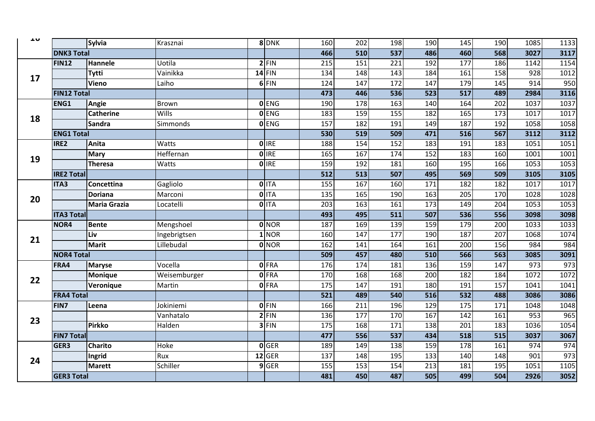| ᆚ  |                    | Sylvia              | Krasznai     | 8 DNK               | 160 | 202 | 198 | 190              | 145              | 190 | 1085 | 1133             |
|----|--------------------|---------------------|--------------|---------------------|-----|-----|-----|------------------|------------------|-----|------|------------------|
|    | <b>DNK3 Total</b>  |                     |              |                     | 466 | 510 | 537 | 486              | 460              | 568 | 3027 | 3117             |
|    | <b>FIN12</b>       | Hannele             | Uotila       | $2$ FIN             | 215 | 151 | 221 | 192              | $\overline{177}$ | 186 | 1142 | 1154             |
|    |                    | Tytti               | Vainikka     | $14$ FIN            | 134 | 148 | 143 | 184              | 161              | 158 | 928  | 1012             |
| 17 |                    | <b>Vieno</b>        | Laiho        | 6 FIN               | 124 | 147 | 172 | 147              | 179              | 145 | 914  | 950              |
|    | <b>FIN12 Total</b> |                     |              |                     | 473 | 446 | 536 | 523              | 517              | 489 | 2984 | 3116             |
|    | <b>ENG1</b>        | Angie               | Brown        | $O$ ENG             | 190 | 178 | 163 | 140              | 164              | 202 | 1037 | 1037             |
|    |                    | <b>Catherine</b>    | <b>Wills</b> | <b>O</b> ENG        | 183 | 159 | 155 | 182              | 165              | 173 | 1017 | 1017             |
| 18 |                    | <b>Sandra</b>       | Simmonds     | <b>O</b> ENG        | 157 | 182 | 191 | 149              | 187              | 192 | 1058 | 1058             |
|    | <b>ENG1 Total</b>  |                     |              |                     | 530 | 519 | 509 | 471              | 516              | 567 | 3112 | 3112             |
|    | IRE2               | Anita               | Watts        | $0$ IRE             | 188 | 154 | 152 | 183              | 191              | 183 | 1051 | 1051             |
| 19 |                    | <b>Mary</b>         | Heffernan    | <b>O</b> IRE        | 165 | 167 | 174 | 152              | 183              | 160 | 1001 | 1001             |
|    |                    | Theresa             | Watts        | <b>O</b> IRE        | 159 | 192 | 181 | 160              | 195              | 166 | 1053 | 1053             |
|    | <b>IRE2 Total</b>  |                     |              |                     | 512 | 513 | 507 | 495              | 569              | 509 | 3105 | 3105             |
|    | <b>ITA3</b>        | Concettina          | Gagliolo     | 0 ITA               | 155 | 167 | 160 | $\frac{1}{171}$  | $\overline{182}$ | 182 | 1017 | 1017             |
| 20 |                    | <b>Doriana</b>      | Marconi      | $\overline{O}$ IITA | 135 | 165 | 190 | 163              | 205              | 170 | 1028 | 1028             |
|    |                    | <b>Maria Grazia</b> | Locatelli    | <b>O</b> ITA        | 203 | 163 | 161 | $\frac{173}{ }$  | 149              | 204 | 1053 | 1053             |
|    | <b>ITA3 Total</b>  |                     |              |                     | 493 | 495 | 511 | 507              | 536              | 556 | 3098 | 3098             |
|    | NOR4               | <b>Bente</b>        | Mengshoel    | 0 NOR               | 187 | 169 | 139 | 159              | 179              | 200 | 1033 | 1033             |
| 21 |                    | Liv                 | Ingebrigtsen | $1$ NOR             | 160 | 147 | 177 | 190              | 187              | 207 | 1068 | 1074             |
|    |                    | <b>Marit</b>        | Lillebudal   | <b>O</b> NOR        | 162 | 141 | 164 | 161              | $\overline{200}$ | 156 | 984  | 984              |
|    | <b>NOR4 Total</b>  |                     |              |                     | 509 | 457 | 480 | 510              | 566              | 563 | 3085 | 3091             |
|    | FRA4               | <b>Maryse</b>       | Vocella      | <b>0 FRA</b>        | 176 | 174 | 181 | 136              | 159              | 147 | 973  | 973              |
| 22 |                    | <b>Monique</b>      | Weisemburger | <b>O</b> FRA        | 170 | 168 | 168 | $\overline{200}$ | 182              | 184 | 1072 | 1072             |
|    |                    | Veronique           | Martin       | 0 FRA               | 175 | 147 | 191 | 180              | 191              | 157 | 1041 | 1041             |
|    | <b>FRA4 Total</b>  |                     |              |                     | 521 | 489 | 540 | 516              | 532              | 488 | 3086 | 3086             |
|    | FIN7               | Leena               | Jokiniemi    | <b>OFIN</b>         | 166 | 211 | 196 | 129              | 175              | 171 | 1048 | 1048             |
| 23 |                    |                     | Vanhatalo    | $2$ FIN             | 136 | 177 | 170 | 167              | 142              | 161 | 953  | 965              |
|    |                    | Pirkko              | Halden       | $3$ FIN             | 175 | 168 | 171 | 138              | 201              | 183 | 1036 | 1054             |
|    | <b>FIN7 Total</b>  |                     |              |                     | 477 | 556 | 537 | 434              | 518              | 515 | 3037 | 3067             |
|    | GER3               | <b>Charito</b>      | Hoke         | <b>O</b> GER        | 189 | 149 | 138 | 159              | 178              | 161 | 974  | 974              |
| 24 |                    | Ingrid              | Rux          | $12$ GER            | 137 | 148 | 195 | $\frac{133}{ }$  | 140              | 148 | 901  | $\overline{973}$ |
|    |                    | <b>Marett</b>       | Schiller     | $9$ GER             | 155 | 153 | 154 | $\overline{213}$ | 181              | 195 | 1051 | 1105             |
|    | <b>GER3 Total</b>  |                     |              |                     | 481 | 450 | 487 | 505              | 499              | 504 | 2926 | 3052             |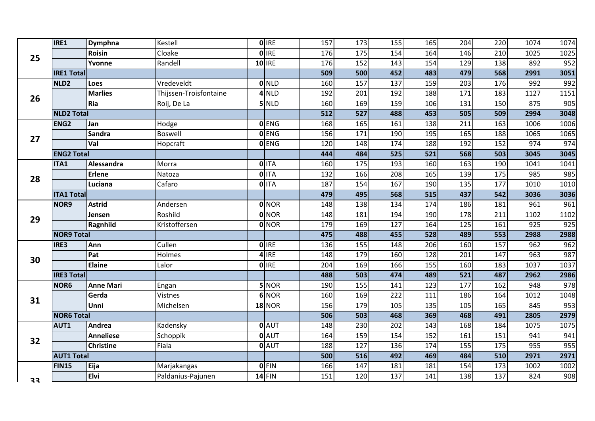|    | IRE1              | Dymphna          | Kestell                | $0$ IRE       | $\frac{157}{ }$  | $\frac{173}{ }$   | 155              | 165              | 204               | $\overline{220}$  | 1074             | 1074             |
|----|-------------------|------------------|------------------------|---------------|------------------|-------------------|------------------|------------------|-------------------|-------------------|------------------|------------------|
| 25 |                   | <b>Roisin</b>    | Cloake                 | $0$ IRE       | 176              | 175               | 154              | 164              | 146               | $\overline{210}$  | 1025             | 1025             |
|    |                   | Yvonne           | Randell                | $10$ IRE      | 176              | $\frac{152}{ }$   | 143              | 154              | 129               | 138               | 892              | 952              |
|    | <b>IRE1 Total</b> |                  |                        |               | 509              | 500               | 452              | 483              | 479               | 568               | 2991             | 3051             |
|    | NLD <sub>2</sub>  | <b>Loes</b>      | Vredeveldt             | $0$ NLD       | 160              | 157               | 137              | 159              | 203               | 176               | 992              | 992              |
| 26 |                   | <b>Marlies</b>   | Thijssen-Troisfontaine | $4$ NLD       | 192              | 201               | 192              | 188              | $\overline{171}$  | 183               | 1127             | 1151             |
|    |                   | Ria              | Roij, De La            | $5$ NLD       | 160              | 169               | 159              | 106              | 131               | 150               | 875              | 905              |
|    | <b>NLD2 Total</b> |                  |                        |               | $\overline{512}$ | $\overline{527}$  | 488              | 453              | 505               | 509               | 2994             | 3048             |
|    | ENG <sub>2</sub>  | Jan              | Hodge                  | <b>O</b> ENG  | 168              | 165               | 161              | 138              | 211               | 163               | 1006             | 1006             |
| 27 |                   | <b>Sandra</b>    | <b>Boswell</b>         | <b>O</b> ENG  | 156              | $\frac{171}{171}$ | 190              | 195              | $\frac{165}{165}$ | 188               | 1065             | 1065             |
|    |                   | Val              | Hopcraft               | <b>O</b> ENG  | 120              | 148               | 174              | 188              | $\overline{192}$  | 152               | $\overline{974}$ | 974              |
|    | <b>ENG2 Total</b> |                  |                        |               | 444              | 484               | 525              | $\overline{521}$ | 568               | 503               | 3045             | 3045             |
|    | ITA1              | Alessandra       | Morra                  | $0$ ITA       | 160              | $\frac{175}{2}$   | 193              | 160              | $\overline{163}$  | 190               | 1041             | 1041             |
| 28 |                   | <b>Erlene</b>    | Natoza                 | $0$ ITA       | 132              | 166               | 208              | 165              | 139               | $\frac{175}{175}$ | 985              | 985              |
|    |                   | Luciana          | Cafaro                 | $O$ ITA       | 187              | 154               | 167              | 190              | $\frac{135}{ }$   | 177               | 1010             | 1010             |
|    | <b>ITA1 Total</b> |                  |                        |               | 479              | 495               | 568              | 515              | 437               | 542               | 3036             | 3036             |
|    | NOR9              | <b>Astrid</b>    | Andersen               | <b>O</b> NOR  | 148              | 138               | 134              | 174              | 186               | 181               | 961              | 961              |
| 29 |                   | Jensen           | Roshild                | 0 NOR         | 148              | 181               | 194              | 190              | 178               | 211               | 1102             | 1102             |
|    |                   | Ragnhild         | Kristoffersen          | 0 NOR         | 179              | 169               | 127              | 164              | 125               | 161               | 925              | $\overline{925}$ |
|    | <b>NOR9 Total</b> |                  |                        |               | 475              | 488               | 455              | 528              | 489               | $\overline{553}$  | 2988             | 2988             |
|    | IRE3              | Ann              | Cullen                 | <b>O</b> IRE  | 136              | $\frac{155}{155}$ | 148              | 206              | 160               | 157               | 962              | 962              |
| 30 |                   | Pat              | Holmes                 | $4$ IRE       | 148              | 179               | 160              | 128              | 201               | 147               | $\overline{963}$ | 987              |
|    |                   | Elaine           | Lalor                  | <b>O</b> IRE  | 204              | 169               | 166              | 155              | 160               | 183               | 1037             | 1037             |
|    | <b>IRE3 Total</b> |                  |                        |               | 488              | 503               | 474              | 489              | $\overline{521}$  | 487               | 2962             | 2986             |
|    | NOR6              | <b>Anne Mari</b> | Engan                  | 5 NOR         | 190              | $\overline{155}$  | 141              | 123              | $\overline{177}$  | 162               | 948              | 978              |
| 31 |                   | Gerda            | Vistnes                | 6 NOR         | 160              | 169               | $\overline{222}$ | 111              | 186               | 164               | 1012             | 1048             |
|    |                   | Unni             | Michelsen              | <b>18 NOR</b> | 156              | 179               | 105              | 135              | 105               | 165               | 845              | 953              |
|    | <b>NOR6 Total</b> |                  |                        |               | 506              | 503               | 468              | 369              | 468               | 491               | 2805             | 2979             |
|    | AUT1              | Andrea           | Kadensky               | $0$ $AUT$     | 148              | 230               | $\overline{202}$ | 143              | 168               | 184               | 1075             | 1075             |
| 32 |                   | <b>Anneliese</b> | Schoppik               | 0 AUT         | 164              | 159               | 154              | 152              | 161               | 151               | 941              | 941              |
|    |                   | <b>Christine</b> | Fiala                  | 0 AUT         | 188              | $\frac{127}{2}$   | 136              | 174              | 155               | 175               | 955              | 955              |
|    | <b>AUT1 Total</b> |                  |                        |               | 500              | 516               | 492              | 469              | 484               | 510               | 2971             | 2971             |
|    | <b>FIN15</b>      | Eija             | Marjakangas            | $0$ FIN       | 166              | 147               | 181              | 181              | 154               | 173               | 1002             | 1002             |
| 33 |                   | <b>Elvi</b>      | Paldanius-Pajunen      | $14$ FIN      | 151              | 120               | 137              | 141              | 138               | 137               | 824              | 908              |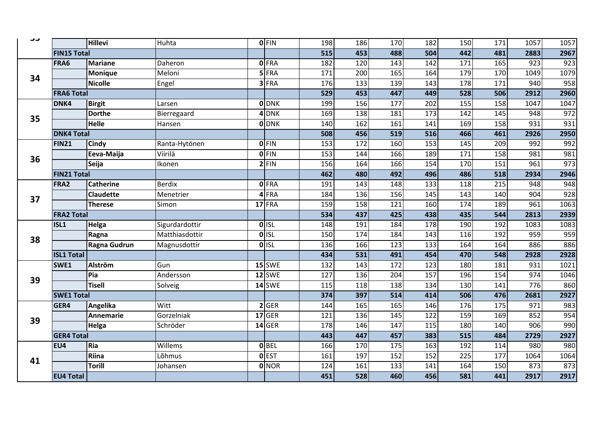| ر ر |                    | <b>Hillevi</b>   | Huhta          | $0$ FIN            | 198 | 186 | 170 | 182              | 150             | 171 | 1057 | 1057 |
|-----|--------------------|------------------|----------------|--------------------|-----|-----|-----|------------------|-----------------|-----|------|------|
|     | <b>FIN15 Total</b> |                  |                |                    | 515 | 453 | 488 | 504              | 442             | 481 | 2883 | 2967 |
|     | FRA6               | <b>Mariane</b>   | Daheron        | 0 FRA              | 182 | 120 | 143 | 142              | 171             | 165 | 923  | 923  |
|     |                    | <b>Monique</b>   | Meloni         | $5$ FRA            | 171 | 200 | 165 | 164              | 179             | 170 | 1049 | 1079 |
| 34  |                    | <b>Nicolle</b>   | Engel          | $3$ FRA            | 176 | 133 | 139 | 143              | 178             | 171 | 940  | 958  |
|     | <b>FRA6 Total</b>  |                  |                |                    | 529 | 453 | 447 | 449              | 528             | 506 | 2912 | 2960 |
|     | <b>DNK4</b>        | <b>Birgit</b>    | Larsen         | <b>O</b> DNK       | 199 | 156 | 177 | 202              | $\frac{155}{ }$ | 158 | 1047 | 1047 |
| 35  |                    | <b>Dorthe</b>    | Bierregaard    | $4$ DNK            | 169 | 138 | 181 | 173              | 142             | 145 | 948  | 972  |
|     |                    | <b>Helle</b>     | Hansen         | <b>O</b> DNK       | 140 | 162 | 161 | 141              | 169             | 158 | 931  | 931  |
|     | <b>DNK4 Total</b>  |                  |                |                    | 508 | 456 | 519 | $\overline{516}$ | 466             | 461 | 2926 | 2950 |
|     | FIN <sub>21</sub>  | <b>Cindy</b>     | Ranta-Hytönen  | <b>OFIN</b>        | 153 | 172 | 160 | 153              | 145             | 209 | 992  | 992  |
| 36  |                    | Eeva-Maija       | Viirilä        | $0$ FIN            | 153 | 144 | 166 | 189              | 171             | 158 | 981  | 981  |
|     |                    | Seija            | Ikonen         | $2$ FIN            | 156 | 164 | 166 | 154              | 170             | 151 | 961  | 973  |
|     | <b>FIN21 Total</b> |                  |                |                    | 462 | 480 | 492 | 496              | 486             | 518 | 2934 | 2946 |
|     | FRA2               | <b>Catherine</b> | <b>Berdix</b>  | <b>O</b> FRA       | 191 | 143 | 148 | $\overline{133}$ | 118             | 215 | 948  | 948  |
| 37  |                    | <b>Claudette</b> | Menetrier      | $4$ FRA            | 184 | 136 | 156 | 145              | 143             | 140 | 904  | 928  |
|     |                    | <b>Therese</b>   | Simon          | $17$ FRA           | 159 | 158 | 121 | 160              | 174             | 189 | 961  | 1063 |
|     | <b>FRA2 Total</b>  |                  |                |                    | 534 | 437 | 425 | 438              | 435             | 544 | 2813 | 2939 |
|     | ISL1               | Helga            | Sigurdardottir | <b>OISL</b>        | 148 | 191 | 184 | 178              | 190             | 192 | 1083 | 1083 |
| 38  |                    | Ragna            | Matthiasdottir | $0$ <sub>ISL</sub> | 150 | 174 | 184 | 143              | 116             | 192 | 959  | 959  |
|     |                    | Ragna Gudrun     | Magnusdottir   | $0$ <sub>ISL</sub> | 136 | 166 | 123 | $\frac{133}{ }$  | 164             | 164 | 886  | 886  |
|     | <b>ISL1 Total</b>  |                  |                |                    | 434 | 531 | 491 | 454              | 470             | 548 | 2928 | 2928 |
|     | SWE1               | Alström          | Gun            | 15 SWE             | 132 | 143 | 172 | 123              | 180             | 181 | 931  | 1021 |
| 39  |                    | Pia              | Andersson      | 12 SWE             | 127 | 136 | 204 | 157              | 196             | 154 | 974  | 1046 |
|     |                    | <b>Tisell</b>    | Solveig        | 14 SWE             | 115 | 118 | 138 | 134              | 130             | 141 | 776  | 860  |
|     | <b>SWE1 Total</b>  |                  |                |                    | 374 | 397 | 514 | 414              | 506             | 476 | 2681 | 2927 |
|     | GER4               | Angelika         | Witt           | 2 GER              | 144 | 165 | 165 | 146              | 176             | 175 | 971  | 983  |
| 39  |                    | <b>Annemarie</b> | Gorzelniak     | $17$ GER           | 121 | 136 | 145 | $\frac{1}{2}$    | 159             | 169 | 852  | 954  |
|     |                    | Helga            | Schröder       | $14$ GER           | 178 | 146 | 147 | 115              | 180             | 140 | 906  | 990  |
|     | <b>GER4 Total</b>  |                  |                |                    | 443 | 447 | 457 | 383              | 515             | 484 | 2729 | 2927 |
|     | EU4                | Ria              | Willems        | $0$ BEL            | 166 | 170 | 175 | $\frac{163}{ }$  | 192             | 114 | 980  | 980  |
| 41  |                    | Riina            | Lõhmus         | <b>O</b> EST       | 161 | 197 | 152 | $\frac{152}{ }$  | 225             | 177 | 1064 | 1064 |
|     |                    | <b>Torill</b>    | Johansen       | 0 NOR              | 124 | 161 | 133 | 141              | 164             | 150 | 873  | 873  |
|     | <b>EU4 Total</b>   |                  |                |                    | 451 | 528 | 460 | 456              | 581             | 441 | 2917 | 2917 |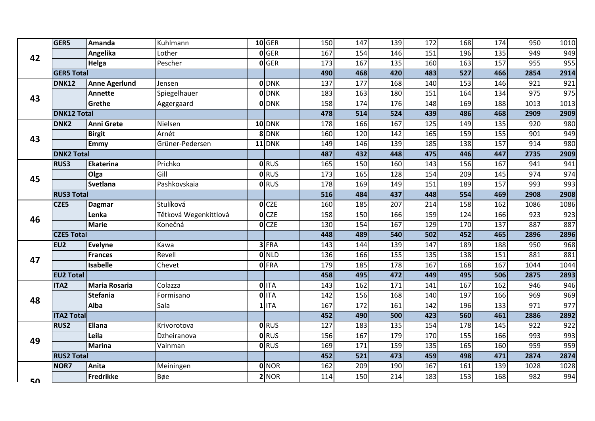|    | GER5               | Amanda               | Kuhlmann              | $10$ GER         | 150              | $\frac{147}{147}$ | 139 | 172 | 168               | 174               | 950  | 1010 |
|----|--------------------|----------------------|-----------------------|------------------|------------------|-------------------|-----|-----|-------------------|-------------------|------|------|
| 42 |                    | Angelika             | Lother                | $0$ GER          | 167              | 154               | 146 | 151 | 196               | $\frac{135}{ }$   | 949  | 949  |
|    |                    | Helga                | Pescher               | $0$ GER          | $\frac{173}{ }$  | $\frac{167}{167}$ | 135 | 160 | $\frac{163}{ }$   | 157               | 955  | 955  |
|    | <b>GER5 Total</b>  |                      |                       |                  | 490              | 468               | 420 | 483 | $\overline{527}$  | 466               | 2854 | 2914 |
|    | <b>DNK12</b>       | <b>Anne Agerlund</b> | Jensen                | <b>O</b> DNK     | 137              | 177               | 168 | 140 | $\overline{153}$  | 146               | 921  | 921  |
| 43 |                    | <b>Annette</b>       | Spiegelhauer          | <b>O</b> DNK     | 183              | 163               | 180 | 151 | 164               | 134               | 975  | 975  |
|    |                    | Grethe               | Aggergaard            | <b>O</b> DNK     | 158              | 174               | 176 | 148 | 169               | 188               | 1013 | 1013 |
|    | <b>DNK12 Total</b> |                      |                       |                  | 478              | 514               | 524 | 439 | 486               | 468               | 2909 | 2909 |
|    | DNK <sub>2</sub>   | Anni Grete           | Nielsen               | $10$ DNK         | 178              | 166               | 167 | 125 | 149               | 135               | 920  | 980  |
| 43 |                    | <b>Birgit</b>        | Arnét                 | 8 DNK            | 160              | 120               | 142 | 165 | 159               | $\frac{155}{155}$ | 901  | 949  |
|    |                    | <b>Emmy</b>          | Grüner-Pedersen       | $11$ DNK         | 149              | 146               | 139 | 185 | 138               | 157               | 914  | 980  |
|    | <b>DNK2 Total</b>  |                      |                       |                  | 487              | 432               | 448 | 475 | 446               | 447               | 2735 | 2909 |
|    | <b>RUS3</b>        | Ekaterina            | Prichko               | <b>O</b> RUS     | 165              | 150               | 160 | 143 | 156               | 167               | 941  | 941  |
| 45 |                    | Olga                 | Gill                  | <b>O</b> RUS     | 173              | 165               | 128 | 154 | 209               | 145               | 974  | 974  |
|    |                    | <b>Svetlana</b>      | Pashkovskaia          | <b>O</b> RUS     | 178              | 169               | 149 | 151 | 189               | 157               | 993  | 993  |
|    | <b>RUS3 Total</b>  |                      |                       |                  | $\overline{516}$ | 484               | 437 | 448 | 554               | 469               | 2908 | 2908 |
|    | CZE5               | <b>Dagmar</b>        | Stulíková             | O <sub>CZE</sub> | 160              | 185               | 207 | 214 | 158               | 162               | 1086 | 1086 |
| 46 |                    | Lenka                | Tětková Wegenkittlová | O <sub>CZE</sub> | 158              | 150               | 166 | 159 | 124               | 166               | 923  | 923  |
|    |                    | <b>Marie</b>         | Konečná               | O <sub>CZE</sub> | 130              | 154               | 167 | 129 | 170               | 137               | 887  | 887  |
|    | <b>CZE5 Total</b>  |                      |                       |                  | 448              | 489               | 540 | 502 | 452               | 465               | 2896 | 2896 |
|    | EU <sub>2</sub>    | Evelyne              | Kawa                  | $3$ FRA          | 143              | 144               | 139 | 147 | 189               | 188               | 950  | 968  |
| 47 |                    | Frances              | Revell                | $0$ NLD          | 136              | 166               | 155 | 135 | 138               | 151               | 881  | 881  |
|    |                    | Isabelle             | Chevet                | <b>O</b> FRA     | 179              | 185               | 178 | 167 | 168               | 167               | 1044 | 1044 |
|    | <b>EU2 Total</b>   |                      |                       |                  | 458              | 495               | 472 | 449 | 495               | 506               | 2875 | 2893 |
|    | <b>ITA2</b>        | Maria Rosaria        | Colazza               | $0$ ITA          | 143              | 162               | 171 | 141 | $\frac{167}{167}$ | 162               | 946  | 946  |
| 48 |                    | <b>Stefania</b>      | Formisano             | $0$ ITA          | 142              | 156               | 168 | 140 | 197               | 166               | 969  | 969  |
|    |                    | Alba                 | Sala                  | $1$ ITA          | 167              | 172               | 161 | 142 | 196               | 133               | 971  | 977  |
|    | <b>ITA2 Total</b>  |                      |                       |                  | 452              | 490               | 500 | 423 | 560               | 461               | 2886 | 2892 |
|    | <b>RUS2</b>        | <b>Ellana</b>        | Krivorotova           | <b>O</b> RUS     | 127              | 183               | 135 | 154 | 178               | 145               | 922  | 922  |
| 49 |                    | Leila                | Dzheiranova           | <b>O</b> RUS     | 156              | 167               | 179 | 170 | $\frac{155}{ }$   | 166               | 993  | 993  |
|    |                    | Marina               | Vainman               | <b>O</b> RUS     | 169              | 171               | 159 | 135 | 165               | 160               | 959  | 959  |
|    | <b>RUS2 Total</b>  |                      |                       |                  | 452              | $\overline{521}$  | 473 | 459 | 498               | 471               | 2874 | 2874 |
|    | NOR7               | Anita                | Meiningen             | 0 NOR            | 162              | 209               | 190 | 167 | 161               | 139               | 1028 | 1028 |
| cΩ |                    | Fredrikke            | Bøe                   | $2$ NOR          | 114              | 150               | 214 | 183 | 153               | 168               | 982  | 994  |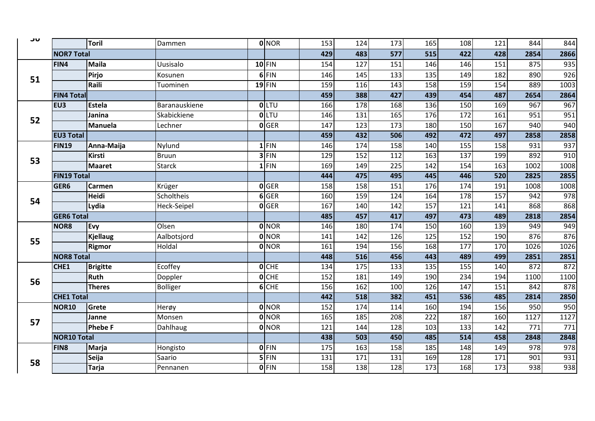| JU |                    | <b>Toril</b>    | Dammen          | 0 NOR        | 153 | 124 | 173 | 165              | 108               | 121 | 844  | 844              |
|----|--------------------|-----------------|-----------------|--------------|-----|-----|-----|------------------|-------------------|-----|------|------------------|
|    | <b>NOR7 Total</b>  |                 |                 |              | 429 | 483 | 577 | 515              | 422               | 428 | 2854 | 2866             |
|    | FIN4               | <b>Maila</b>    | Uusisalo        | 10 FIN       | 154 | 127 | 151 | 146              | 146               | 151 | 875  | 935              |
|    |                    | Pirjo           | Kosunen         | $6$ FIN      | 146 | 145 | 133 | 135              | 149               | 182 | 890  | 926              |
| 51 |                    | Raili           | Tuominen        | $19$ FIN     | 159 | 116 | 143 | 158              | 159               | 154 | 889  | 1003             |
|    | <b>FIN4 Total</b>  |                 |                 |              | 459 | 388 | 427 | 439              | 454               | 487 | 2654 | 2864             |
|    | EU <sub>3</sub>    | <b>Estela</b>   | Baranauskiene   | <b>O</b> LTU | 166 | 178 | 168 | 136              | 150               | 169 | 967  | $\overline{967}$ |
|    |                    | Janina          | Skabickiene     | <b>O</b> LTU | 146 | 131 | 165 | 176              | 172               | 161 | 951  | 951              |
| 52 |                    | <b>Manuela</b>  | Lechner         | 0 GER        | 147 | 123 | 173 | 180              | 150               | 167 | 940  | 940              |
|    | <b>EU3 Total</b>   |                 |                 |              | 459 | 432 | 506 | 492              | 472               | 497 | 2858 | 2858             |
|    | <b>FIN19</b>       | Anna-Maija      | Nylund          | $1$ FIN      | 146 | 174 | 158 | 140              | $\frac{155}{155}$ | 158 | 931  | 937              |
|    |                    | Kirsti          | <b>Bruun</b>    | $3$ FIN      | 129 | 152 | 112 | 163              | 137               | 199 | 892  | 910              |
| 53 |                    | <b>Maaret</b>   | <b>Starck</b>   | $1$ FIN      | 169 | 149 | 225 | 142              | 154               | 163 | 1002 | 1008             |
|    | <b>FIN19 Total</b> |                 |                 |              | 444 | 475 | 495 | 445              | 446               | 520 | 2825 | 2855             |
| 54 | GER <sub>6</sub>   | <b>Carmen</b>   | Krüger          | <b>O</b> GER | 158 | 158 | 151 | 176              | 174               | 191 | 1008 | 1008             |
|    |                    | <b>Heidi</b>    | Scholtheis      | $6$ GER      | 160 | 159 | 124 | 164              | 178               | 157 | 942  | 978              |
|    |                    | Lydia           | Heck-Seipel     | $0$ GER      | 167 | 140 | 142 | 157              | 121               | 141 | 868  | 868              |
|    | <b>GER6 Total</b>  |                 |                 |              | 485 | 457 | 417 | 497              | 473               | 489 | 2818 | 2854             |
|    | NOR <sub>8</sub>   | Evy             | Olsen           | 0 NOR        | 146 | 180 | 174 | 150              | 160               | 139 | 949  | 949              |
| 55 |                    | <b>Kjellaug</b> | Aalbotsjord     | <b>O</b> NOR | 141 | 142 | 126 | $\frac{125}{2}$  | 152               | 190 | 876  | 876              |
|    |                    | <b>Rigmor</b>   | Holdal          | <b>O</b> NOR | 161 | 194 | 156 | 168              | $\overline{177}$  | 170 | 1026 | 1026             |
|    | <b>NOR8 Total</b>  |                 |                 |              | 448 | 516 | 456 | 443              | 489               | 499 | 2851 | 2851             |
|    | CHE1               | <b>Brigitte</b> | Ecoffey         | $O$ CHE      | 134 | 175 | 133 | 135              | 155               | 140 | 872  | 872              |
| 56 |                    | <b>Ruth</b>     | Doppler         | $O$ CHE      | 152 | 181 | 149 | 190              | 234               | 194 | 1100 | 1100             |
|    |                    | <b>Theres</b>   | <b>Bolliger</b> | $6$ CHE      | 156 | 162 | 100 | 126              | 147               | 151 | 842  | 878              |
|    | <b>CHE1 Total</b>  |                 |                 |              | 442 | 518 | 382 | 451              | 536               | 485 | 2814 | 2850             |
|    | <b>NOR10</b>       | Grete           | Herøy           | 0 NOR        | 152 | 174 | 114 | 160              | 194               | 156 | 950  | 950              |
| 57 |                    | Janne           | Monsen          | <b>O</b> NOR | 165 | 185 | 208 | $\overline{222}$ | 187               | 160 | 1127 | 1127             |
|    |                    | <b>Phebe F</b>  | Dahlhaug        | 0 NOR        | 121 | 144 | 128 | 103              | 133               | 142 | 771  | $\overline{771}$ |
|    | <b>NOR10 Total</b> |                 |                 |              | 438 | 503 | 450 | 485              | 514               | 458 | 2848 | 2848             |
|    | <b>FIN8</b>        | Marja           | Hongisto        | $0$ FIN      | 175 | 163 | 158 | 185              | 148               | 149 | 978  | 978              |
| 58 |                    | Seija           | Saario          | $5$ FIN      | 131 | 171 | 131 | 169              | 128               | 171 | 901  | 931              |
|    |                    | <b>Tarja</b>    | Pennanen        | $0$ FIN      | 158 | 138 | 128 | 173              | 168               | 173 | 938  | 938              |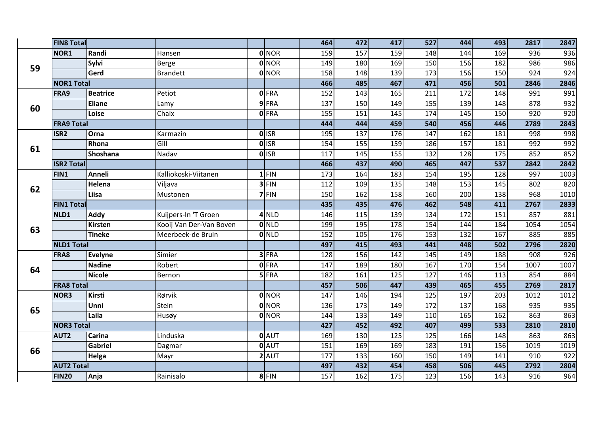|    | <b>FIN8 Total</b> |                 |                         |              | 464 | 472 | 417 | 527               | 444             | 493               | 2817 | 2847 |
|----|-------------------|-----------------|-------------------------|--------------|-----|-----|-----|-------------------|-----------------|-------------------|------|------|
|    | NOR1              | Randi           | Hansen                  | <b>O</b> NOR | 159 | 157 | 159 | 148               | 144             | 169               | 936  | 936  |
| 59 |                   | Sylvi           | Berge                   | <b>O</b> NOR | 149 | 180 | 169 | 150               | 156             | 182               | 986  | 986  |
|    |                   | Gerd            | <b>Brandett</b>         | <b>O</b> NOR | 158 | 148 | 139 | 173               | 156             | 150               | 924  | 924  |
|    | <b>NOR1</b> Total |                 |                         |              | 466 | 485 | 467 | 471               | 456             | 501               | 2846 | 2846 |
|    | FRA9              | <b>Beatrice</b> | Petiot                  | 0 FRA        | 152 | 143 | 165 | 211               | 172             | 148               | 991  | 991  |
| 60 |                   | <b>Eliane</b>   | Lamy                    | 9 FRA        | 137 | 150 | 149 | 155               | 139             | 148               | 878  | 932  |
|    |                   | Loise           | Chaix                   | <b>0 FRA</b> | 155 | 151 | 145 | 174               | 145             | 150               | 920  | 920  |
|    | <b>FRA9 Total</b> |                 |                         |              | 444 | 444 | 459 | 540               | 456             | 446               | 2789 | 2843 |
|    | ISR <sub>2</sub>  | <b>Orna</b>     | Karmazin                | 0 ISR        | 195 | 137 | 176 | 147               | 162             | 181               | 998  | 998  |
| 61 |                   | Rhona           | Gill                    | $0$ ISR      | 154 | 155 | 159 | 186               | 157             | 181               | 992  | 992  |
|    |                   | Shoshana        | Nadav                   | 0 ISR        | 117 | 145 | 155 | 132               | 128             | $\frac{175}{175}$ | 852  | 852  |
|    | <b>ISR2 Total</b> |                 |                         |              | 466 | 437 | 490 | 465               | 447             | $\overline{537}$  | 2842 | 2842 |
|    | FIN1              | <b>Anneli</b>   | Kalliokoski-Viitanen    | $1$ FIN      | 173 | 164 | 183 | 154               | 195             | 128               | 997  | 1003 |
| 62 |                   | Helena          | Viljava                 | $3$ FIN      | 112 | 109 | 135 | 148               | 153             | 145               | 802  | 820  |
|    |                   | Liisa           | Mustonen                | 7 FIN        | 150 | 162 | 158 | 160               | 200             | 138               | 968  | 1010 |
|    | <b>FIN1 Total</b> |                 |                         |              | 435 | 435 | 476 | 462               | 548             | 411               | 2767 | 2833 |
|    | NLD1              | Addy            | Kuijpers-In 'T Groen    | $4$ NLD      | 146 | 115 | 139 | 134               | $\frac{1}{2}$   | 151               | 857  | 881  |
| 63 |                   | <b>Kirsten</b>  | Kooij Van Der-Van Boven | $0$ NLD      | 199 | 195 | 178 | 154               | 144             | 184               | 1054 | 1054 |
|    |                   | <b>Tineke</b>   | Meerbeek-de Bruin       | $0$ NLD      | 152 | 105 | 176 | 153               | $\frac{132}{ }$ | $\frac{167}{167}$ | 885  | 885  |
|    | <b>NLD1 Total</b> |                 |                         |              | 497 | 415 | 493 | 441               | 448             | 502               | 2796 | 2820 |
|    | FRA8              | Evelyne         | Simier                  | $3$ FRA      | 128 | 156 | 142 | $\frac{145}{145}$ | 149             | 188               | 908  | 926  |
| 64 |                   | <b>Nadine</b>   | Robert                  | <b>0 FRA</b> | 147 | 189 | 180 | 167               | 170             | 154               | 1007 | 1007 |
|    |                   | Nicole          | Bernon                  | $5$ FRA      | 182 | 161 | 125 | 127               | 146             | 113               | 854  | 884  |
|    | <b>FRA8 Total</b> |                 |                         |              | 457 | 506 | 447 | 439               | 465             | 455               | 2769 | 2817 |
|    | NOR3              | Kirsti          | Rørvik                  | <b>O</b> NOR | 147 | 146 | 194 | 125               | 197             | 203               | 1012 | 1012 |
| 65 |                   | Unni            | Stein                   | <b>O</b> NOR | 136 | 173 | 149 | 172               | 137             | 168               | 935  | 935  |
|    |                   | Laila           | Husøy                   | 0 NOR        | 144 | 133 | 149 | 110               | 165             | 162               | 863  | 863  |
|    | <b>NOR3 Total</b> |                 |                         |              | 427 | 452 | 492 | 407               | 499             | 533               | 2810 | 2810 |
|    | <b>AUT2</b>       | Carina          | Linduska                | 0 AUT        | 169 | 130 | 125 | 125               | 166             | 148               | 863  | 863  |
| 66 |                   | Gabriel         | Dagmar                  | 0 AUT        | 151 | 169 | 169 | 183               | 191             | 156               | 1019 | 1019 |
|    |                   | Helga           | Mayr                    | $2$ AUT      | 177 | 133 | 160 | 150               | 149             | 141               | 910  | 922  |
|    | <b>AUT2 Total</b> |                 |                         |              | 497 | 432 | 454 | 458               | 506             | 445               | 2792 | 2804 |
|    | <b>FIN20</b>      | Anja            | Rainisalo               | 8 FIN        | 157 | 162 | 175 | 123               | 156             | $\overline{143}$  | 916  | 964  |
|    |                   |                 |                         |              |     |     |     |                   |                 |                   |      |      |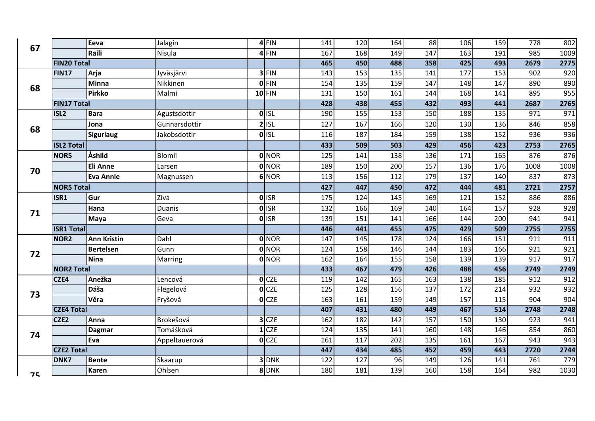|                                                                                    |                    | Eeva               | Jalagin       | $4$ FIN            | 141 | 120 | 164               | 88  | 106 | 159              | 778              | 802              |
|------------------------------------------------------------------------------------|--------------------|--------------------|---------------|--------------------|-----|-----|-------------------|-----|-----|------------------|------------------|------------------|
|                                                                                    |                    | Raili              | Nisula        | $4$ FIN            | 167 | 168 | 149               | 147 | 163 | 191              | 985              | 1009             |
| 67<br>68<br>ISL <sub>2</sub><br>68<br>70<br>ISR1<br>71<br>72<br>CZE4<br>73<br>CZE2 | <b>FIN20 Total</b> |                    |               |                    | 465 | 450 | 488               | 358 | 425 | 493              | 2679             | 2775             |
|                                                                                    | <b>FIN17</b>       | Arja               | Jyväsjärvi    | 3 FIN              | 143 | 153 | 135               | 141 | 177 | 153              | 902              | 920              |
|                                                                                    |                    | <b>Minna</b>       | Nikkinen      | $0$ FIN            | 154 | 135 | 159               | 147 | 148 | 147              | 890              | 890              |
|                                                                                    |                    | <b>Pirkko</b>      | Malmi         | $10$ FIN           | 131 | 150 | 161               | 144 | 168 | 141              | 895              | 955              |
|                                                                                    | <b>FIN17 Total</b> |                    |               |                    | 428 | 438 | 455               | 432 | 493 | 441              | 2687             | 2765             |
|                                                                                    |                    | <b>Bara</b>        | Agustsdottir  | $0$ <sub>ISL</sub> | 190 | 155 | 153               | 150 | 188 | 135              | 971              | 971              |
|                                                                                    |                    | Jona               | Gunnarsdottir | $2$ ISL            | 127 | 167 | 166               | 120 | 130 | 136              | 846              | 858              |
|                                                                                    |                    | <b>Sigurlaug</b>   | Jakobsdottir  | $O$ <sub>ISL</sub> | 116 | 187 | 184               | 159 | 138 | 152              | 936              | 936              |
|                                                                                    | <b>ISL2 Total</b>  |                    |               |                    | 433 | 509 | 503               | 429 | 456 | 423              | 2753             | 2765             |
|                                                                                    | NOR5               | Åshild             | Blomli        | <b>O</b> NOR       | 125 | 141 | 138               | 136 | 171 | 165              | 876              | 876              |
|                                                                                    |                    | <b>Eli Anne</b>    | Larsen        | 0 NOR              | 189 | 150 | 200               | 157 | 136 | 176              | 1008             | 1008             |
|                                                                                    |                    | <b>Eva Annie</b>   | Magnussen     | 6 NOR              | 113 | 156 | 112               | 179 | 137 | 140              | 837              | 873              |
|                                                                                    | <b>NOR5 Total</b>  |                    |               |                    | 427 | 447 | 450               | 472 | 444 | 481              | 2721             | 2757             |
|                                                                                    |                    | Gur                | Ziva          | <b>O</b> ISR       | 175 | 124 | 145               | 169 | 121 | 152              | 886              | 886              |
|                                                                                    |                    | Hana               | <b>Duanis</b> | OISR               | 132 | 166 | 169               | 140 | 164 | 157              | 928              | 928              |
|                                                                                    |                    | <b>Maya</b>        | Geva          | OISR               | 139 | 151 | 141               | 166 | 144 | 200              | 941              | 941              |
|                                                                                    | <b>ISR1 Total</b>  |                    |               |                    | 446 | 441 | 455               | 475 | 429 | 509              | 2755             | 2755             |
|                                                                                    | NOR <sub>2</sub>   | <b>Ann Kristin</b> | Dahl          | <b>O</b> NOR       | 147 | 145 | 178               | 124 | 166 | 151              | 911              | 911              |
|                                                                                    |                    | <b>Bertelsen</b>   | Gunn          | 0 NOR              | 124 | 158 | 146               | 144 | 183 | 166              | 921              | 921              |
|                                                                                    |                    | <b>Nina</b>        | Marring       | 0 NOR              | 162 | 164 | $\frac{155}{155}$ | 158 | 139 | 139              | $\overline{917}$ | $\overline{917}$ |
|                                                                                    | <b>NOR2 Total</b>  |                    |               |                    | 433 | 467 | 479               | 426 | 488 | 456              | 2749             | 2749             |
|                                                                                    |                    | Anežka             | Lencová       | $O$ CZE            | 119 | 142 | 165               | 163 | 138 | 185              | 912              | 912              |
|                                                                                    |                    | Dáša               | Flegelová     | $0$ CZE            | 125 | 128 | 156               | 137 | 172 | $\overline{214}$ | 932              | 932              |
|                                                                                    |                    | Věra               | Fryšová       | $0$ CZE            | 163 | 161 | 159               | 149 | 157 | 115              | 904              | 904              |
|                                                                                    | <b>CZE4 Total</b>  |                    |               |                    | 407 | 431 | 480               | 449 | 467 | $\overline{514}$ | 2748             | 2748             |
|                                                                                    |                    | Anna               | Brokešová     | $3$ CZE            | 162 | 182 | 142               | 157 | 150 | 130              | 923              | 941              |
| 74                                                                                 |                    | <b>Dagmar</b>      | Tomášková     | $1$ CZE            | 124 | 135 | 141               | 160 | 148 | 146              | 854              | 860              |
|                                                                                    |                    | Eva                | Appeltauerová | $O$ CZE            | 161 | 117 | 202               | 135 | 161 | 167              | 943              | 943              |
|                                                                                    | <b>CZE2 Total</b>  |                    |               |                    | 447 | 434 | 485               | 452 | 459 | 443              | 2720             | 2744             |
|                                                                                    | DNK7               | <b>Bente</b>       | Skaarup       | 3 DNK              | 122 | 127 | 96                | 149 | 126 | 141              | 761              | 779              |
| 75                                                                                 |                    | <b>Karen</b>       | Ohlsen        | 8 DNK              | 180 | 181 | 139               | 160 | 158 | 164              | 982              | 1030             |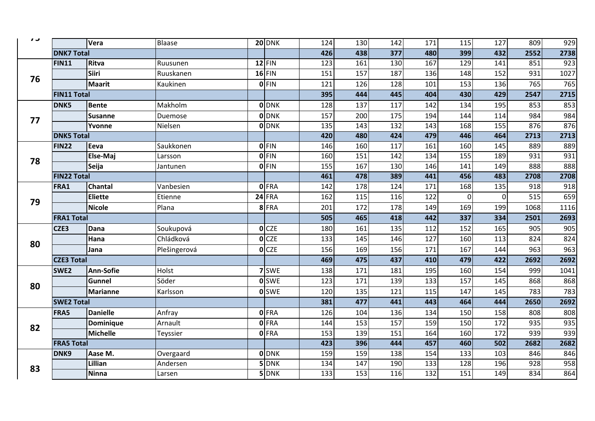| 809<br>929                |
|---------------------------|
| 2552<br>2738              |
| $\overline{923}$<br>851   |
| 931<br>1027               |
| 765<br>765                |
| 2715<br>2547              |
| 853<br>853                |
| 984<br>984                |
| 876<br>876                |
| 2713<br>2713              |
| 889<br>889                |
| 931<br>931                |
| 888<br>888                |
| 2708<br>2708              |
| 918<br>918                |
| 515<br>659                |
| 1068<br>1116              |
| 2693<br>2501              |
| 905<br>905                |
| 824<br>824                |
| 963<br>963                |
| 2692<br>2692              |
| 999<br>1041               |
| 868<br>868                |
| 783<br>783                |
| 2650<br>2692              |
| 808<br>808                |
| 935<br>935                |
| 939<br>939                |
| 2682                      |
| 846                       |
| 958                       |
| 864                       |
| 2682<br>846<br>928<br>834 |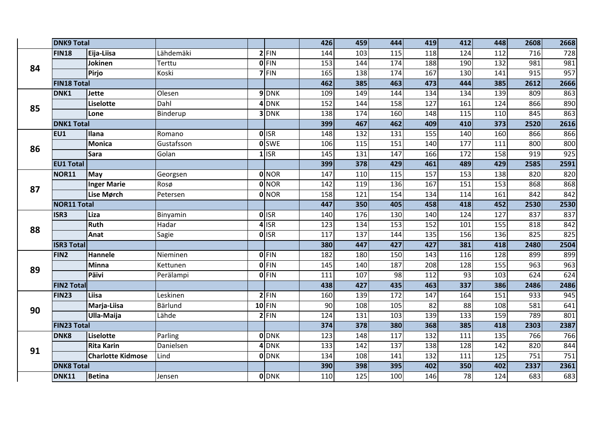|    | <b>DNK9 Total</b>  |                          |            |                    | 426              | 459              | 444 | 419             | 412               | 448              | 2608             | 2668 |
|----|--------------------|--------------------------|------------|--------------------|------------------|------------------|-----|-----------------|-------------------|------------------|------------------|------|
|    | <b>FIN18</b>       | Eija-Liisa               | Lähdemäki  | $2$ FIN            | 144              | 103              | 115 | 118             | $\frac{124}{x}$   | 112              | 716              | 728  |
| 84 |                    | Jokinen                  | Terttu     | $0$ FIN            | 153              | 144              | 174 | 188             | 190               | $\overline{132}$ | 981              | 981  |
|    |                    | <b>Pirjo</b>             | Koski      | 7 FIN              | 165              | 138              | 174 | 167             | 130               | 141              | $\overline{915}$ | 957  |
|    | <b>FIN18 Total</b> |                          |            |                    | 462              | $\overline{385}$ | 463 | 473             | 444               | 385              | 2612             | 2666 |
|    | DNK1               | <b>Jette</b>             | Olesen     | 9 DNK              | 109              | 149              | 144 | 134             | 134               | 139              | 809              | 863  |
| 85 |                    | Liselotte                | Dahl       | 4DNK               | 152              | 144              | 158 | 127             | 161               | 124              | 866              | 890  |
|    |                    | Lone                     | Binderup   | 3 DNK              | 138              | 174              | 160 | 148             | $\frac{115}{115}$ | 110              | 845              | 863  |
|    | <b>DNK1 Total</b>  |                          |            |                    | 399              | 467              | 462 | 409             | 410               | $\frac{1}{373}$  | 2520             | 2616 |
|    | EU1                | <b>Illana</b>            | Romano     | $0$ ISR            | 148              | 132              | 131 | $\frac{155}{ }$ | 140               | 160              | 866              | 866  |
| 86 |                    | <b>Monica</b>            | Gustafsson | <b>O</b> SWE       | 106              | $\boxed{115}$    | 151 | 140             | $\overline{177}$  | 111              | 800              | 800  |
|    |                    | <b>Sara</b>              | Golan      | $1$ ISR            | 145              | 131              | 147 | 166             | 172               | 158              | 919              | 925  |
|    | <b>EU1 Total</b>   |                          |            |                    | 399              | $\boxed{378}$    | 429 | 461             | 489               | 429              | 2585             | 2591 |
|    | NOR11              | May                      | Georgsen   | <b>O</b> NOR       | 147              | 110              | 115 | 157             | 153               | 138              | 820              | 820  |
| 87 |                    | <b>Inger Marie</b>       | Rosø       | <b>O</b> NOR       | 142              | 119              | 136 | 167             | 151               | 153              | 868              | 868  |
|    |                    | Lise Mørch               | Petersen   | 0 NOR              | 158              | 121              | 154 | 134             | 114               | 161              | 842              | 842  |
|    | <b>NOR11 Total</b> |                          |            |                    | 447              | 350              | 405 | 458             | 418               | 452              | 2530             | 2530 |
| 88 | ISR3               | Liza                     | Binyamin   | 0 ISR              | 140              | 176              | 130 | 140             | 124               | 127              | 837              | 837  |
|    |                    | <b>Ruth</b>              | Hadar      | $4$ ISR            | 123              | 134              | 153 | 152             | 101               | 155              | 818              | 842  |
|    |                    | Anat                     | Sagie      | $\overline{0}$ ISR | 117              | 137              | 144 | 135             | 156               | 136              | 825              | 825  |
|    | <b>ISR3 Total</b>  |                          |            |                    | 380              | 447              | 427 | 427             | 381               | 418              | 2480             | 2504 |
|    | FIN2               | <b>Hannele</b>           | Nieminen   | $0$ FIN            | 182              | 180              | 150 | 143             | 116               | 128              | 899              | 899  |
| 89 |                    | Minna                    | Kettunen   | $0$ FIN            | 145              | 140              | 187 | 208             | 128               | 155              | 963              | 963  |
|    |                    | Päivi                    | Perälampi  | 0 FIN              | 111              | 107              | 98  | 112             | 93                | 103              | 624              | 624  |
|    | <b>FIN2 Total</b>  |                          |            |                    | 438              | 427              | 435 | 463             | $\frac{1}{337}$   | 386              | 2486             | 2486 |
|    | <b>FIN23</b>       | Liisa                    | Leskinen   | $2$ FIN            | 160              | 139              | 172 | 147             | 164               | 151              | 933              | 945  |
| 90 |                    | Marja-Liisa              | Bärlund    | $10$ FIN           | 90               | 108              | 105 | 82              | $\overline{88}$   | 108              | 581              | 641  |
|    |                    | Ulla-Maija               | Lähde      | $2$ FIN            | 124              | 131              | 103 | 139             | $\frac{133}{ }$   | 159              | 789              | 801  |
|    | <b>FIN23 Total</b> |                          |            |                    | $\overline{374}$ | 378              | 380 | 368             | 385               | 418              | 2303             | 2387 |
|    | <b>DNK8</b>        | Liselotte                | Parling    | <b>ODNK</b>        | 123              | 148              | 117 | 132             | 111               | 135              | 766              | 766  |
| 91 |                    | <b>Rita Karin</b>        | Danielsen  | 4 DNK              | 133              | 142              | 137 | 138             | 128               | 142              | 820              | 844  |
|    |                    | <b>Charlotte Kidmose</b> | Lind       | <b>ODNK</b>        | 134              | 108              | 141 | 132             | 111               | 125              | 751              | 751  |
|    | <b>DNK8 Total</b>  |                          |            |                    | 390              | 398              | 395 | 402             | 350               | 402              | 2337             | 2361 |
|    | DNK11              | Betina                   | Jensen     | <b>O</b> DNK       | 110              | $\overline{125}$ | 100 | 146             | $\overline{78}$   | $\frac{1}{24}$   | 683              | 683  |
|    |                    |                          |            |                    |                  |                  |     |                 |                   |                  |                  |      |